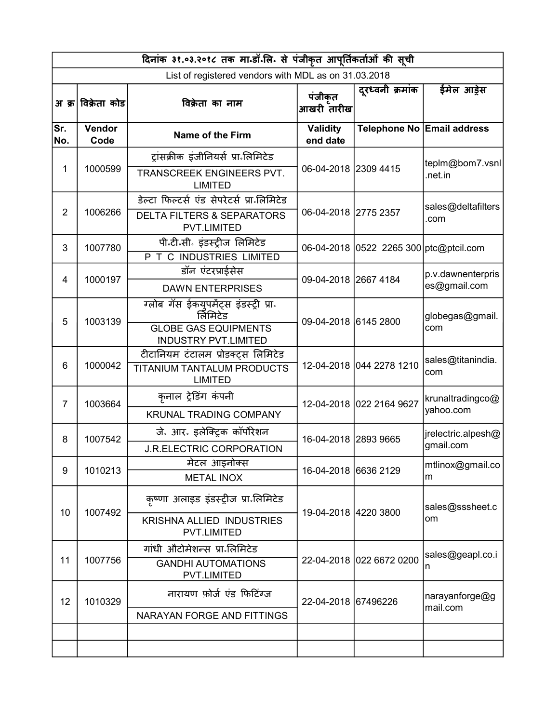|                | दिनांक ३१.०३.२०१८ तक मा.डॉ.लि. से पंजीकृत आपूर्तिकर्ताओं की सूची |                                                             |                             |                                        |                            |  |  |
|----------------|------------------------------------------------------------------|-------------------------------------------------------------|-----------------------------|----------------------------------------|----------------------------|--|--|
|                |                                                                  | List of registered vendors with MDL as on 31.03.2018        |                             |                                        |                            |  |  |
|                | अ क्र विक्रेता कोड                                               | विक्रेता का नाम                                             | पंजीकृत<br>आखरी तारीख       | दुरध्वनी क्रमांक                       | ईमेल आड़ेस                 |  |  |
| Sr.<br>No.     | Vendor<br>Code                                                   | Name of the Firm                                            | <b>Validity</b><br>end date |                                        | Telephone No Email address |  |  |
|                |                                                                  | ट्रांसक्रीक इंजीनियर्स प्रा लिमिटेड                         |                             |                                        | teplm@bom7.vsnl            |  |  |
| 1              | 1000599                                                          | TRANSCREEK ENGINEERS PVT.<br><b>LIMITED</b>                 | 06-04-2018 2309 4415        |                                        | .net.in                    |  |  |
|                |                                                                  | डेल्टा फिल्टर्स एंड सेपरेटर्स प्रान्तिमिटेड                 |                             |                                        | sales@deltafilters         |  |  |
| $\overline{2}$ | 1006266                                                          | <b>DELTA FILTERS &amp; SEPARATORS</b><br><b>PVT.LIMITED</b> | 06-04-2018 2775 2357        |                                        | .com                       |  |  |
| 3              | 1007780                                                          | पी॰टी॰सी॰ इंडस्ट्रीज लिमिटेड                                |                             | 06-04-2018 0522 2265 300 ptc@ptcil.com |                            |  |  |
|                |                                                                  | P T C INDUSTRIES LIMITED                                    |                             |                                        |                            |  |  |
| 4              | 1000197                                                          | डॉन एंटरप्राईसेस                                            | 09-04-2018 2667 4184        |                                        | p.v.dawnenterpris          |  |  |
|                |                                                                  | <b>DAWN ENTERPRISES</b>                                     |                             |                                        | es@gmail.com               |  |  |
| 5              | 1003139                                                          | ग्लोब गॅस ईकयुपमेंट्स इंडस्ट्री प्रा.<br>र्लिमिटेड          | 09-04-2018 6145 2800        |                                        | globegas@gmail.            |  |  |
|                |                                                                  | <b>GLOBE GAS EQUIPMENTS</b><br><b>INDUSTRY PVT.LIMITED</b>  |                             |                                        | com                        |  |  |
| 6              | 1000042                                                          | टीटानियम टंटालम प्रोडक्ट्स लिमिटेड                          | 12-04-2018 044 2278 1210    |                                        | sales@titanindia.          |  |  |
|                |                                                                  | TITANIUM TANTALUM PRODUCTS<br><b>LIMITED</b>                |                             |                                        | com                        |  |  |
| $\overline{7}$ | 1003664                                                          | कृनाल ट्रेडिंग कंपनी                                        | 12-04-2018 022 2164 9627    |                                        | krunaltradingco@           |  |  |
|                |                                                                  | <b>KRUNAL TRADING COMPANY</b>                               |                             |                                        | yahoo.com                  |  |  |
| 8              | 1007542                                                          | जे. आर. इलेक्ट्रिक कॉर्पोरेशन                               | 16-04-2018 2893 9665        |                                        | jrelectric.alpesh@         |  |  |
|                |                                                                  | <b>J.R.ELECTRIC CORPORATION</b>                             |                             |                                        | gmail.com                  |  |  |
| 9              | 1010213                                                          | मेटल आइनोक्स                                                | 16-04-2018 6636 2129        |                                        | mtlinox@gmail.co           |  |  |
|                |                                                                  | <b>METAL INOX</b>                                           |                             |                                        | m                          |  |  |
| 10             | 1007492                                                          | कृष्णा अलाइड इंडस्ट्रीज प्रा लिमिटेड                        | 19-04-2018 4220 3800        |                                        | sales@sssheet.c            |  |  |
|                |                                                                  | <b>KRISHNA ALLIED INDUSTRIES</b><br><b>PVT.LIMITED</b>      |                             |                                        | om                         |  |  |
|                |                                                                  | गांधी औटोमेशन्स प्रा॰लिमिटेड                                |                             |                                        | sales@geapl.co.i           |  |  |
| 11             | 1007756                                                          | <b>GANDHI AUTOMATIONS</b><br>PVT.LIMITED                    |                             | 22-04-2018 022 6672 0200               | n                          |  |  |
| 12             | 1010329                                                          | नारायण फ़ोर्ज एंड फिटिंग्ज                                  | 22-04-2018 67496226         |                                        | narayanforge@g<br>mail.com |  |  |
|                |                                                                  | NARAYAN FORGE AND FITTINGS                                  |                             |                                        |                            |  |  |
|                |                                                                  |                                                             |                             |                                        |                            |  |  |
|                |                                                                  |                                                             |                             |                                        |                            |  |  |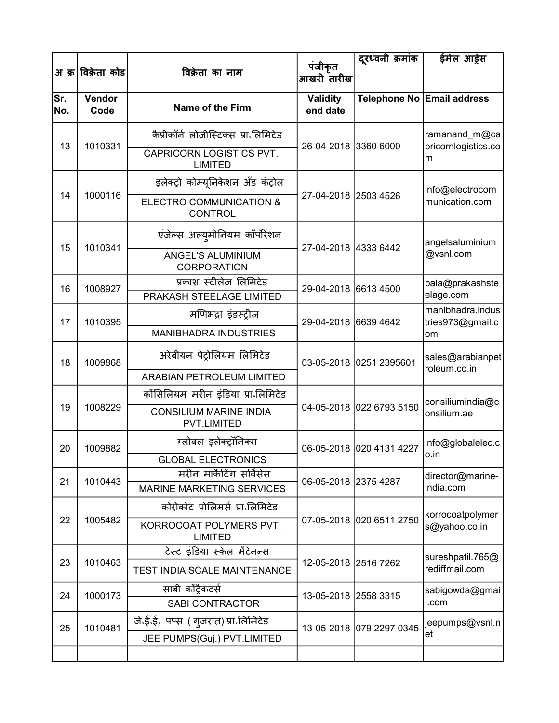|            | अ क्र विक्रेता कोड | विक्रेता का नाम                                              | पंजीकृत                     | दूरध्वनी क्रमांक         | ईमेल आड़ेस                           |
|------------|--------------------|--------------------------------------------------------------|-----------------------------|--------------------------|--------------------------------------|
|            |                    |                                                              | आखरी तारीख                  |                          |                                      |
| Sr.<br>No. | Vendor<br>Code     | <b>Name of the Firm</b>                                      | <b>Validity</b><br>end date |                          | Telephone No Email address           |
| 13         | 1010331            | कैप्रीकॉर्न लोजीस्टिक्स प्रा॰लिमिटेड                         | 26-04-2018 3360 6000        |                          | ramanand_m@ca                        |
|            |                    | CAPRICORN LOGISTICS PVT.<br><b>LIMITED</b>                   |                             |                          | pricornlogistics.co<br>m             |
|            |                    | इलेक्ट्रो कोम्यूनिकेशन अँड कंट्रोल                           |                             |                          | info@electrocom                      |
| 14         | 1000116            | ELECTRO COMMUNICATION &<br><b>CONTROL</b>                    | 27-04-2018 2503 4526        |                          | munication.com                       |
| 15         | 1010341            | एंजेल्स अल्युमीनियम कॉर्पोरेशन                               | 27-04-2018 4333 6442        |                          | angelsaluminium                      |
|            |                    | ANGEL'S ALUMINIUM<br>CORPORATION                             |                             |                          | @vsnl.com                            |
| 16         | 1008927            | प्रकाश स्टीलेज लिमिटेड<br>PRAKASH STEELAGE LIMITED           | 29-04-2018 6613 4500        |                          | bala@prakashste<br>elage.com         |
| 17         | 1010395            | मणिभद्रा इंडस्ट्रीज                                          | 29-04-2018 6639 4642        |                          | manibhadra.indus<br>tries973@gmail.c |
|            |                    | <b>MANIBHADRA INDUSTRIES</b>                                 |                             |                          | om                                   |
| 18         | 1009868            | अरेबीयन पेट्रोलियम लिमिटेड                                   |                             | 03-05-2018 0251 2395601  | sales@arabianpet<br>roleum.co.in     |
|            |                    | <b>ARABIAN PETROLEUM LIMITED</b>                             |                             |                          |                                      |
|            |                    | कोंसिलियम मरीन इंडिया प्रा॰लिमिटेड                           |                             |                          | consiliumindia@c                     |
| 19         | 1008229            | <b>CONSILIUM MARINE INDIA</b><br>PVT.LIMITED                 |                             | 04-05-2018 022 6793 5150 | onsilium.ae                          |
| 20         | 1009882            | ग्लोबल इलेक्ट्रॉनिक्स                                        |                             | 06-05-2018 020 4131 4227 | info@globalelec.c<br>o.in            |
|            |                    | <b>GLOBAL ELECTRONICS</b>                                    |                             |                          |                                      |
| 21         | 1010443            | मरीन मार्केटिंग सर्विसेस<br><b>MARINE MARKETING SERVICES</b> | 06-05-2018 2375 4287        |                          | director@marine-<br>india.com        |
|            |                    | कोरोकोट पोलिमर्स प्रा॰लिमिटेड                                |                             |                          |                                      |
| 22         | 1005482            | KORROCOAT POLYMERS PVT.                                      |                             | 07-05-2018 020 6511 2750 | korrocoatpolymer<br>s@yahoo.co.in    |
|            |                    | <b>LIMITED</b>                                               |                             |                          |                                      |
| 23         | 1010463            | टेस्ट इंडिया स्केल मेंटेनन्स                                 | 12-05-2018 2516 7262        |                          | sureshpatil.765@                     |
|            |                    | <b>TEST INDIA SCALE MAINTENANCE</b>                          |                             |                          | rediffmail.com                       |
| 24         | 1000173            | साबी कोंट्रैकटर्स                                            | 13-05-2018 2558 3315        |                          | sabigowda@gmai                       |
|            |                    | <b>SABI CONTRACTOR</b>                                       |                             |                          | I.com                                |
| 25         | 1010481            | जे.ई.ई. पंप्स ( गुजरात) प्रा लिमिटेड                         |                             | 13-05-2018 079 2297 0345 | jeepumps@vsnl.n<br>et                |
|            |                    | JEE PUMPS(Guj.) PVT.LIMITED                                  |                             |                          |                                      |
|            |                    |                                                              |                             |                          |                                      |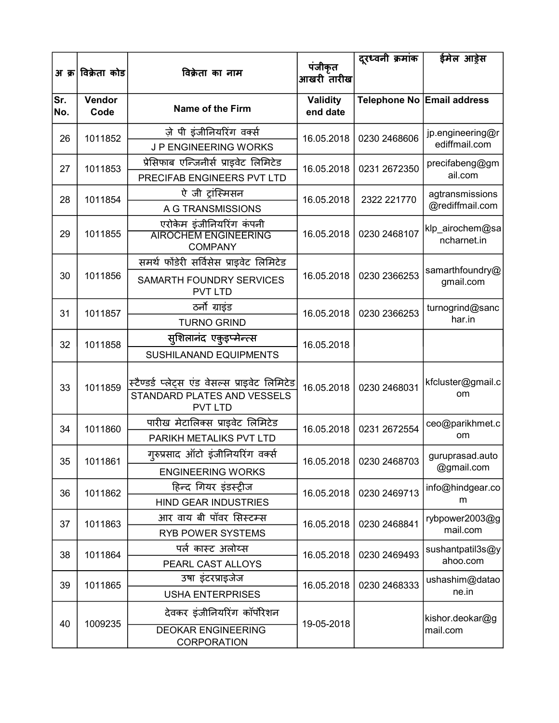|            |                    |                                                                                                 | पंजीकृत                     | दूरध्वनी क्रमांक          | ईमेल आड्रेस                        |
|------------|--------------------|-------------------------------------------------------------------------------------------------|-----------------------------|---------------------------|------------------------------------|
|            | अ क्र∣विक्रेता कोड | विक्रेता का नाम                                                                                 | आखरी तारीख                  |                           |                                    |
| Sr.<br>No. | Vendor<br>Code     | <b>Name of the Firm</b>                                                                         | <b>Validity</b><br>end date |                           | Telephone No Email address         |
| 26         | 1011852            | ज़े पी इंजीनियरिंग वर्क्स<br><b>JP ENGINEERING WORKS</b>                                        | 16.05.2018                  | 0230 2468606              | jp.engineering@r<br>ediffmail.com  |
| 27         | 1011853            | प्रेसिफाब एन्जिनीर्स प्राइवेट लिमिटेड<br>PRECIFAB ENGINEERS PVT LTD                             | 16.05.2018                  | 0231 2672350              | precifabeng@gm<br>ail.com          |
| 28         | 1011854            | ऐ जी ट्रांस्मिसन<br>A G TRANSMISSIONS                                                           | 16.05.2018                  | 2322 221770               | agtransmissions<br>@rediffmail.com |
| 29         | 1011855            | एरोकेम इंजीनियरिंग कंपनी<br><b>AIROCHEM ENGINEERING</b><br><b>COMPANY</b>                       | 16.05.2018                  | 0230 2468107              | klp_airochem@sa<br>ncharnet.in     |
| 30         | 1011856            | समर्थ फोंडेरी सर्विसेस प्राइवेट लिमिटेड<br><b>SAMARTH FOUNDRY SERVICES</b><br><b>PVT LTD</b>    | 16.05.2018                  | 0230 2366253              | samarthfoundry@<br>gmail.com       |
| 31         | 1011857            | ठर्नो ग्राइंड<br><b>TURNO GRIND</b>                                                             | 16.05.2018                  | 0230 2366253              | turnogrind@sanc<br>har.in          |
| 32         | 1011858            | सूशिलानंद एकुइप्मेन्त्स<br>SUSHILANAND EQUIPMENTS                                               | 16.05.2018                  |                           |                                    |
| 33         | 1011859            | स्टैण्डर्ड प्लेट्स एंड वेसल्स प्राइवेट लिमिटेड<br>STANDARD PLATES AND VESSELS<br><b>PVT LTD</b> | 16.05.2018                  | 0230 2468031              | kfcluster@gmail.c<br>om            |
| 34         | 1011860            | पारीख मेटालिक्स प्राइवेट लिमिटेड<br>PARIKH METALIKS PVT LTD                                     | 16.05.2018                  | 0231 2672554              | ceo@parikhmet.c<br>om              |
| 35         | 1011861            | गुरुप्रसाद ऑटो इंजीनियरिंग वर्क्स<br><b>ENGINEERING WORKS</b>                                   |                             | 16.05.2018   0230 2468703 | guruprasad.auto<br>@gmail.com      |
| 36         | 1011862            | हिन्द गियर इंडस्ट्रीज<br><b>HIND GEAR INDUSTRIES</b>                                            | 16.05.2018                  | 0230 2469713              | info@hindgear.co<br>m              |
| 37         | 1011863            | आर वाय बी पॉवर सिस्टम्स<br><b>RYB POWER SYSTEMS</b>                                             | 16.05.2018                  | 0230 2468841              | rybpower2003@g<br>mail.com         |
| 38         | 1011864            | पर्ल कास्ट अलोय्स<br>PEARL CAST ALLOYS                                                          | 16.05.2018                  | 0230 2469493              | sushantpatil3s@y<br>ahoo.com       |
| 39         | 1011865            | उषा इंटरप्राइजेज<br><b>USHA ENTERPRISES</b>                                                     | 16.05.2018                  | 0230 2468333              | ushashim@datao<br>ne.in            |
| 40         | 1009235            | देवकर इंजीनियरिंग कॉर्पोरेशन<br><b>DEOKAR ENGINEERING</b><br>CORPORATION                        | 19-05-2018                  |                           | kishor.deokar@g<br>mail.com        |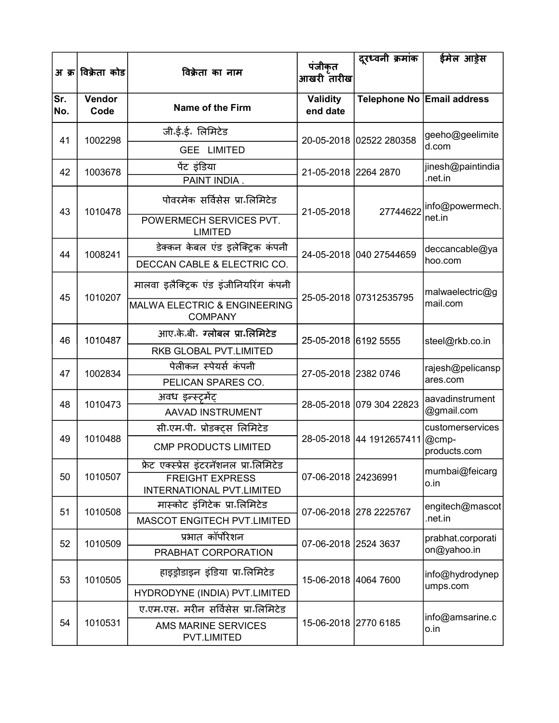|            | अ क्र विक्रेता कोड | विक्रेता का नाम                                           | पंजीकृत<br>आखरी तारीख       | दुरध्वनी क्रमांक         | ईमेल आड़ेस                    |
|------------|--------------------|-----------------------------------------------------------|-----------------------------|--------------------------|-------------------------------|
| Sr.<br>No. | Vendor<br>Code     | <b>Name of the Firm</b>                                   | <b>Validity</b><br>end date |                          | Telephone No Email address    |
| 41         | 1002298            | जी.ई.ई. लिमिटेड                                           |                             | 20-05-2018 02522 280358  | geeho@geelimite               |
|            |                    | <b>GEE LIMITED</b>                                        |                             |                          | d.com                         |
| 42         | 1003678            | पेंट इंडिया                                               | 21-05-2018 2264 2870        |                          | jinesh@paintindia             |
|            |                    | PAINT INDIA.                                              |                             |                          | .net.in                       |
| 43         | 1010478            | पोवरमेक सर्विसेस प्रा॰लिमिटेड                             | 21-05-2018                  | 27744622                 | info@powermech.               |
|            |                    | POWERMECH SERVICES PVT.<br><b>LIMITED</b>                 |                             |                          | net.in                        |
| 44         | 1008241            | डेक्कन केबल एंड इलेक्ट्रिक कंपनी                          |                             | 24-05-2018 040 27544659  | deccancable@ya                |
|            |                    | DECCAN CABLE & ELECTRIC CO.                               |                             |                          | hoo.com                       |
| 45         | 1010207            | मालवा इलैक्ट्रिक एंड इंजीनियरिंग कंपनी                    |                             | 25-05-2018 07312535795   | malwaelectric@g               |
|            |                    | <b>MALWA ELECTRIC &amp; ENGINEERING</b><br><b>COMPANY</b> |                             |                          | mail.com                      |
| 46         | 1010487            | आए.के.बी. ग्लोबल प्रा.लिमिटेड                             | 25-05-2018 6192 5555        |                          | steel@rkb.co.in               |
|            |                    | RKB GLOBAL PVT.LIMITED                                    |                             |                          |                               |
| 47         | 1002834            | पेलीकन स्पेयर्स कंपनी                                     | 27-05-2018 2382 0746        |                          | rajesh@pelicansp              |
|            |                    | PELICAN SPARES CO.                                        |                             |                          | ares.com                      |
| 48         | 1010473            | अवध इन्स्ट्रमेंट्                                         |                             | 28-05-2018 079 304 22823 | aavadinstrument<br>@gmail.com |
|            |                    | AAVAD INSTRUMENT                                          |                             |                          |                               |
| 49         | 1010488            | सी एम पी. प्रोडक्ट्स लिमिटेड                              |                             | 28-05-2018 44 1912657411 | customerservices<br>@cmp-     |
|            |                    | <b>CMP PRODUCTS LIMITED</b>                               |                             |                          | products.com                  |
|            |                    | फ्रेट एक्स्प्रेस इंटरनॅशनल प्रा॰लिमिटेड                   |                             |                          | mumbai@feicarg                |
| 50         | 1010507            | <b>FREIGHT EXPRESS</b><br>INTERNATIONAL PVT.LIMITED       | 07-06-2018 24236991         |                          | o.in                          |
| 51         | 1010508            | मास्कोट इंगिटेक प्रा॰लिमिटेड                              |                             | 07-06-2018 278 2225767   | engitech@mascot               |
|            |                    | MASCOT ENGITECH PVT.LIMITED                               |                             |                          | .net.in                       |
| 52         | 1010509            | प्रभात कॉर्पोरेशन                                         | 07-06-2018 2524 3637        |                          | prabhat.corporati             |
|            |                    | PRABHAT CORPORATION                                       |                             |                          | on@yahoo.in                   |
| 53         | 1010505            | हाइड्रोडाइन इंडिया प्रा॰लिमिटेड                           | 15-06-2018 4064 7600        |                          | info@hydrodynep<br>umps.com   |
|            |                    | HYDRODYNE (INDIA) PVT.LIMITED                             |                             |                          |                               |
|            |                    | ए.एम.एस. मरीन सर्विसेस प्रा.लिमिटेड                       |                             |                          | info@amsarine.c               |
| 54         | 1010531            | AMS MARINE SERVICES<br>PVT.LIMITED                        | 15-06-2018 2770 6185        |                          | o.in                          |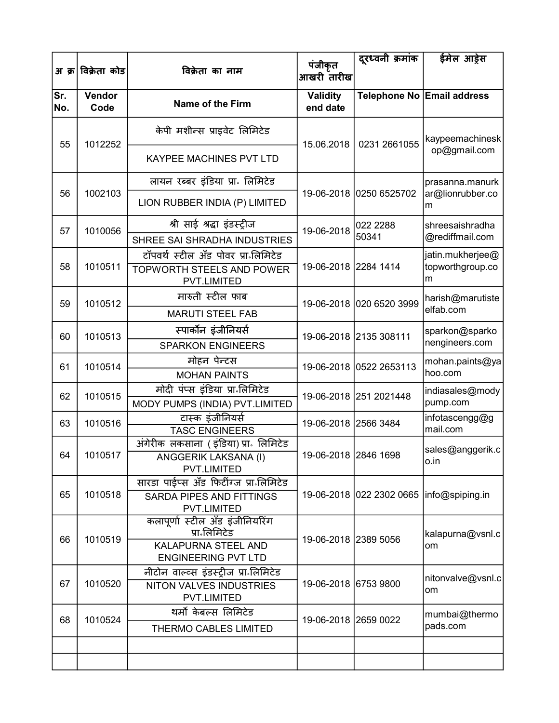|            | अ क्र विक्रेता कोड | विक्रेता का नाम                                   | पंजीकृत<br>आखरी तारीख       | दूरध्वनी क्रमांक         | ईमेल आड़ेस                                |  |
|------------|--------------------|---------------------------------------------------|-----------------------------|--------------------------|-------------------------------------------|--|
| Sr.<br>No. | Vendor<br>Code     | Name of the Firm                                  | <b>Validity</b><br>end date |                          | Telephone No Email address                |  |
| 55         | 1012252            | केपी मशीन्स प्राइवेट लिमिटेड                      | 15.06.2018                  | 0231 2661055             | kaypeemachinesk                           |  |
|            |                    | <b>KAYPEE MACHINES PVT LTD</b>                    |                             |                          | op@gmail.com                              |  |
|            |                    | लायन रब्बर इंडिया प्रा॰ लिमिटेड                   |                             |                          | prasanna.manurk                           |  |
| 56         | 1002103            | LION RUBBER INDIA (P) LIMITED                     |                             | 19-06-2018 0250 6525702  | ar@lionrubber.co<br>m                     |  |
| 57         | 1010056            | श्री साई श्रद्धा इंडस्ट्रीज                       | 19-06-2018                  | 022 2288                 | shreesaishradha                           |  |
|            |                    | SHREE SAI SHRADHA INDUSTRIES                      |                             | 50341                    | @rediffmail.com                           |  |
|            |                    | टॉपवर्थ स्टील अँड पोवर प्रा लिमिटेड               |                             |                          | jatin.mukherjee@                          |  |
| 58         | 1010511            | <b>TOPWORTH STEELS AND POWER</b><br>PVT.LIMITED   | 19-06-2018 2284 1414        |                          | topworthgroup.co<br>m                     |  |
| 59         | 1010512            | मारुती स्टील फाब                                  |                             | 19-06-2018 020 6520 3999 | harish@marutiste                          |  |
|            |                    | <b>MARUTI STEEL FAB</b>                           |                             |                          | elfab.com                                 |  |
| 60         | 1010513            | स्पार्कोन इंजीनियर्स                              | 19-06-2018 2135 308111      |                          | sparkon@sparko                            |  |
|            |                    | <b>SPARKON ENGINEERS</b>                          |                             |                          | nengineers.com                            |  |
| 61         | 1010514            | मोहन पेन्टस                                       |                             | 19-06-2018 0522 2653113  | mohan.paints@ya                           |  |
|            |                    | <b>MOHAN PAINTS</b>                               |                             |                          | hoo.com                                   |  |
| 62         | 1010515            | मोदी पंप्स इंडिया प्रा लिमिटेड                    |                             | 19-06-2018 251 2021448   | indiasales@mody                           |  |
|            |                    | MODY PUMPS (INDIA) PVT.LIMITED                    |                             |                          | pump.com                                  |  |
| 63         | 1010516            | टास्क इंजीनियर्स<br><b>TASC ENGINEERS</b>         | 19-06-2018 2566 3484        |                          | infotascengg@g<br>mail.com                |  |
|            |                    | अंगेरीक लकसाना (इंडिया) प्रा॰ लिमिटेड             |                             |                          |                                           |  |
| 64         | 1010517            | ANGGERIK LAKSANA (I)                              |                             | 19-06-2018 2846 1698     | sales@anggerik.c<br>o.in                  |  |
|            |                    | PVT.LIMITED                                       |                             |                          |                                           |  |
|            |                    | सारडा पाईप्स अँड फिटींग्ज प्रा लिमिटेड            |                             |                          |                                           |  |
| 65         | 1010518            | <b>SARDA PIPES AND FITTINGS</b><br>PVT.LIMITED    |                             |                          | 19-06-2018 022 2302 0665  info@spiping.in |  |
|            |                    | कलापूर्णा स्टील अँड इंजीनियरिंग                   |                             |                          |                                           |  |
| 66         | 1010519            | प्रा•लिमिटेड                                      | 19-06-2018 2389 5056        |                          | kalapurna@vsnl.c                          |  |
|            |                    | KALAPURNA STEEL AND<br><b>ENGINEERING PVT LTD</b> |                             |                          | om                                        |  |
|            |                    | नीटोन वाल्व्स इंडस्ट्रीज प्रा॰लिमिटेड             |                             |                          | nitonvalve@vsnl.c                         |  |
| 67         | 1010520            | NITON VALVES INDUSTRIES<br>PVT.LIMITED            | 19-06-2018 6753 9800        |                          | om                                        |  |
| 68         | 1010524            | थर्मो केबल्स लिमिटेड                              |                             |                          | mumbai@thermo                             |  |
|            |                    | <b>THERMO CABLES LIMITED</b>                      |                             | 19-06-2018 2659 0022     | pads.com                                  |  |
|            |                    |                                                   |                             |                          |                                           |  |
|            |                    |                                                   |                             |                          |                                           |  |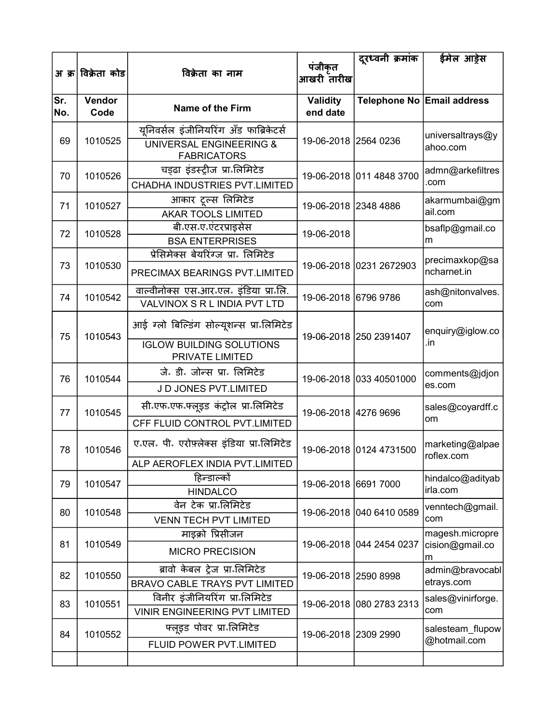|            |                    |                                                                                                    | पंजीकृत                     | दूरध्वनी क्रमांक         | ईमेल आड़ेस                              |
|------------|--------------------|----------------------------------------------------------------------------------------------------|-----------------------------|--------------------------|-----------------------------------------|
|            | अ क्र विक्रेता कोड | विक्रेता का नाम                                                                                    | आखरी तारीख                  |                          |                                         |
| Sr.<br>No. | Vendor<br>Code     | <b>Name of the Firm</b>                                                                            | <b>Validity</b><br>end date |                          | Telephone No Email address              |
| 69         | 1010525            | यूनिवर्सल इंजीनियरिंग अँड फाब्रिकेटर्स<br><b>UNIVERSAL ENGINEERING &amp;</b><br><b>FABRICATORS</b> | 19-06-2018 2564 0236        |                          | universaltrays@y<br>ahoo.com            |
| 70         | 1010526            | चड्ढा इंडस्ट्रीज प्रा लिमिटेड<br>CHADHA INDUSTRIES PVT.LIMITED                                     |                             | 19-06-2018 011 4848 3700 | admn@arkefiltres<br>.com                |
| 71         | 1010527            | आकार ट्रल्स लिमिटेड<br><b>AKAR TOOLS LIMITED</b>                                                   | 19-06-2018 2348 4886        |                          | akarmumbai@gm<br>ail.com                |
| 72         | 1010528            | बी एस ए एंटरप्राइसेस<br><b>BSA ENTERPRISES</b>                                                     | 19-06-2018                  |                          | bsaflp@gmail.co<br>m                    |
| 73         | 1010530            | प्रेसिमेक्स बेयरिंग्ज प्रा॰ लिमिटेड<br>PRECIMAX BEARINGS PVT.LIMITED                               |                             | 19-06-2018 0231 2672903  | precimaxkop@sa<br>ncharnet.in           |
| 74         | 1010542            | वाल्वीनोक्स एस आर एल. इंडिया प्रान्ति.<br>VALVINOX S R L INDIA PVT LTD                             | 19-06-2018 6796 9786        |                          | ash@nitonvalves.<br>com                 |
| 75         | 1010543            | आई ग्लो बिल्डिंग सोल्यूशन्स प्रा लिमिटेड                                                           |                             | 19-06-2018 250 2391407   | enquiry@iglow.co                        |
|            |                    | <b>IGLOW BUILDING SOLUTIONS</b><br>PRIVATE LIMITED                                                 |                             |                          | .in                                     |
| 76         | 1010544            | जे. डी. जोन्स प्रा. लिमिटेड<br>J D JONES PVT.LIMITED                                               |                             | 19-06-2018 033 40501000  | comments@jdjon<br>es.com                |
| 77         | 1010545            | सी एफ एफ फ्लूइड कंट्रोल प्रा लिमिटेड<br>CFF FLUID CONTROL PVT.LIMITED                              | 19-06-2018 4276 9696        |                          | sales@coyardff.c<br>om                  |
| 78         | 1010546            | ए.एल. पी. एरोफ़्लेक्स इंडिया प्रा लिमिटेड                                                          |                             | 19-06-2018 0124 4731500  | marketing@alpae                         |
|            |                    | ALP AEROFLEX INDIA PVT.LIMITED                                                                     |                             |                          | roflex.com                              |
| 79         | 1010547            | हिन्डाल्को<br><b>HINDALCO</b>                                                                      | 19-06-2018 6691 7000        |                          | hindalco@adityab<br>irla.com            |
| 80         | 1010548            | वेन टेक प्रा॰लिमिटेड<br><b>VENN TECH PVT LIMITED</b>                                               |                             | 19-06-2018 040 6410 0589 | venntech@gmail.<br>com                  |
| 81         | 1010549            | माइक्रो प्रिसीजन<br><b>MICRO PRECISION</b>                                                         |                             | 19-06-2018 044 2454 0237 | magesh.micropre<br>cision@gmail.co<br>m |
| 82         | 1010550            | ब्रावो केबल ट्रेज प्रा॰लिमिटेड<br><b>BRAVO CABLE TRAYS PVT LIMITED</b>                             | 19-06-2018 2590 8998        |                          | admin@bravocabl<br>etrays.com           |
| 83         | 1010551            | विनीर इंजीनियरिंग प्रा॰लिमिटेड<br><b>VINIR ENGINEERING PVT LIMITED</b>                             |                             | 19-06-2018 080 2783 2313 | sales@vinirforge.<br>com                |
| 84         | 1010552            | फ्लूइड पोवर प्रा॰लिमिटेड                                                                           | 19-06-2018 2309 2990        |                          | salesteam_flupow<br>@hotmail.com        |
|            |                    | FLUID POWER PVT.LIMITED                                                                            |                             |                          |                                         |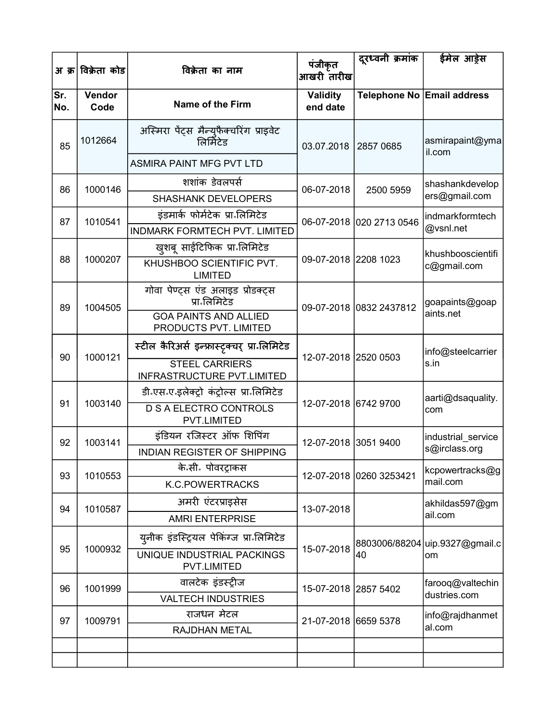|            | अ क्र विक्रेता कोड | विक्रेता का नाम                                       | पंजीकृत<br>आखरी तारीख       | दूरध्वनी क्रमांक         | ईमेल आड़ेस                     |
|------------|--------------------|-------------------------------------------------------|-----------------------------|--------------------------|--------------------------------|
| Sr.<br>No. | Vendor<br>Code     | <b>Name of the Firm</b>                               | <b>Validity</b><br>end date |                          | Telephone No Email address     |
| 85         | 1012664            | अस्मिरा पेंट्स मैन्युफैक्चरिंग प्राइवेट<br>लिर्मिटेड  | 03.07.2018                  | 2857 0685                | asmirapaint@yma<br>il.com      |
|            |                    | <b>ASMIRA PAINT MFG PVT LTD</b>                       |                             |                          |                                |
| 86         | 1000146            | शशांक डेवलपर्स                                        | 06-07-2018                  | 2500 5959                | shashankdevelop                |
|            |                    | <b>SHASHANK DEVELOPERS</b>                            |                             |                          | ers@gmail.com                  |
| 87         | 1010541            | इंडमार्क फोर्मटेक प्रा लिमिटेड                        |                             | 06-07-2018 020 2713 0546 | indmarkformtech                |
|            |                    | INDMARK FORMTECH PVT. LIMITED                         |                             |                          | @vsnl.net                      |
|            |                    | खुशबू साईटिफिक प्रा लिमिटेड                           |                             |                          | khushbooscientifi              |
| 88         | 1000207            | KHUSHBOO SCIENTIFIC PVT.<br><b>LIMITED</b>            | 09-07-2018 2208 1023        |                          | c@gmail.com                    |
| 89         | 1004505            | गोवा पेण्ट्स एंड अलाइड प्रोडक्ट्स<br>प्रा•लिमिटेड     |                             | 09-07-2018 0832 2437812  | goapaints@goap                 |
|            |                    | <b>GOA PAINTS AND ALLIED</b><br>PRODUCTS PVT. LIMITED |                             |                          | aints.net                      |
| 90         | 1000121            | स्टील कैरिअर्स इन्फ्रास्ट्रक्चर् प्रा लिमिटेड         | 12-07-2018 2520 0503        |                          | info@steelcarrier              |
|            |                    | <b>STEEL CARRIERS</b><br>INFRASTRUCTURE PVT.LIMITED   |                             |                          | s.in                           |
|            | 1003140            | डी एस ए इलेक्ट्रो कंट्रोल्स प्रा लिमिटेड              | 12-07-2018 6742 9700        |                          | aarti@dsaquality.              |
| 91         |                    | <b>D S A ELECTRO CONTROLS</b><br><b>PVT.LIMITED</b>   |                             |                          | com                            |
| 92         | 1003141            | इंडियन रजिस्टर ऑफ शिपिंग                              |                             | 12-07-2018 3051 9400     | industrial_service             |
|            |                    | <b>INDIAN REGISTER OF SHIPPING</b>                    |                             |                          | s@irclass.org                  |
| 93         | 1010553            | के॰सी॰ पोवरट्राकस                                     |                             | 12-07-2018 0260 3253421  | kcpowertracks@g                |
|            |                    | <b>K.C.POWERTRACKS</b>                                |                             |                          | mail.com                       |
| 94         | 1010587            | अमरी एंटरप्राइसेस                                     | 13-07-2018                  |                          | akhildas597@gm                 |
|            |                    | <b>AMRI ENTERPRISE</b>                                |                             |                          | ail.com                        |
| 95         | 1000932            | य्नीक इंडस्ट्रियल पेकिंग्ज प्रा लिमिटेड               | 15-07-2018                  |                          | 8803006/88204 uip.9327@gmail.c |
|            |                    | UNIQUE INDUSTRIAL PACKINGS<br><b>PVT.LIMITED</b>      |                             | 40                       | om                             |
| 96         | 1001999            | वालटेक इंडस्ट्रीज                                     | 15-07-2018 2857 5402        |                          | farooq@valtechin               |
|            |                    | <b>VALTECH INDUSTRIES</b>                             |                             |                          | dustries.com                   |
| 97         | 1009791            | राजधन मेटल                                            | 21-07-2018 6659 5378        |                          | info@rajdhanmet                |
|            |                    | RAJDHAN METAL                                         |                             |                          | al.com                         |
|            |                    |                                                       |                             |                          |                                |
|            |                    |                                                       |                             |                          |                                |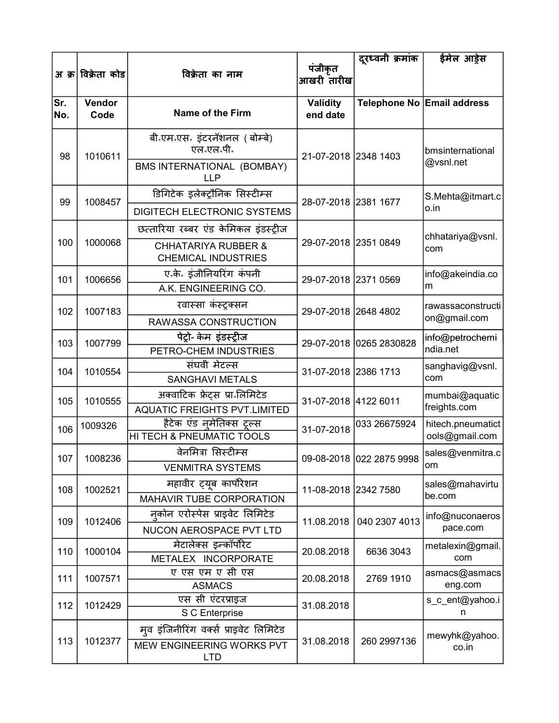|            |                    |                                                                 |                             | दूरध्वनी क्रमांक         | ईमेल आड्रेस                    |
|------------|--------------------|-----------------------------------------------------------------|-----------------------------|--------------------------|--------------------------------|
|            | अ क्र विक्रेता कोड | विक्रेता का नाम                                                 | पंजीकृत<br>आखरी तारीख       |                          |                                |
| Sr.<br>No. | Vendor<br>Code     | Name of the Firm                                                | <b>Validity</b><br>end date |                          | Telephone No Email address     |
| 98         | 1010611            | बी एम एस इंटरनॅशनल (बोम्बे)<br>एल एल पी.                        | 21-07-2018 2348 1403        |                          | bmsinternational               |
|            |                    | BMS INTERNATIONAL (BOMBAY)<br>LLP                               |                             |                          | @vsnl.net                      |
| 99         | 1008457            | डिगिटेक इलेक्ट्रौनिक सिस्टीम्स                                  | 28-07-2018 2381 1677        |                          | S.Mehta@itmart.c               |
|            |                    | DIGITECH ELECTRONIC SYSTEMS                                     |                             |                          | o.in                           |
|            |                    | छत्तारिया रब्बर एंड केमिकल इंडस्ट्रीज                           |                             |                          | chhatariya@vsnl.               |
| 100        | 1000068            | <b>CHHATARIYA RUBBER &amp;</b><br><b>CHEMICAL INDUSTRIES</b>    | 29-07-2018 2351 0849        |                          | com                            |
| 101        | 1006656            | ए.के. इंजीनियरिंग कंपनी<br>A.K. ENGINEERING CO.                 | 29-07-2018 2371 0569        |                          | info@akeindia.co<br>m          |
| 102        | 1007183            | रवास्सा कंस्ट्रक्सन                                             | 29-07-2018 2648 4802        |                          | rawassaconstructi              |
|            |                    | RAWASSA CONSTRUCTION                                            |                             |                          | on@gmail.com                   |
| 103        | 1007799            | पेट्रो- केम इंडस्ट्रीज<br>PETRO-CHEM INDUSTRIES                 |                             | 29-07-2018 0265 2830828  | info@petrochemi<br>ndia.net    |
| 104        | 1010554            | संघवी मेटल्स<br><b>SANGHAVI METALS</b>                          | 31-07-2018 2386 1713        |                          | sanghavig@vsnl.<br>com         |
| 105        | 1010555            | अक्वाटिक फ्रेट्स प्रा॰लिमिटेड                                   | 31-07-2018 4122 6011        |                          | mumbai@aquatic<br>freights.com |
|            |                    | <b>AQUATIC FREIGHTS PVT.LIMITED</b><br>हैटेक एंड नमेतिक्स टूल्स |                             | 033 26675924             | hitech.pneumatict              |
| 106        | 1009326            | <b>HI TECH &amp; PNEUMATIC TOOLS</b>                            | 31-07-2018                  |                          | ools@gmail.com                 |
| 107        | 1008236            | वेनमित्रा सिस्टीम्स<br><b>VENMITRA SYSTEMS</b>                  |                             | 09-08-2018 022 2875 9998 | sales@venmitra.c<br> om        |
| 108        | 1002521            | महावीर ट्यूब कार्पोरेशन<br>MAHAVIR TUBE CORPORATION             | 11-08-2018 2342 7580        |                          | sales@mahavirtu<br>be.com      |
|            |                    | नुकोन एरोस्पेस प्राइवेट लिमिटेड                                 |                             |                          |                                |
| 109        | 1012406            | NUCON AEROSPACE PVT LTD                                         | 11.08.2018                  | 040 2307 4013            | info@nuconaeros<br>pace.com    |
| 110        | 1000104            | मेटालेक्स इन्कॉर्पोरेट<br>METALEX INCORPORATE                   | 20.08.2018                  | 6636 3043                | metalexin@gmail.<br>com        |
| 111        | 1007571            | ए एस एम ए सी एस<br><b>ASMACS</b>                                | 20.08.2018                  | 2769 1910                | asmacs@asmacs<br>eng.com       |
| 112        | 1012429            | एस सी एंटरप्राइज<br>S C Enterprise                              | 31.08.2018                  |                          | s_c_ent@yahoo.i<br>n           |
|            |                    | मूव इंजिनीरिंग वर्क्स प्राइवेट लिमिटेड                          |                             |                          |                                |
| 113        | 1012377            | MEW ENGINEERING WORKS PVT<br><b>LTD</b>                         | 31.08.2018                  | 260 2997136              | mewyhk@yahoo.<br>co.in         |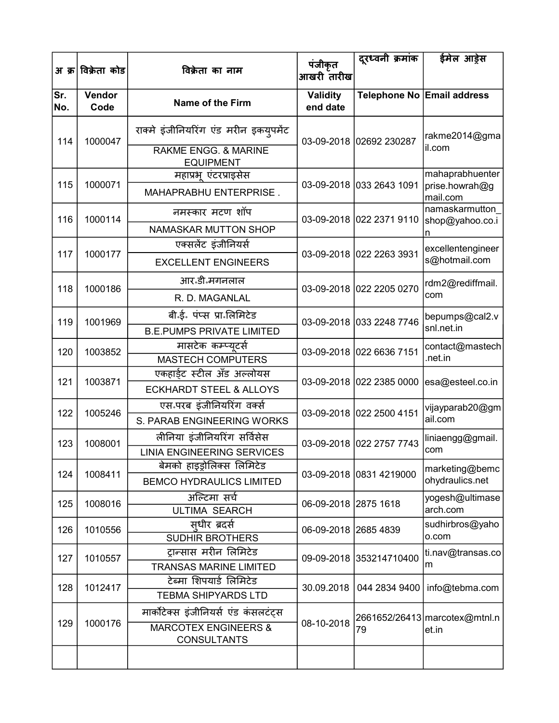|            | अ क्र विक्रेता कोड | विक्रेता का नाम                                       | पंजीकृत<br>आखरी तारीख       | दूरध्वनी क्रमांक         | ईमेल आड़ेस                        |
|------------|--------------------|-------------------------------------------------------|-----------------------------|--------------------------|-----------------------------------|
| Sr.<br>No. | Vendor<br>Code     | <b>Name of the Firm</b>                               | <b>Validity</b><br>end date |                          | Telephone No Email address        |
| 114        | 1000047            | राक्मे इंजीनियरिंग एंड मरीन इकयुपमेंट                 |                             | 03-09-2018 02692 230287  | rakme2014@gma                     |
|            |                    | <b>RAKME ENGG. &amp; MARINE</b><br><b>EQUIPMENT</b>   |                             |                          | il.com                            |
| 115        |                    | महाप्रभू एंटरप्राइसेस                                 |                             |                          | mahaprabhuenter                   |
|            | 1000071            | MAHAPRABHU ENTERPRISE.                                |                             | 03-09-2018 033 2643 1091 | prise.howrah@g<br>mail.com        |
| 116        | 1000114            | नमस्कार मटण शॉप                                       |                             | 03-09-2018 022 2371 9110 | namaskarmutton<br>shop@yahoo.co.i |
|            |                    | <b>NAMASKAR MUTTON SHOP</b>                           |                             |                          | n                                 |
|            |                    | एक्सलेंट इंजीनियर्स                                   |                             |                          | excellentengineer                 |
| 117        | 1000177            | <b>EXCELLENT ENGINEERS</b>                            |                             | 03-09-2018 022 2263 3931 | s@hotmail.com                     |
| 118        | 1000186            | आर <sup>ु</sup> डी॰मगनलाल                             |                             | 03-09-2018 022 2205 0270 | rdm2@rediffmail.                  |
|            |                    | R. D. MAGANLAL                                        |                             |                          | com                               |
| 119        | 1001969            | बी.ई. पंप्स प्रा.लिमिटेड                              |                             | 03-09-2018 033 2248 7746 | bepumps@cal2.v                    |
|            |                    | <b>B.E.PUMPS PRIVATE LIMITED</b>                      |                             |                          | snl.net.in                        |
| 120        | 1003852            | मासटेक कम्प्यटर्स                                     |                             | 03-09-2018 022 6636 7151 | contact@mastech                   |
|            |                    | <b>MASTECH COMPUTERS</b>                              |                             |                          | .net.in                           |
| 121        | 1003871            | एकहाईट स्टील अँड अल्लोयस                              |                             | 03-09-2018 022 2385 0000 | esa@esteel.co.in                  |
|            |                    | <b>ECKHARDT STEEL &amp; ALLOYS</b>                    |                             |                          |                                   |
| 122        | 1005246            | एस.परब इंजीनियरिंग वर्क्स                             |                             | 03-09-2018 022 2500 4151 | vijayparab20@gm                   |
|            |                    | S. PARAB ENGINEERING WORKS                            |                             |                          | ail.com                           |
| 123        | 1008001            | लीनिया इंजीनियरिंग सर्विसेस                           |                             | 03-09-2018 022 2757 7743 | liniaengg@gmail.                  |
|            |                    | <b>LINIA ENGINEERING SERVICES</b>                     |                             |                          | com                               |
| 124        | 1008411            | बेमको हाइड़ोलिक्स लिमिटेड                             |                             | 03-09-2018 0831 4219000  | marketing@bemc                    |
|            |                    | <b>BEMCO HYDRAULICS LIMITED</b>                       |                             |                          | ohydraulics.net                   |
| 125        | 1008016            | अल्टिमा सर्च<br><b>ULTIMA SEARCH</b>                  | 06-09-2018 2875 1618        |                          | yogesh@ultimase<br>arch.com       |
|            |                    | सधीर ब्रदर्स                                          |                             |                          | sudhirbros@yaho                   |
| 126        | 1010556            | <b>SUDHIR BROTHERS</b>                                | 06-09-2018 2685 4839        |                          | o.com                             |
| 127        | 1010557            | टान्सास मरीन लिमिटेड                                  |                             | 09-09-2018 353214710400  | ti.nav@transas.co                 |
|            |                    | <b>TRANSAS MARINE LIMITED</b>                         |                             |                          | m                                 |
| 128        | 1012417            | टेब्मा शिपयार्ड लिमिटेड                               | 30.09.2018                  | 044 2834 9400            | info@tebma.com                    |
|            |                    | <b>TEBMA SHIPYARDS LTD</b>                            |                             |                          |                                   |
|            |                    | मार्कोटेक्स इंजीनियर्स एंड कंसलटंट्स                  |                             |                          | 2661652/26413 marcotex@mtnl.n     |
| 129        | 1000176            | <b>MARCOTEX ENGINEERS &amp;</b><br><b>CONSULTANTS</b> | 08-10-2018                  | 79                       | et.in                             |
|            |                    |                                                       |                             |                          |                                   |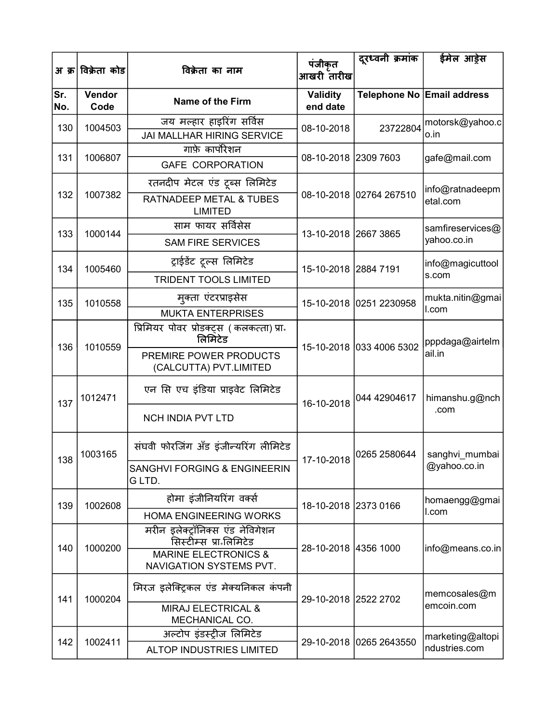|            | अ क्र विक्रेता कोड | विक्रेता का नाम                                                                                                          | पंजीकृत<br>आखरी तारीख       | दुरध्वनी क्रमांक         | ईमेल आड़ेस                        |
|------------|--------------------|--------------------------------------------------------------------------------------------------------------------------|-----------------------------|--------------------------|-----------------------------------|
| Sr.<br>No. | Vendor<br>Code     | <b>Name of the Firm</b>                                                                                                  | <b>Validity</b><br>end date |                          | Telephone No Email address        |
| 130        | 1004503            | जय मल्हार हाइरिंग सर्विस<br><b>JAI MALLHAR HIRING SERVICE</b>                                                            | 08-10-2018                  | 23722804                 | motorsk@yahoo.c<br>o.in           |
| 131        | 1006807            | गाफ़े कार्पोरेशन<br><b>GAFE CORPORATION</b>                                                                              | 08-10-2018 2309 7603        |                          | gafe@mail.com                     |
| 132        | 1007382            | रतनदीप मेटल एंड ट्रब्स लिमिटेड<br><b>RATNADEEP METAL &amp; TUBES</b><br><b>LIMITED</b>                                   |                             | 08-10-2018 02764 267510  | info@ratnadeepm<br>etal.com       |
| 133        | 1000144            | साम फायर सर्विसेस<br><b>SAM FIRE SERVICES</b>                                                                            | 13-10-2018 2667 3865        |                          | samfireservices@<br>yahoo.co.in   |
| 134        | 1005460            | ट्राईडेंट टूल्स लिमिटेड<br><b>TRIDENT TOOLS LIMITED</b>                                                                  | 15-10-2018 2884 7191        |                          | info@magicuttool<br>s.com         |
| 135        | 1010558            | मुक्ता एंटरप्राइसेस<br><b>MUKTA ENTERPRISES</b>                                                                          |                             | 15-10-2018 0251 2230958  | mukta.nitin@gmai<br>l.com         |
| 136        | 1010559            | प्रिमियर पोवर प्रोडक्ट्स (कलकत्ता) प्रा.<br>लिमिटेड<br>PREMIRE POWER PRODUCTS                                            |                             | 15-10-2018 033 4006 5302 | pppdaga@airtelm<br>ail.in         |
| 137        | 1012471            | (CALCUTTA) PVT.LIMITED<br>एन सि एच इंडिया प्राइवेट लिमिटेड<br><b>NCH INDIA PVT LTD</b>                                   | 16-10-2018                  | 044 42904617             | himanshu.g@nch<br>.com            |
| 138        | 1003165            | संघवी फोरजिंग अँड इंजीन्यरिंग लीमिटेड<br><b>SANGHVI FORGING &amp; ENGINEERIN</b><br>G LTD.                               |                             | 17-10-2018 0265 2580644  | sanghvi_mumbai<br>@yahoo.co.in    |
| 139        | 1002608            | होमा इंजीनियरिंग वर्क्स<br><b>HOMA ENGINEERING WORKS</b>                                                                 | 18-10-2018 2373 0166        |                          | homaengg@gmai<br>l.com            |
| 140        | 1000200            | मरीन इलेक्ट्रॉनिक्स एंड नेविगेशन<br>सिस्टीम्स प्रा॰लिमिटेड<br><b>MARINE ELECTRONICS &amp;</b><br>NAVIGATION SYSTEMS PVT. | 28-10-2018 4356 1000        |                          | info@means.co.in                  |
| 141        | 1000204            | मिरज इलेक्ट्रिकल एंड मेक्यनिकल कंपनी<br>MIRAJ ELECTRICAL &<br>MECHANICAL CO.                                             | 29-10-2018 2522 2702        |                          | memcosales@m<br>emcoin.com        |
| 142        | 1002411            | अल्टोप इंडस्ट्रीज लिमिटेड<br><b>ALTOP INDUSTRIES LIMITED</b>                                                             |                             | 29-10-2018 0265 2643550  | marketing@altopi<br>ndustries.com |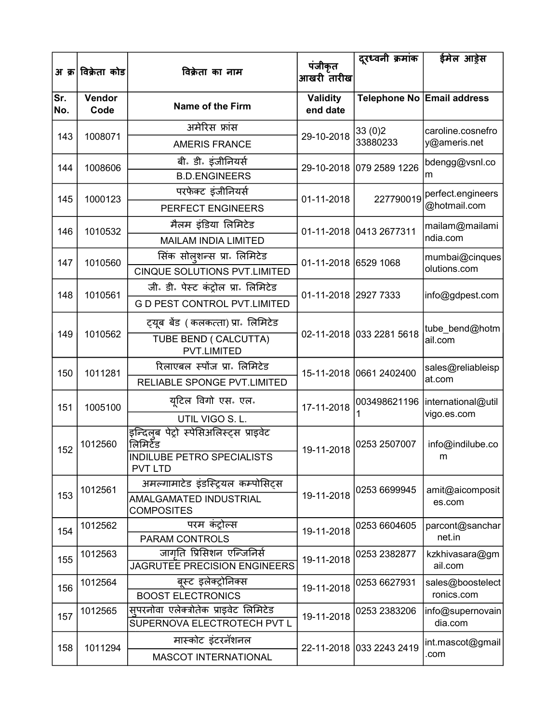|            | अ क्र विक्रेता कोड | विक्रेता का नाम                                                  | पंजीकृत                     | दूरध्वनी क्रमांक         | ईमेल आड़ेस                        |
|------------|--------------------|------------------------------------------------------------------|-----------------------------|--------------------------|-----------------------------------|
|            |                    |                                                                  | आखरी तारीख                  |                          |                                   |
| Sr.<br>No. | Vendor<br>Code     | <b>Name of the Firm</b>                                          | <b>Validity</b><br>end date |                          | Telephone No Email address        |
| 143        | 1008071            | अमेरिस फ्रांस                                                    | 29-10-2018                  | 33(0)2                   | caroline.cosnefro                 |
|            |                    | <b>AMERIS FRANCE</b>                                             |                             | 33880233                 | y@ameris.net                      |
| 144        | 1008606            | बी. डी. इंजीनियर्स                                               |                             | 29-10-2018 079 2589 1226 | bdengg@vsnl.co                    |
|            |                    | <b>B.D.ENGINEERS</b>                                             |                             |                          | m                                 |
| 145        | 1000123            | परफेक्ट इंजीनियर्स                                               | 01-11-2018                  | 227790019                | perfect.engineers                 |
|            |                    | <b>PERFECT ENGINEERS</b>                                         |                             |                          | @hotmail.com                      |
| 146        | 1010532            | मैलम इंडिया लिमिटेड                                              |                             | 01-11-2018 0413 2677311  | mailam@mailami                    |
|            |                    | <b>MAILAM INDIA LIMITED</b>                                      |                             |                          | ndia.com                          |
| 147        | 1010560            | सिंक सोलशन्स प्रा॰ लिमिटेड                                       | 01-11-2018 6529 1068        |                          | mumbai@cinques                    |
|            |                    | <b>CINQUE SOLUTIONS PVT.LIMITED</b>                              |                             |                          | olutions.com                      |
| 148        | 1010561            | जी॰ डी॰ पेस्ट कंट्रोल प्रा॰ लिमिटेड                              | 01-11-2018 2927 7333        |                          | info@gdpest.com                   |
|            |                    | <b>G D PEST CONTROL PVT.LIMITED</b>                              |                             |                          |                                   |
|            | 1010562            | ट्यूब बेंड (कलकत्ता) प्रा॰ लिमिटेड                               | 02-11-2018 033 2281 5618    |                          | tube_bend@hotm                    |
| 149        |                    | TUBE BEND ( CALCUTTA)<br><b>PVT.LIMITED</b>                      |                             |                          | ail.com                           |
| 150        | 1011281            | रिलाएबल स्पोंज प्रा॰ लिमिटेड                                     |                             | 15-11-2018 0661 2402400  | sales@reliableisp                 |
|            |                    | RELIABLE SPONGE PVT.LIMITED                                      |                             |                          | at.com                            |
| 151        | 1005100            | यटिल विगो एस. एल.                                                | 17-11-2018                  | 003498621196<br>1        | international@util<br>vigo.es.com |
|            |                    | UTIL VIGO S. L.                                                  |                             |                          |                                   |
|            | 1012560            | इन्दिलूब पेट्रो स्पेसिअलिस्ट्स प्राइवेट<br>लिमिर्टेड             |                             | 0253 2507007             | info@indilube.co                  |
| 152        |                    | INDILUBE PETRO SPECIALISTS<br><b>PVT LTD</b>                     | 19-11-2018                  |                          | m                                 |
|            | 1012561            | अमल्गामाटेड इंडस्ट्रियल कम्पोसिट्स                               |                             | 0253 6699945             | amit@aicomposit                   |
| 153        |                    | AMALGAMATED INDUSTRIAL<br><b>COMPOSITES</b>                      | 19-11-2018                  |                          | es.com                            |
| 154        | 1012562            | परम कंट्रोल्स                                                    | 19-11-2018                  | 0253 6604605             | parcont@sanchar                   |
|            |                    | PARAM CONTROLS                                                   |                             |                          | net.in                            |
| 155        | 1012563            | जागति प्रिसिशन एन्जिनिर्स<br><b>JAGRUTEE PRECISION ENGINEERS</b> | 19-11-2018                  | 0253 2382877             | kzkhivasara@gm<br>ail.com         |
|            | 1012564            | बुस्ट इलेक्ट्रोनिक्स                                             |                             | 0253 6627931             |                                   |
| 156        |                    | <b>BOOST ELECTRONICS</b>                                         | 19-11-2018                  |                          | sales@boostelect<br>ronics.com    |
|            | 1012565            | सुपरनोवा एलेक्ट्रोतेक प्राइवेट लिमिटेड                           |                             | 0253 2383206             | info@supernovain                  |
| 157        |                    | SUPERNOVA ELECTROTECH PVT L                                      | 19-11-2018                  |                          | dia.com                           |
| 158        | 1011294            | मास्कोट इंटरनॅशनल                                                |                             | 22-11-2018 033 2243 2419 | int.mascot@gmail                  |
|            |                    | <b>MASCOT INTERNATIONAL</b>                                      |                             |                          | .com                              |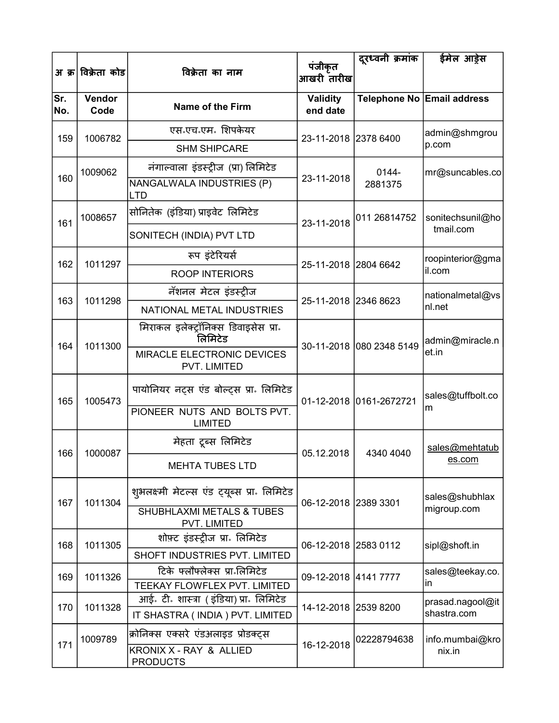|            |                    |                                                               | पंजीकृत                     | दूरध्वनी क्रमांक         | ईमेल आड़ेस                 |
|------------|--------------------|---------------------------------------------------------------|-----------------------------|--------------------------|----------------------------|
|            | अ क्र विक्रेता कोड | विक्रेता का नाम                                               | आखरी तारीख                  |                          |                            |
| Sr.<br>No. | Vendor<br>Code     | <b>Name of the Firm</b>                                       | <b>Validity</b><br>end date |                          | Telephone No Email address |
| 159        | 1006782            | एस॰एच॰एम॰ शिपकेयर                                             | 23-11-2018 2378 6400        |                          | admin@shmgrou              |
|            |                    | <b>SHM SHIPCARE</b>                                           |                             |                          | p.com                      |
|            | 1009062            | नंगाल्वाला इंडस्ट्रीज (प्रा) लिमिटेड                          |                             | 0144-                    | mr@suncables.co            |
| 160        |                    | NANGALWALA INDUSTRIES (P)<br><b>LTD</b>                       | 23-11-2018                  | 2881375                  |                            |
| 161        | 1008657            | सोनितेक (इंडिया) प्राइवेट लिमिटेड                             | 23-11-2018                  | 011 26814752             | sonitechsunil@ho           |
|            |                    | SONITECH (INDIA) PVT LTD                                      |                             |                          | tmail.com                  |
| 162        | 1011297            | रूप इंटेरियर्स                                                | 25-11-2018 2804 6642        |                          | roopinterior@gma           |
|            |                    | <b>ROOP INTERIORS</b>                                         |                             |                          | il.com                     |
| 163        | 1011298            | नॅशनल मेटल इंडर्स्ट्रीज                                       | 25-11-2018 2346 8623        |                          | nationalmetal@vs           |
|            |                    | NATIONAL METAL INDUSTRIES                                     |                             |                          | nl.net                     |
| 164        | 1011300            | मिराकल इलेक्ट्रॉनिक्स डिवाइसेस प्रा.<br>लिमिटेड               |                             | 30-11-2018 080 2348 5149 | admin@miracle.n            |
|            |                    | MIRACLE ELECTRONIC DEVICES<br>PVT. LIMITED                    |                             |                          | et.in                      |
| 165        | 1005473            | पायोनियर नट्स एंड बोल्ट्स प्रा॰ लिमिटेड                       |                             | 01-12-2018 0161-2672721  | sales@tuffbolt.co          |
|            |                    | PIONEER NUTS AND BOLTS PVT.<br><b>LIMITED</b>                 |                             |                          | m                          |
| 166        | 1000087            | मेहता टूब्स लिमिटेड                                           | 05.12.2018                  | 4340 4040                | sales@mehtatub             |
|            |                    | <b>MEHTA TUBES LTD</b>                                        |                             |                          | es.com                     |
| 167        | 1011304            | शुभलक्ष्मी मेटल्स एंड ट्यूब्स प्रा॰ लिमिटेड                   | 06-12-2018 2389 3301        |                          | sales@shubhlax             |
|            |                    | SHUBHLAXMI METALS & TUBES<br><b>PVT. LIMITED</b>              |                             |                          | migroup.com                |
| 168        | 1011305            | शोफ़्ट इंडस्ट्रीज प्रा॰ लिमिटेड                               | 06-12-2018 2583 0112        |                          | sipl@shoft.in              |
|            |                    | SHOFT INDUSTRIES PVT. LIMITED                                 |                             |                          |                            |
| 169        | 1011326            | टिके फ्लौफ्लेक्स प्रा॰लिमिटेड<br>TEEKAY FLOWFLEX PVT. LIMITED | 09-12-2018 4141 7777        |                          | sales@teekay.co.<br>lin.   |
| 170        | 1011328            | आई॰ टी॰ शास्त्रा (इंडिया) प्रा॰ लिमिटेड                       | 14-12-2018 2539 8200        |                          | prasad.nagool@it           |
|            |                    | IT SHASTRA ( INDIA ) PVT. LIMITED                             |                             |                          | shastra.com                |
| 171        | 1009789            | क्रोनिक्स एक्सरे एंडअलाइड प्रोडक्ट्स                          | 16-12-2018                  | 02228794638              | info.mumbai@kro            |
|            |                    | KRONIX X - RAY & ALLIED<br><b>PRODUCTS</b>                    |                             |                          | nix.in                     |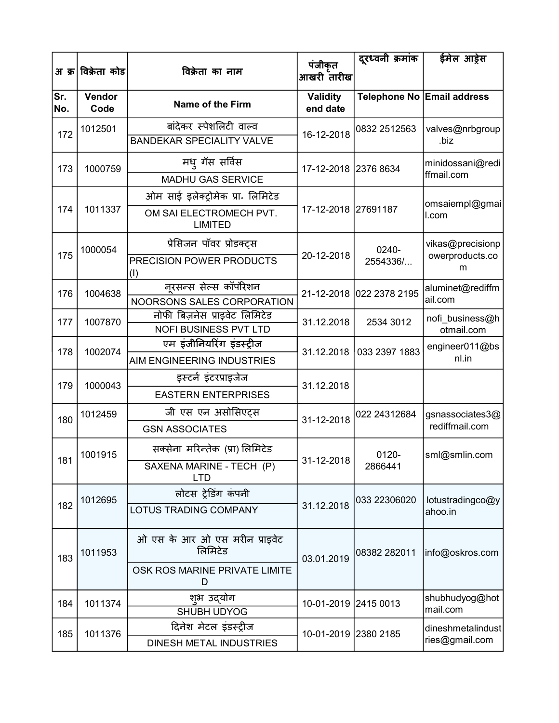| अ क्र।     | विक्रेता कोड   | विक्रेता का नाम                                               | पंजीकृत                     | दूरध्वनी क्रमांक         | ईमेल आड़ेस                 |
|------------|----------------|---------------------------------------------------------------|-----------------------------|--------------------------|----------------------------|
|            |                |                                                               | आखरी तारीख                  |                          |                            |
| Sr.<br>No. | Vendor<br>Code | Name of the Firm                                              | <b>Validity</b><br>end date |                          | Telephone No Email address |
| 172        | 1012501        | बांदेकर स्पेशलिटी वाल्व                                       |                             | 0832 2512563             | valves@nrbgroup            |
|            |                | <b>BANDEKAR SPECIALITY VALVE</b>                              | 16-12-2018                  |                          | .biz                       |
| 173        | 1000759        | मध् गॅस सर्विस                                                | 17-12-2018 2376 8634        |                          | minidossani@redi           |
|            |                | <b>MADHU GAS SERVICE</b>                                      |                             |                          | ffmail.com                 |
|            |                | ओम साई इलेक्ट्रोमेक प्रा॰ लिमिटेड                             |                             |                          | omsaiempl@gmai             |
| 174        | 1011337        | OM SAI ELECTROMECH PVT.<br><b>LIMITED</b>                     | 17-12-2018 27691187         |                          | I.com                      |
|            | 1000054        | प्रेसिजन पॉवर प्रोडक्ट्स                                      |                             | 0240-                    | vikas@precisionp           |
| 175        |                | PRECISION POWER PRODUCTS<br>(1)                               | 20-12-2018                  | 2554336/                 | owerproducts.co<br>m       |
| 176        | 1004638        | नूरसन्स सेल्स कॉर्पोरेशन                                      |                             | 21-12-2018 022 2378 2195 | aluminet@rediffm           |
|            |                | NOORSONS SALES CORPORATION                                    |                             |                          | ail.com                    |
| 177        | 1007870        | नोफी बिज़नेस प्राइवेट लिमिटेड<br><b>NOFI BUSINESS PVT LTD</b> | 31.12.2018                  | 2534 3012                | nofi_business@h            |
|            | 1002074        | एम इंजीनियरिंग इंडस्ट्रीज                                     |                             |                          | otmail.com                 |
| 178        |                | <b>AIM ENGINEERING INDUSTRIES</b>                             |                             | 31.12.2018 033 2397 1883 | engineer011@bs<br>nl.in    |
|            |                | इस्टर्न इंटरप्राइजेज                                          |                             |                          |                            |
| 179        | 1000043        | <b>EASTERN ENTERPRISES</b>                                    | 31.12.2018                  |                          |                            |
| 180        | 1012459        | जी एस एन असोसिएट्स                                            | 31-12-2018                  | 022 24312684             | gsnassociates3@            |
|            |                | <b>GSN ASSOCIATES</b>                                         |                             |                          | rediffmail.com             |
|            | 1001915        | सक्सेना मरिन्तेक (प्रा) लिमिटेड                               |                             | 0120-                    | sml@smlin.com              |
| 181        |                | SAXENA MARINE - TECH (P)<br><b>LTD</b>                        | 31-12-2018                  | 2866441                  |                            |
|            | 1012695        | लोटस ट्रेडिंग कंपनी                                           |                             | 033 22306020             | lotustradingco@y           |
| 182        |                | LOTUS TRADING COMPANY                                         | 31.12.2018                  |                          | ahoo.in                    |
| 183        | 1011953        | ओ एस के आर ओ एस मरीन प्राइवेट<br>लिमिटेड                      | 03.01.2019                  | 08382 282011             | info@oskros.com            |
|            |                | OSK ROS MARINE PRIVATE LIMITE<br>D                            |                             |                          |                            |
| 184        | 1011374        | श्भ उद्योग                                                    | 10-01-2019 2415 0013        |                          | shubhudyog@hot             |
|            |                | SHUBH UDYOG                                                   |                             |                          | mail.com                   |
| 185        | 1011376        | दिनेश मेटल इंडस्ट्रीज                                         | 10-01-2019 2380 2185        |                          | dineshmetalindust          |
|            |                | DINESH METAL INDUSTRIES                                       |                             |                          | ries@gmail.com             |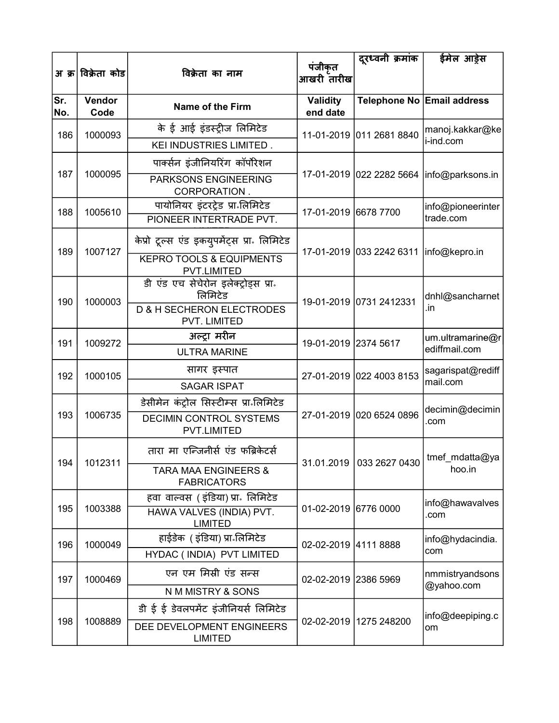|            | अ क्र विक्रेता कोड | विक्रेता का नाम                                             | पंजीकृत                     | दूरध्वनी क्रमांक                        | ईमेल आड़ेस                                    |
|------------|--------------------|-------------------------------------------------------------|-----------------------------|-----------------------------------------|-----------------------------------------------|
|            |                    |                                                             | आखरी तारीख                  |                                         |                                               |
| Sr.<br>No. | Vendor<br>Code     | <b>Name of the Firm</b>                                     | <b>Validity</b><br>end date |                                         | Telephone No Email address                    |
| 186        | 1000093            | के ई आई इंडस्ट्रीज लिमिटेड<br>KEI INDUSTRIES LIMITED.       |                             | 11-01-2019 011 2681 8840                | manoj.kakkar@ke<br>i-ind.com                  |
|            |                    | पार्क्सन इंजीनियरिंग कॉर्पोरेशन                             |                             |                                         |                                               |
| 187        | 1000095            | <b>PARKSONS ENGINEERING</b><br>CORPORATION.                 |                             |                                         | 17-01-2019   022 2282 5664   info@parksons.in |
| 188        | 1005610            | पायोनियर इंटरट्रेड प्रा लिमिटेड<br>PIONEER INTERTRADE PVT.  | 17-01-2019 6678 7700        |                                         | info@pioneerinter<br>trade.com                |
|            |                    | केप्रो टूल्स एंड इकयुपमेंट्स प्रा लिमिटेड                   |                             |                                         |                                               |
| 189        | 1007127            | <b>KEPRO TOOLS &amp; EQUIPMENTS</b><br>PVT.LIMITED          |                             | 17-01-2019 033 2242 6311  info@kepro.in |                                               |
| 190        | 1000003            | डी एंड एच सेचेरोन इलेक्ट्रोड्स प्रा.<br>लिमिटेड             | 19-01-2019 0731 2412331     |                                         | dnhl@sancharnet                               |
|            |                    | <b>D &amp; H SECHERON ELECTRODES</b><br>PVT. LIMITED        |                             |                                         | .in                                           |
| 191        | 1009272            | अल्ट्रा मरीन                                                | 19-01-2019 2374 5617        |                                         | um.ultramarine@r<br>ediffmail.com             |
|            |                    | <b>ULTRA MARINE</b>                                         |                             |                                         |                                               |
| 192        | 1000105            | सागर इस्पात                                                 |                             | 27-01-2019 022 4003 8153                | sagarispat@rediff<br>mail.com                 |
|            |                    | <b>SAGAR ISPAT</b>                                          |                             |                                         |                                               |
| 193        | 1006735            | डेसीमेन कंट्रोल सिस्टीम्स प्रा॰लिमिटेड                      |                             | 27-01-2019 020 6524 0896                | decimin@decimin                               |
|            |                    | <b>DECIMIN CONTROL SYSTEMS</b><br>PVT.LIMITED               |                             |                                         | .com                                          |
|            |                    | तारा मा एन्जिनीर्स एंड फब्रिकेटर्स                          |                             |                                         | 31.01.2019 033 2627 0430   tmef_mdatta@ya     |
| 194        | 1012311            | <b>TARA MAA ENGINEERS &amp;</b><br><b>FABRICATORS</b>       |                             |                                         | hoo.in                                        |
|            |                    | हवा वाल्वस ( इंडिया) प्रा. लिमिटेड                          |                             |                                         | info@hawavalves                               |
| 195        | 1003388            | HAWA VALVES (INDIA) PVT.<br><b>LIMITED</b>                  | 01-02-2019 6776 0000        |                                         | .com                                          |
| 196        | 1000049            | हाईडेक ( इंडिया) प्रा लिमिटेड<br>HYDAC ( INDIA) PVT LIMITED | 02-02-2019 4111 8888        |                                         | info@hydacindia.<br>com                       |
| 197        | 1000469            | एन एम मिस्री एंड सन्स                                       | 02-02-2019 2386 5969        |                                         | nmmistryandsons                               |
|            |                    | N M MISTRY & SONS                                           |                             |                                         | @yahoo.com                                    |
|            |                    | डी ई ई डेवलपमेंट इंजीनियर्स लिमिटेड                         |                             |                                         | info@deepiping.c                              |
| 198        | 1008889            | DEE DEVELOPMENT ENGINEERS<br><b>LIMITED</b>                 |                             | 02-02-2019   1275 248200                | om                                            |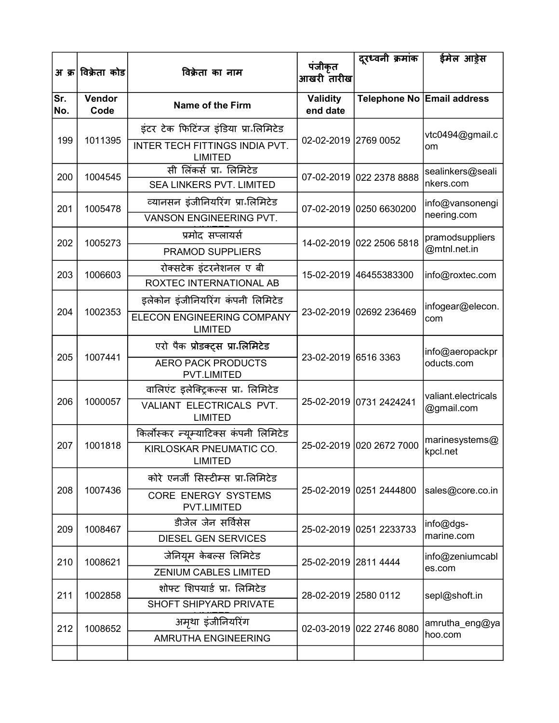|            | अ क्र विक्रेता कोड | विक्रेता का नाम                                  | पंजीकृत                     | दूरध्वनी क्रमांक         | ईमेल आड़ेस                 |
|------------|--------------------|--------------------------------------------------|-----------------------------|--------------------------|----------------------------|
|            |                    |                                                  | आखरी तारीख                  |                          |                            |
| Sr.<br>No. | Vendor<br>Code     | Name of the Firm                                 | <b>Validity</b><br>end date |                          | Telephone No Email address |
|            |                    | इंटर टेक फिटिंग्ज इंडिया प्रा लिमिटेड            |                             |                          | vtc0494@gmail.c            |
| 199        | 1011395            | INTER TECH FITTINGS INDIA PVT.<br><b>LIMITED</b> | 02-02-2019 2769 0052        |                          | om                         |
| 200        | 1004545            | सी लिंकर्स प्रा॰ लिमिटेड                         |                             | 07-02-2019 022 2378 8888 | sealinkers@seali           |
|            |                    | <b>SEA LINKERS PVT. LIMITED</b>                  |                             |                          | nkers.com                  |
| 201        | 1005478            | व्यानसन इंजीनियरिंग प्रा लिमिटेड                 |                             | 07-02-2019 0250 6630200  | info@vansonengi            |
|            |                    | VANSON ENGINEERING PVT.                          |                             |                          | neering.com                |
| 202        | 1005273            | प्रमोद सप्लायर्स                                 |                             | 14-02-2019 022 2506 5818 | pramodsuppliers            |
|            |                    | <b>PRAMOD SUPPLIERS</b>                          |                             |                          | @mtnl.net.in               |
| 203        | 1006603            | रोक्सटेक इंटरनेशनल ए बी                          | 15-02-2019                  | 46455383300              | info@roxtec.com            |
|            |                    | ROXTEC INTERNATIONAL AB                          |                             |                          |                            |
|            |                    | इलेकोन इंजीनियरिंग कंपनी लिमिटेड                 | 23-02-2019 02692 236469     |                          | infogear@elecon.<br>com    |
| 204        | 1002353            | ELECON ENGINEERING COMPANY<br><b>LIMITED</b>     |                             |                          |                            |
|            | 1007441            | एरो पैक प्रोडक्ट्स प्रा लिमिटेड                  | 23-02-2019 6516 3363        |                          | info@aeropackpr            |
| 205        |                    | <b>AERO PACK PRODUCTS</b><br><b>PVT.LIMITED</b>  |                             |                          | oducts.com                 |
|            |                    | वालिएंट इलेक्ट्रिकल्स प्रा. लिमिटेड              |                             |                          | valiant.electricals        |
| 206        | 1000057            | VALIANT ELECTRICALS PVT.<br><b>LIMITED</b>       |                             | 25-02-2019 0731 2424241  | @gmail.com                 |
|            |                    | किर्लोस्कर न्यूम्याटिक्स कंपनी लिमिटेड           |                             |                          | marinesystems@             |
| 207        | 1001818            | KIRLOSKAR PNEUMATIC CO.<br>LIMITED               |                             | 25-02-2019 020 2672 7000 | kpcl.net                   |
|            |                    | कोरे एनर्जी सिस्टीम्स प्रा लिमिटेड               |                             |                          |                            |
| 208        | 1007436            | <b>CORE ENERGY SYSTEMS</b><br><b>PVT.LIMITED</b> |                             | 25-02-2019 0251 2444800  | sales@core.co.in           |
| 209        | 1008467            | डीजेल जेन सर्विसेस                               |                             | 25-02-2019 0251 2233733  | info@dgs-                  |
|            |                    | <b>DIESEL GEN SERVICES</b>                       |                             |                          | marine.com                 |
| 210        | 1008621            | जेनियूम केबल्स लिमिटेड                           | 25-02-2019 2811 4444        |                          | info@zeniumcabl            |
|            |                    | <b>ZENIUM CABLES LIMITED</b>                     |                             |                          | es.com                     |
| 211        | 1002858            | शोफ्ट शिपयार्ड प्रा. लिमिटेड                     | 28-02-2019 2580 0112        |                          | sepl@shoft.in              |
|            |                    | SHOFT SHIPYARD PRIVATE                           |                             |                          |                            |
| 212        | 1008652            | अमृथा इंजीनियरिंग                                |                             | 02-03-2019 022 2746 8080 | amrutha_eng@ya             |
|            |                    | AMRUTHA ENGINEERING                              |                             |                          | hoo.com                    |
|            |                    |                                                  |                             |                          |                            |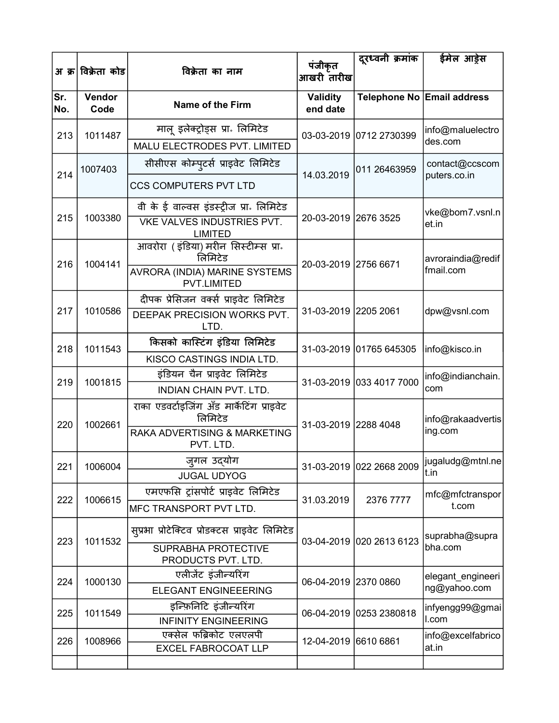|            | अ क्र विक्रेता कोड | विक्रेता का नाम                                      | पंजीकृत<br>आखरी तारीख       | दूरध्वनी क्रमांक         | ईमेल आड़ेस                     |
|------------|--------------------|------------------------------------------------------|-----------------------------|--------------------------|--------------------------------|
| Sr.<br>No. | Vendor<br>Code     | Name of the Firm                                     | <b>Validity</b><br>end date |                          | Telephone No Email address     |
| 213        | 1011487            | मालू इलेक्ट्रोड्स प्रा. लिमिटेड                      |                             | 03-03-2019 0712 2730399  | info@maluelectro               |
|            |                    | MALU ELECTRODES PVT. LIMITED                         |                             |                          | des.com                        |
| 214        | 1007403            | सीसीएस कोम्पुटर्स प्राइवेट लिमिटेड                   | 14.03.2019                  | 011 26463959             | contact@ccscom<br>puters.co.in |
|            |                    | <b>CCS COMPUTERS PVT LTD</b>                         |                             |                          |                                |
|            |                    | वी के ई वाल्वस इंडस्ट्रीज प्रा लिमिटेड               |                             |                          | vke@bom7.vsnl.n                |
| 215        | 1003380            | VKE VALVES INDUSTRIES PVT.<br><b>LIMITED</b>         | 20-03-2019 2676 3525        |                          | et.in                          |
| 216        | 1004141            | आवरोरा (इंडिया) मरीन सिस्टीम्स प्रा.<br>लिमिटेड      | 20-03-2019 2756 6671        |                          | avroraindia@redif              |
|            |                    | AVRORA (INDIA) MARINE SYSTEMS<br><b>PVT.LIMITED</b>  |                             |                          | fmail.com                      |
|            |                    | दीपक प्रेसिजन वर्क्स प्राइवेट लिमिटेड                |                             |                          |                                |
| 217        | 1010586            | DEEPAK PRECISION WORKS PVT.<br>LTD.                  | 31-03-2019 2205 2061        |                          | dpw@vsnl.com                   |
| 218        | 1011543            | किसको कास्टिंग इंडिया लिमिटेड                        |                             | 31-03-2019 01765 645305  | info@kisco.in                  |
|            |                    | KISCO CASTINGS INDIA LTD.                            |                             |                          |                                |
| 219        | 1001815            | इंडियन चैन प्राइवेट लिमिटेड                          |                             | 31-03-2019 033 4017 7000 | info@indianchain.              |
|            |                    | <b>INDIAN CHAIN PVT. LTD.</b>                        |                             |                          | com                            |
| 220        | 1002661            | राका एडवर्टाइजिंग अँड मार्केटिंग प्राइवेट<br>लिमिटेड | 31-03-2019 2288 4048        |                          | info@rakaadvertis              |
|            |                    | RAKA ADVERTISING & MARKETING<br>PVT. LTD.            |                             |                          | ing.com                        |
| 221        | 1006004            | जुगल उद्योग                                          |                             | 31-03-2019 022 2668 2009 | jugaludg@mtnl.ne               |
|            |                    | <b>JUGAL UDYOG</b>                                   |                             |                          | t.in                           |
| 222        | 1006615            | एमएफसि ट्रांसपोर्ट प्राइवेट लिमिटेड                  | 31.03.2019                  | 2376 7777                | mfc@mfctranspor                |
|            |                    | MFC TRANSPORT PVT LTD.                               |                             |                          | t.com                          |
| 223        | 1011532            | सुप्रभा प्रोटेक्टिव प्रोडक्टस प्राइवेट लिमिटेड       |                             | 03-04-2019 020 2613 6123 | suprabha@supra                 |
|            |                    | SUPRABHA PROTECTIVE<br>PRODUCTS PVT. LTD.            |                             |                          | bha.com                        |
| 224        | 1000130            | एलीजेंट इंजीन्यरिंग                                  | 06-04-2019 2370 0860        |                          | elegant_engineeri              |
|            |                    | <b>ELEGANT ENGINEEERING</b>                          |                             |                          | ng@yahoo.com                   |
| 225        | 1011549            | इन्फ़िनिटि इंजीन्यरिंग                               |                             | 06-04-2019 0253 2380818  | infyengg99@gmai                |
|            |                    | <b>INFINITY ENGINEERING</b>                          |                             |                          | I.com                          |
| 226        | 1008966            | एक्सेल फब्रिकोट एलएलपी<br>EXCEL FABROCOAT LLP        | 12-04-2019 6610 6861        |                          | info@excelfabrico<br>at.in     |
|            |                    |                                                      |                             |                          |                                |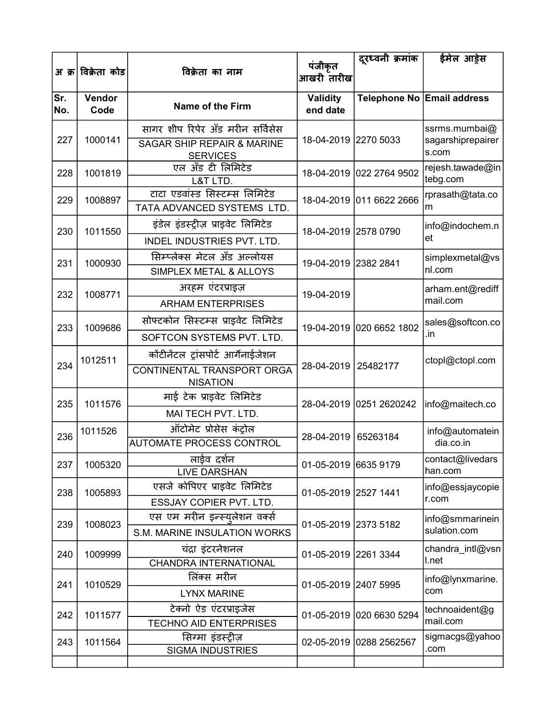|            | अ क्र विक्रेता कोड | विक्रेता का नाम                                                                              | पंजीकृत                     | दूरध्वनी क्रमांक         | ईमेल आड़ेस                                  |
|------------|--------------------|----------------------------------------------------------------------------------------------|-----------------------------|--------------------------|---------------------------------------------|
|            |                    |                                                                                              | आखरी तारीख                  |                          |                                             |
| Sr.<br>No. | Vendor<br>Code     | <b>Name of the Firm</b>                                                                      | <b>Validity</b><br>end date |                          | Telephone No Email address                  |
| 227        | 1000141            | सागर शीप रिपेर अँड मरीन सर्विसेस<br><b>SAGAR SHIP REPAIR &amp; MARINE</b><br><b>SERVICES</b> | 18-04-2019 2270 5033        |                          | ssrms.mumbai@<br>sagarshiprepairer<br>s.com |
| 228        | 1001819            | एल अँड टी लिमिटेड<br>L&T LTD.                                                                |                             | 18-04-2019 022 2764 9502 | rejesh.tawade@in<br>tebg.com                |
| 229        | 1008897            | टाटा एडवांस्ड सिस्टम्स लिमिटेड<br>TATA ADVANCED SYSTEMS LTD.                                 |                             | 18-04-2019 011 6622 2666 | rprasath@tata.co<br>m                       |
| 230        | 1011550            | इंडेल इंडस्ट्रीज़ प्राइवेट लिमिटेड<br>INDEL INDUSTRIES PVT. LTD.                             | 18-04-2019 2578 0790        |                          | info@indochem.n<br>et                       |
| 231        | 1000930            | सिम्प्लेक्स मेटल अँड अल्लोयस<br>SIMPLEX METAL & ALLOYS                                       | 19-04-2019 2382 2841        |                          | simplexmetal@vs<br>nl.com                   |
| 232        | 1008771            | अरहम एंटरप्राइज़<br><b>ARHAM ENTERPRISES</b>                                                 | 19-04-2019                  |                          | arham.ent@rediff<br>mail.com                |
| 233        | 1009686            | सोफ्टकोन सिस्टम्स प्राइवेट लिमिटेड<br>SOFTCON SYSTEMS PVT. LTD.                              |                             | 19-04-2019 020 6652 1802 | sales@softcon.co<br>.in                     |
| 234        | 1012511            | कोंटीनेंटल ट्रांसपोर्ट आर्गेनाईजेशन<br>CONTINENTAL TRANSPORT ORGA<br><b>NISATION</b>         | 28-04-2019                  | 25482177                 | ctopl@ctopl.com                             |
| 235        | 1011576            | माई टेक प्राइवेट लिमिटेड<br>MAI TECH PVT. LTD.                                               |                             | 28-04-2019 0251 2620242  | info@maitech.co                             |
| 236        | 1011526            | ऑटोमेट प्रोसेस कंट्रोल<br><b>AUTOMATE PROCESS CONTROL</b>                                    | 28-04-2019                  | 65263184                 | info@automatein<br>dia.co.in                |
| 237        | 1005320            | लाईव दर्शन<br><b>LIVE DARSHAN</b>                                                            | 01-05-2019 6635 9179        |                          | contact@livedars<br>han.com                 |
| 238        | 1005893            | एसजे कोपिएर प्राइवेट लिमिटेड<br>ESSJAY COPIER PVT. LTD.                                      | 01-05-2019 2527 1441        |                          | info@essjaycopie<br>r.com                   |
| 239        | 1008023            | एस एम मरीन इन्स्युलेशन वर्क्स<br>S.M. MARINE INSULATION WORKS                                | 01-05-2019 2373 5182        |                          | info@smmarinein<br>sulation.com             |
| 240        | 1009999            | चंद्रा इंटरनेशनल<br><b>CHANDRA INTERNATIONAL</b>                                             | 01-05-2019 2261 3344        |                          | chandra_intl@vsn<br>I.net                   |
| 241        | 1010529            | लिंक्स मरीन<br><b>LYNX MARINE</b>                                                            | 01-05-2019 2407 5995        |                          | info@lynxmarine.<br>com                     |
| 242        | 1011577            | टेक्नो ऐड एंटरप्राइजेस<br><b>TECHNO AID ENTERPRISES</b>                                      |                             | 01-05-2019 020 6630 5294 | technoaident@g<br>mail.com                  |
| 243        | 1011564            | सिग्मा इंडस्ट्रीज़<br><b>SIGMA INDUSTRIES</b>                                                |                             | 02-05-2019 0288 2562567  | sigmacgs@yahoo<br>.com                      |
|            |                    |                                                                                              |                             |                          |                                             |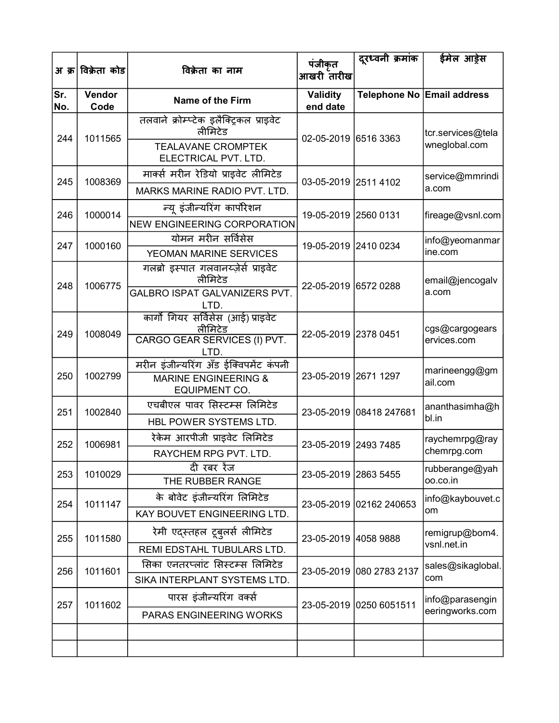| अ क्र      | विक्रेता कोड   | विक्रेता का नाम                                                                  | पंजीकृत<br>आखरी तारीख       | दूरध्वनी क्रमांक         | ईमेल आड़ेस                         |
|------------|----------------|----------------------------------------------------------------------------------|-----------------------------|--------------------------|------------------------------------|
| Sr.<br>No. | Vendor<br>Code | Name of the Firm                                                                 | <b>Validity</b><br>end date |                          | Telephone No Email address         |
| 244        | 1011565        | तलवाने क्रोम्प्टेक इलैक्ट्रिकल प्राइवेट<br>लीमिटेड<br><b>TEALAVANE CROMPTEK</b>  | 02-05-2019 6516 3363        |                          | tcr.services@tela<br>wneglobal.com |
|            |                | ELECTRICAL PVT. LTD.                                                             |                             |                          |                                    |
| 245        | 1008369        | मार्क्स मरीन रेडियो प्राइवेट लीमिटेड<br>MARKS MARINE RADIO PVT. LTD.             | 03-05-2019 2511 4102        |                          | service@mmrindi<br>a.com           |
|            |                | न्यू इंजीन्यरिंग कार्पोरेशन                                                      |                             |                          |                                    |
| 246        | 1000014        | <b>NEW ENGINEERING CORPORATION</b>                                               | 19-05-2019 2560 0131        |                          | fireage@vsnl.com                   |
| 247        | 1000160        | योमन मरीन सर्विसेस<br>YEOMAN MARINE SERVICES                                     | 19-05-2019 2410 0234        |                          | info@yeomanmar<br>ine.com          |
| 248        | 1006775        | गलब्रो इस्पात गलवानय्ज़ेर्स प्राइवेट<br>लीमिटेड<br>GALBRO ISPAT GALVANIZERS PVT. | 22-05-2019 6572 0288        |                          | email@jencogalv                    |
|            |                | LTD.                                                                             |                             |                          | a.com                              |
| 249        | 1008049        | कार्गो गियर सर्विसेस (आई) प्राइवेट<br>लीमिटेड<br>CARGO GEAR SERVICES (I) PVT.    | 22-05-2019 2378 0451        |                          | cgs@cargogears<br>ervices.com      |
|            |                | LTD.<br>मरीन इंजीन्यरिंग अँड ईक्विपमेंट कंपनी                                    |                             |                          |                                    |
| 250        | 1002799        | <b>MARINE ENGINEERING &amp;</b><br><b>EQUIPMENT CO.</b>                          | 23-05-2019 2671 1297        |                          | marineengg@gm<br>ail.com           |
| 251        | 1002840        | एचबीएल पावर सिस्टम्स लिमिटेड<br>HBL POWER SYSTEMS LTD.                           |                             | 23-05-2019 08418 247681  | ananthasimha@h<br>bl.in            |
| 252        | 1006981        | रेकेम आरपीजी प्राइवेट लिमिटेड                                                    | 23-05-2019 2493 7485        |                          | raychemrpg@ray                     |
|            |                | RAYCHEM RPG PVT. LTD.<br>दी रबर रेंज                                             |                             |                          | chemrpg.com<br>rubberange@yah      |
| 253        | 1010029        | THE RUBBER RANGE                                                                 | 23-05-2019 2863 5455        |                          | 00.co.in                           |
| 254        | 1011147        | के बोवेट इंजीन्यरिंग लिमिटेड                                                     |                             | 23-05-2019 02162 240653  | info@kaybouvet.c<br>om             |
|            |                | KAY BOUVET ENGINEERING LTD.                                                      |                             |                          |                                    |
| 255        | 1011580        | रेमी एद्स्तहल टूबुलर्स लीमिटेड<br>REMI EDSTAHL TUBULARS LTD.                     | 23-05-2019 4058 9888        |                          | remigrup@bom4.<br>vsnl.net.in      |
| 256        | 1011601        | सिका एनतरप्लांट सिस्टम्स लिमिटेड<br>SIKA INTERPLANT SYSTEMS LTD.                 |                             | 23-05-2019 080 2783 2137 | sales@sikaglobal.<br>com           |
|            |                | पारस इंजीन्यरिंग वर्क्स                                                          |                             |                          | info@parasengin                    |
| 257        | 1011602        | PARAS ENGINEERING WORKS                                                          |                             | 23-05-2019 0250 6051511  | eeringworks.com                    |
|            |                |                                                                                  |                             |                          |                                    |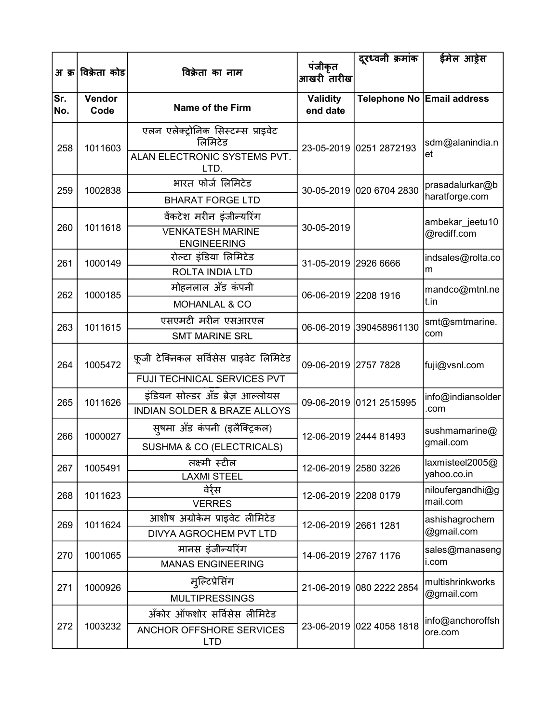|            | अ क्र विक्रेता कोड | विक्रेता का नाम                                                                                        | पंजीकृत<br>आखरी तारीख       | दूरध्वनी क्रमांक         | ईमेल आड़ेस                        |
|------------|--------------------|--------------------------------------------------------------------------------------------------------|-----------------------------|--------------------------|-----------------------------------|
| Sr.<br>No. | Vendor<br>Code     | Name of the Firm                                                                                       | <b>Validity</b><br>end date |                          | Telephone No Email address        |
| 258        | 1011603            | एलन एलेक्ट्रोनिक सिस्टम्स प्राइवेट<br>लिमिटेड<br>ALAN ELECTRONIC SYSTEMS PVT.<br>LTD.                  |                             | 23-05-2019 0251 2872193  | sdm@alanindia.n<br>et             |
| 259        | 1002838            | भारत फोर्ज लिमिटेड<br><b>BHARAT FORGE LTD</b>                                                          |                             | 30-05-2019 020 6704 2830 | prasadalurkar@b<br>haratforge.com |
| 260        | 1011618            | वेंकटेश मरीन इंजीन्यरिंग<br><b>VENKATESH MARINE</b><br><b>ENGINEERING</b>                              | 30-05-2019                  |                          | ambekar_jeetu10<br>@rediff.com    |
| 261        | 1000149            | रोल्टा इंडिया लिमिटेड<br>ROLTA INDIA LTD                                                               | 31-05-2019 2926 6666        |                          | indsales@rolta.co<br>m            |
| 262        | 1000185            | मोहनलाल अँड कंपनी<br>MOHANLAL & CO                                                                     | 06-06-2019 2208 1916        |                          | mandco@mtnl.ne<br>t.in            |
| 263        | 1011615            | एसएमटी मरीन एसआरएल<br><b>SMT MARINE SRL</b>                                                            |                             | 06-06-2019 390458961130  | smt@smtmarine.<br>com             |
| 264        | 1005472            | फ़ूजी टेक्निकल सर्विसेस प्राइवेट लिमिटेड                                                               | 09-06-2019 2757 7828        |                          | fuji@vsnl.com                     |
| 265        | 1011626            | <b>FUJI TECHNICAL SERVICES PVT</b><br>इंडियन सोल्डर अँड ब्रेज़ आल्लोयस<br>INDIAN SOLDER & BRAZE ALLOYS |                             | 09-06-2019 0121 2515995  | info@indiansolder<br>.com         |
| 266        | 1000027            | सुषमा अँड कंपनी (इलैक्ट्रिकल)<br>SUSHMA & CO (ELECTRICALS)                                             |                             | 12-06-2019 2444 81493    | sushmamarine@<br>gmail.com        |
| 267        | 1005491            | लक्ष्मी स्टील<br><b>LAXMI STEEL</b>                                                                    | 12-06-2019 2580 3226        |                          | laxmisteel2005@<br>yahoo.co.in    |
| 268        | 1011623            | वेर्र्स<br><b>VERRES</b>                                                                               | 12-06-2019 2208 0179        |                          | niloufergandhi@g<br>mail.com      |
| 269        | 1011624            | आशीष अग्रोकेम प्राइवेट लीमिटेड<br>DIVYA AGROCHEM PVT LTD                                               | 12-06-2019 2661 1281        |                          | ashishagrochem<br>@gmail.com      |
| 270        | 1001065            | मानस इंजीन्यरिंग<br><b>MANAS ENGINEERING</b>                                                           | 14-06-2019 2767 1176        |                          | sales@manaseng<br>i.com           |
| 271        | 1000926            | मुल्टिप्रेसिंग<br><b>MULTIPRESSINGS</b>                                                                |                             | 21-06-2019 080 2222 2854 | multishrinkworks<br>@gmail.com    |
| 272        | 1003232            | अँकोर ऑफशोर सर्विसेस लीमिटेड<br>ANCHOR OFFSHORE SERVICES<br><b>LTD</b>                                 |                             | 23-06-2019 022 4058 1818 | info@anchoroffsh<br>ore.com       |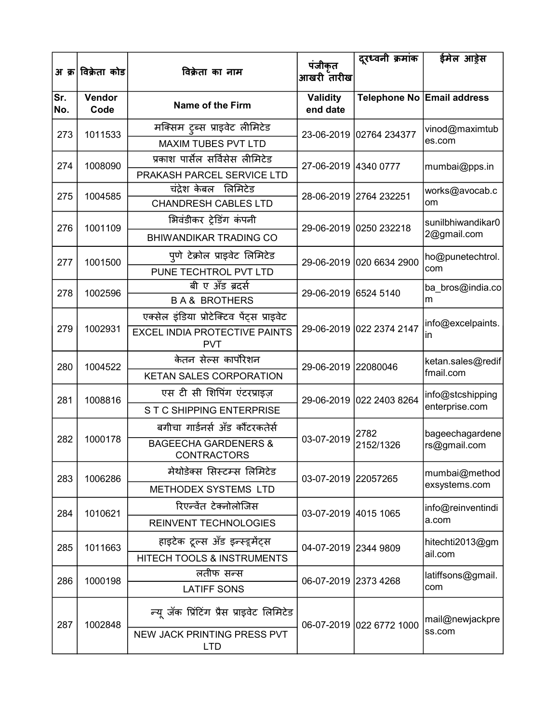|            | अ क्र विक्रेता कोड | विक्रेता का नाम                                                                                 | पंजीकृत<br>आखरी तारीख       | दूरध्वनी क्रमांक         | ईमेल आड़ेस                         |
|------------|--------------------|-------------------------------------------------------------------------------------------------|-----------------------------|--------------------------|------------------------------------|
| Sr.<br>No. | Vendor<br>Code     | <b>Name of the Firm</b>                                                                         | <b>Validity</b><br>end date |                          | Telephone No Email address         |
| 273        | 1011533            | मक्सिम टुब्स प्राइवेट लीमिटेड<br><b>MAXIM TUBES PVT LTD</b>                                     |                             | 23-06-2019 02764 234377  | vinod@maximtub<br>es.com           |
| 274        | 1008090            | प्रकाश पार्सेल सर्विसेस लीमिटेड<br>PRAKASH PARCEL SERVICE LTD                                   | 27-06-2019 4340 0777        |                          | mumbai@pps.in                      |
| 275        | 1004585            | चंद्रेश केबल लिमिटेड<br><b>CHANDRESH CABLES LTD</b>                                             |                             | 28-06-2019 2764 232251   | works@avocab.c<br>om               |
| 276        | 1001109            | भिवंडीकर ट्रेडिंग कंपनी<br><b>BHIWANDIKAR TRADING CO</b>                                        |                             | 29-06-2019 0250 232218   | sunilbhiwandikar0<br>2@gmail.com   |
| 277        | 1001500            | पुणे टेक्रोल प्राइवेट लिमिटेड<br>PUNE TECHTROL PVT LTD                                          |                             | 29-06-2019 020 6634 2900 | ho@punetechtrol.<br>com            |
| 278        | 1002596            | बी ए अँड ब्रदर्स<br><b>BA&amp; BROTHERS</b>                                                     | 29-06-2019 6524 5140        |                          | ba_bros@india.co<br>m              |
| 279        | 1002931            | एक्सेल इंडिया प्रोटेक्टिव पेंट्स प्राइवेट<br><b>EXCEL INDIA PROTECTIVE PAINTS</b><br><b>PVT</b> |                             | 29-06-2019 022 2374 2147 | info@excelpaints.<br>in            |
| 280        | 1004522            | केतन सेल्स कार्पोरेशन<br><b>KETAN SALES CORPORATION</b>                                         | 29-06-2019 22080046         |                          | ketan.sales@redif<br>fmail.com     |
| 281        | 1008816            | एस टी सी शिपिंग एंटरप्राइज़<br>STC SHIPPING ENTERPRISE                                          |                             | 29-06-2019 022 2403 8264 | info@stcshipping<br>enterprise.com |
| 282        | 1000178            | बगीचा गार्डनर्स अँड कौंटरकतेर्स<br><b>BAGEECHA GARDENERS &amp;</b><br><b>CONTRACTORS</b>        | 03-07-2019                  | 2782<br>2152/1326        | bageechagardene<br>rs@gmail.com    |
| 283        | 1006286            | मेथोडेक्स सिस्टम्स लिमिटेड<br>METHODEX SYSTEMS LTD                                              | 03-07-2019 22057265         |                          | mumbai@method<br>exsystems.com     |
| 284        | 1010621            | रिएन्वेंत टेक्नोलोजिस<br><b>REINVENT TECHNOLOGIES</b>                                           | 03-07-2019 4015 1065        |                          | info@reinventindi<br>a.com         |
| 285        | 1011663            | हाइटेक टूल्स अँड इन्स्ड्र्मेंट्स<br>HITECH TOOLS & INSTRUMENTS                                  | 04-07-2019 2344 9809        |                          | hitechti2013@gm<br>ail.com         |
| 286        | 1000198            | लतीफ सन्स<br><b>LATIFF SONS</b>                                                                 | 06-07-2019 2373 4268        |                          | latiffsons@gmail.<br>com           |
| 287        | 1002848            | न्यू जॅक प्रिंटिंग प्रैस प्राइवेट लिमिटेड                                                       |                             | 06-07-2019 022 6772 1000 | mail@newjackpre                    |
|            |                    | <b>NEW JACK PRINTING PRESS PVT</b><br><b>LTD</b>                                                |                             |                          | ss.com                             |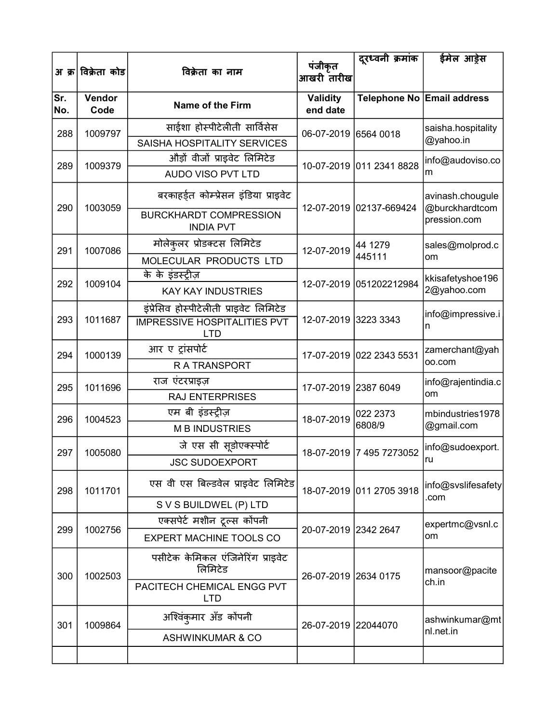|            | अ क्र विक्रेता कोड | विक्रेता का नाम                                   | पंजीकृत<br>आखरी तारीख       | दूरध्वनी क्रमांक         | ईमेल आड़ेस                         |
|------------|--------------------|---------------------------------------------------|-----------------------------|--------------------------|------------------------------------|
| Sr.<br>No. | Vendor<br>Code     | <b>Name of the Firm</b>                           | <b>Validity</b><br>end date |                          | Telephone No Email address         |
| 288        | 1009797            | साईशा होस्पीटेलीती सार्विसेस                      | 06-07-2019 6564 0018        |                          | saisha.hospitality                 |
|            |                    | SAISHA HOSPITALITY SERVICES                       |                             |                          | @yahoo.in                          |
| 289        | 1009379            | औड़ों वीजों प्राइवेट लिमिटेड                      |                             | 10-07-2019 011 2341 8828 | info@audoviso.co                   |
|            |                    | <b>AUDO VISO PVT LTD</b>                          |                             |                          | m                                  |
| 290        | 1003059            | बरकाहईत कोम्प्रेसन इंडिया प्राइवेट                |                             | 12-07-2019 02137-669424  | avinash.chougule<br>@burckhardtcom |
|            |                    | <b>BURCKHARDT COMPRESSION</b><br><b>INDIA PVT</b> |                             |                          | pression.com                       |
| 291        | 1007086            | मोलेकुलर प्रोडक्टस लिमिटेड                        | 12-07-2019                  | 44 1279                  | sales@molprod.c                    |
|            |                    | MOLECULAR PRODUCTS LTD                            |                             | 445111                   | om                                 |
|            |                    | के के इंडस्ट्रीज़                                 |                             |                          | kkisafetyshoe196<br>2@yahoo.com    |
| 292        | 1009104            | <b>KAY KAY INDUSTRIES</b>                         |                             | 12-07-2019 051202212984  |                                    |
|            |                    | इंप्रेसिव होस्पीटेलीती प्राइवेट लिमिटेड           |                             |                          | info@impressive.i                  |
| 293        | 1011687            | <b>IMPRESSIVE HOSPITALITIES PVT</b><br><b>LTD</b> | 12-07-2019 3223 3343        |                          | n                                  |
| 294        | 1000139            | आर ए ट्रांसपोर्ट                                  | 17-07-2019 022 2343 5531    |                          | zamerchant@yah                     |
|            |                    | <b>RATRANSPORT</b>                                |                             |                          | 00.com                             |
| 295        | 1011696            | राज एंटरप्राइज़                                   | 17-07-2019 2387 6049        |                          | info@rajentindia.c                 |
|            |                    | <b>RAJ ENTERPRISES</b>                            |                             |                          | om                                 |
| 296        | 1004523            | एम बी इंडस्ट्रीज़                                 | 18-07-2019                  | 022 2373                 | mbindustries1978                   |
|            |                    | <b>MB INDUSTRIES</b>                              |                             | 6808/9                   | @gmail.com                         |
| 297        | 1005080            | जे एस सी सूडोएक्स्पोर्ट                           |                             | 18-07-2019 7 495 7273052 | info@sudoexport.                   |
|            |                    | <b>JSC SUDOEXPORT</b>                             |                             |                          | ru                                 |
| 298        | 1011701            | एस वी एस बिल्डवेल प्राइवेट लिमिटेड                |                             | 18-07-2019 011 2705 3918 | info@svslifesafety                 |
|            |                    | S V S BUILDWEL (P) LTD                            |                             |                          | .com                               |
|            |                    | एक्सपेर्ट मशीन टूल्स कोंपनी                       |                             |                          | expertmc@vsnl.c                    |
| 299        | 1002756            | <b>EXPERT MACHINE TOOLS CO</b>                    | 20-07-2019 2342 2647        |                          | om                                 |
| 300        | 1002503            | पसीटेक केमिकल एंजिनेरिंग प्राइवेट<br>लिमिटेड      | 26-07-2019 2634 0175        |                          | mansoor@pacite                     |
|            |                    | PACITECH CHEMICAL ENGG PVT<br><b>LTD</b>          |                             |                          | ch.in                              |
| 301        | 1009864            | अश्विंकुमार अँड कोंपनी                            | 26-07-2019 22044070         |                          | ashwinkumar@mt                     |
|            |                    | <b>ASHWINKUMAR &amp; CO</b>                       |                             |                          | nl.net.in                          |
|            |                    |                                                   |                             |                          |                                    |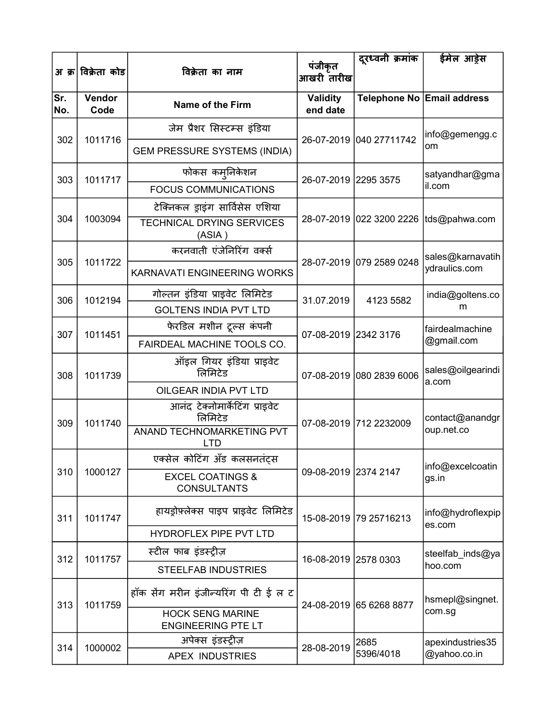|            | अ क्र विक्रेता कोड | विक्रेता का नाम                                      | पंजीकृत                     | दूरध्वनी क्रमांक         | ईमेल आड़ेस                              |
|------------|--------------------|------------------------------------------------------|-----------------------------|--------------------------|-----------------------------------------|
|            |                    |                                                      | आखरी तारीख                  |                          |                                         |
| Sr.<br>No. | Vendor<br>Code     | <b>Name of the Firm</b>                              | <b>Validity</b><br>end date |                          | Telephone No Email address              |
|            |                    | जेम प्रैशर सिस्टम्स इंडिया                           |                             |                          | info@gemengg.c                          |
| 302        | 1011716            | <b>GEM PRESSURE SYSTEMS (INDIA)</b>                  |                             | 26-07-2019 040 27711742  | om                                      |
| 303        | 1011717            | फोकस कम्जिकेशन                                       | 26-07-2019 2295 3575        |                          | satyandhar@gma                          |
|            |                    | <b>FOCUS COMMUNICATIONS</b>                          |                             |                          | il.com                                  |
|            |                    | टेक्निकल ड्राइंग सार्विसेस एशिया                     |                             |                          |                                         |
| 304        | 1003094            | <b>TECHNICAL DRYING SERVICES</b><br>(ASIA)           |                             |                          | 28-07-2019 022 3200 2226  tds@pahwa.com |
|            |                    | करनवाती एंजेनिरिंग वर्क्स                            |                             |                          | sales@karnavatih                        |
| 305        | 1011722            | KARNAVATI ENGINEERING WORKS                          |                             | 28-07-2019 079 2589 0248 | ydraulics.com                           |
| 306        | 1012194            | गोल्तन इंडिया प्राइवेट लिमिटेड                       | 31.07.2019                  | 4123 5582                | india@goltens.co                        |
|            |                    | <b>GOLTENS INDIA PVT LTD</b>                         |                             |                          | m                                       |
| 307        | 1011451            | फेरडिल मशीन टूल्स कंपनी                              | 07-08-2019 2342 3176        |                          | fairdealmachine                         |
|            |                    | FAIRDEAL MACHINE TOOLS CO.                           |                             |                          | @gmail.com                              |
| 308        | 1011739            | ऑइल गियर इंडिया प्राइवेट<br>लिमिटेड                  |                             | 07-08-2019 080 2839 6006 | sales@oilgearindi<br>a.com              |
|            |                    | OILGEAR INDIA PVT LTD                                |                             |                          |                                         |
| 309        | 1011740            | आनंद टेक्नोमार्केटिंग प्राइवेट<br>लिमिटेड            |                             | 07-08-2019 712 2232009   | contact@anandgr<br>oup.net.co           |
|            |                    | <b>ANAND TECHNOMARKETING PVT</b><br><b>LTD</b>       |                             |                          |                                         |
|            |                    | एक्सेल कोटिंग अँड कलसनतंट्स                          |                             |                          | info@excelcoatin                        |
| 310        | 1000127            | <b>EXCEL COATINGS &amp;</b><br><b>CONSULTANTS</b>    | 09-08-2019 2374 2147        |                          | gs.in                                   |
| 311        | 1011747            | हायड्रोफ़्लेक्स पाइप प्राइवेट लिमिटेड                |                             | 15-08-2019 79 25716213   | info@hydroflexpip<br>es.com             |
|            |                    | HYDROFLEX PIPE PVT LTD                               |                             |                          |                                         |
| 312        | 1011757            | स्टील फाब इंडस्ट्रीज़                                | 16-08-2019 2578 0303        |                          | steelfab_inds@ya                        |
|            |                    | <b>STEELFAB INDUSTRIES</b>                           |                             |                          | hoo.com                                 |
| 313        | 1011759            | हॉक सेंग मरीन इंजीन्यरिंग पी टी ई ल ट                |                             | 24-08-2019 65 6268 8877  | hsmepl@singnet.                         |
|            |                    | <b>HOCK SENG MARINE</b><br><b>ENGINEERING PTE LT</b> |                             |                          | com.sg                                  |
| 314        | 1000002            | अपेक्स इंडस्ट्रीज़                                   | 28-08-2019                  | 2685                     | apexindustries35                        |
|            |                    | <b>APEX INDUSTRIES</b>                               |                             | 5396/4018                | @yahoo.co.in                            |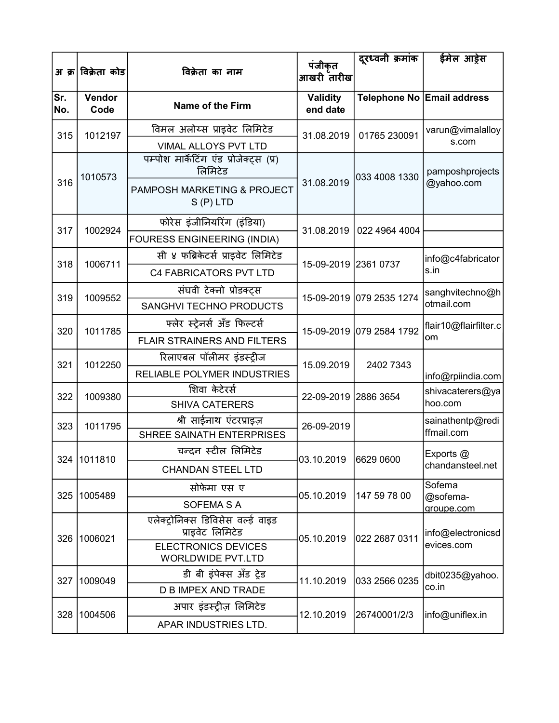|            | अ क्र विक्रेता कोड | विक्रेता का नाम                                        | पंजीकृत<br>आखरी तारीख       | दूरध्वनी क्रमांक         | ईमेल आड़ेस                     |
|------------|--------------------|--------------------------------------------------------|-----------------------------|--------------------------|--------------------------------|
| Sr.<br>No. | Vendor<br>Code     | Name of the Firm                                       | <b>Validity</b><br>end date |                          | Telephone No Email address     |
| 315        | 1012197            | विमल अलोय्स प्राइवेट लिमिटेड                           | 31.08.2019                  | 01765 230091             | varun@vimalalloy               |
|            |                    | VIMAL ALLOYS PVT LTD                                   |                             |                          | s.com                          |
|            | 1010573            | पम्पोश मार्केटिंग एंड प्रोजेक्ट्स (प्र)<br>लिमिटेड     |                             | 033 4008 1330            | pamposhprojects                |
| 316        |                    | PAMPOSH MARKETING & PROJECT<br>$S(P)$ LTD              | 31.08.2019                  |                          | @yahoo.com                     |
| 317        | 1002924            | फोरेस इंजीनियरिंग (इंडिया)                             | 31.08.2019                  | 022 4964 4004            |                                |
|            |                    | FOURESS ENGINEERING (INDIA)                            |                             |                          |                                |
| 318        | 1006711            | सी ४ फब्रिकेटर्स प्राइवेट लिमिटेड                      | 15-09-2019 2361 0737        |                          | info@c4fabricator              |
|            |                    | C4 FABRICATORS PVT LTD                                 |                             |                          | s.in                           |
| 319        | 1009552            | संघवी टेक्नो प्रोडक्टस                                 |                             | 15-09-2019 079 2535 1274 | sanghvitechno@h                |
|            |                    | SANGHVI TECHNO PRODUCTS                                |                             |                          | otmail.com                     |
| 320        | 1011785            | फ्लेर स्ट्रेनर्स अँड फिल्टर्स                          | 15-09-2019 079 2584 1792    |                          | flair10@flairfilter.c          |
|            |                    | <b>FLAIR STRAINERS AND FILTERS</b>                     |                             |                          | om                             |
| 321        | 1012250            | रिलाएबल पॉलीमर इंडस्ट्रीज                              | 15.09.2019                  | 2402 7343                |                                |
|            |                    | RELIABLE POLYMER INDUSTRIES                            |                             |                          | info@rpiindia.com              |
| 322        | 1009380            | शिवा केटेरर्स                                          | 22-09-2019 2886 3654        |                          | shivacaterers@ya               |
|            |                    | <b>SHIVA CATERERS</b>                                  |                             |                          | hoo.com                        |
| 323        | 1011795            | श्री साईनाथ एंटरप्राइज़<br>SHREE SAINATH ENTERPRISES   | 26-09-2019                  |                          | sainathentp@redi<br>ffmail.com |
|            |                    | चन्दन स्टील लिमिटेड                                    |                             |                          | Exports @                      |
|            | 324 1011810        | <b>CHANDAN STEEL LTD</b>                               |                             |                          | chandansteel.net               |
| 325        | 1005489            | सोफेमा एस ए                                            | 05.10.2019                  | 147 59 78 00             | Sofema<br>@sofema-             |
|            |                    | <b>SOFEMA S A</b>                                      |                             |                          | groupe.com                     |
|            | 326   1006021      | एलेक्ट्रोनिक्स डिविसेस वर्ल्ड वाइड<br>प्राइवेट लिमिटेड | 05.10.2019                  | 022 2687 0311            | info@electronicsd              |
|            |                    | <b>ELECTRONICS DEVICES</b><br><b>WORLDWIDE PVT.LTD</b> |                             |                          | evices.com                     |
| 327        | 1009049            | डी बी इंपेक्स अँड ट्रेड                                | 11.10.2019                  | 033 2566 0235            | dbit0235@yahoo.                |
|            |                    | <b>D B IMPEX AND TRADE</b>                             |                             |                          | co.in                          |
|            | 328 1004506        | अपार इंडस्ट्रीज़ लिमिटेड                               | 12.10.2019                  | 26740001/2/3             | info@uniflex.in                |
|            |                    | APAR INDUSTRIES LTD.                                   |                             |                          |                                |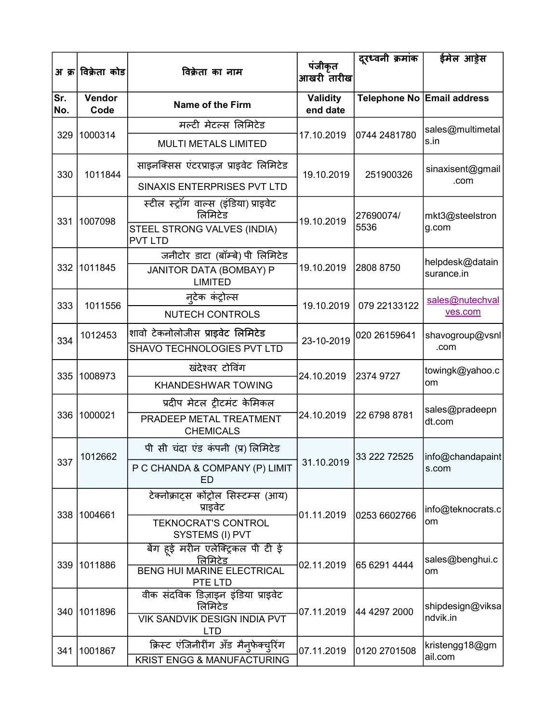|            | अ क्र विक्रेता कोड | विक्रेता का नाम                                                                  | पंजीकृत                     | दूरध्वनी क्रमांक        | ईमेल आड़ेस                 |
|------------|--------------------|----------------------------------------------------------------------------------|-----------------------------|-------------------------|----------------------------|
|            |                    |                                                                                  | आखरी तारीख                  |                         |                            |
| Sr.<br>No. | Vendor<br>Code     | Name of the Firm                                                                 | <b>Validity</b><br>end date |                         | Telephone No Email address |
|            |                    | मल्टी मेटल्स लिमिटेड                                                             |                             |                         | sales@multimetal           |
| 329        | 1000314            | <b>MULTI METALS LIMITED</b>                                                      | 17.10.2019                  | 0744 2481780            | s.in                       |
| 330        | 1011844            | साइनक्सिस एंटरप्राइज़ प्राइवेट लिमिटेड                                           | 19.10.2019                  | 251900326               | sinaxisent@gmail           |
|            |                    | SINAXIS ENTERPRISES PVT LTD                                                      |                             |                         | .com                       |
| 331        | 1007098            | स्टील स्ट्रॉग वाल्स (इंडिया) प्राइवेट<br>लिमिटेड                                 | 19.10.2019                  | 27690074/               | mkt3@steelstron            |
|            |                    | STEEL STRONG VALVES (INDIA)<br><b>PVT LTD</b>                                    |                             | 5536                    | g.com                      |
|            |                    | जनीटोर डाटा (बॉम्बे) पी लिमिटेड                                                  |                             |                         | helpdesk@datain            |
| 332        | 1011845            | JANITOR DATA (BOMBAY) P<br><b>LIMITED</b>                                        | 19.10.2019                  | 2808 8750               | surance.in                 |
| 333        | 1011556            | न्टेक कंट्रोल्स                                                                  | 19.10.2019                  | 079 22133122            | sales@nutechval            |
|            |                    | <b>NUTECH CONTROLS</b>                                                           |                             |                         | ves.com                    |
| 334        | 1012453            | शावो टेकनोलोजीस प्राइवेट लिमिटेड                                                 | 23-10-2019                  | 020 26159641            | shavogroup@vsnl            |
|            |                    | SHAVO TECHNOLOGIES PVT LTD                                                       |                             |                         | .com                       |
| 335        | 1008973            | खंदेश्वर टोविंग                                                                  | 24.10.2019                  | 2374 9727               | towingk@yahoo.c            |
|            |                    | <b>KHANDESHWAR TOWING</b>                                                        |                             |                         | om                         |
|            |                    | प्रदीप मेटल ट्रीटमंट केमिकल                                                      |                             |                         | sales@pradeepn             |
| 336        | 1000021            | PRADEEP METAL TREATMENT<br><b>CHEMICALS</b>                                      | 24.10.2019                  | 22 6798 8781            | dt.com                     |
|            |                    | पी सी चंदा एंड कंपनी (प्र) लिमिटेड                                               |                             |                         |                            |
|            | 337 1012662        | P C CHANDA & COMPANY (P) LIMIT<br>ED                                             |                             | 31.10.2019 33 222 72525 | info@chandapaint<br>s.com  |
|            | 338 1004661        | टेक्नोक्राट्स कोंट्रोल सिस्टम्स (आय)<br>प्राइवेट                                 | 01.11.2019                  | 0253 6602766            | info@teknocrats.c          |
|            |                    | <b>TEKNOCRAT'S CONTROL</b><br>SYSTEMS (I) PVT                                    |                             |                         | om                         |
| 339        | 1011886            | बेंग हई मरीन एलेक्ट्रिकल पी टी ई<br>लिमिटेड<br><b>BENG HUI MARINE ELECTRICAL</b> | 02.11.2019                  | 65 6291 4444            | sales@benghui.c<br>om      |
|            | 340 1011896        | PTE LTD<br>वीक संदविक डिज़ाइन इंडिया प्राइवेट<br>लिमिटेड                         | 07.11.2019                  | 44 4297 2000            | shipdesign@viksa           |
|            |                    | <b>VIK SANDVIK DESIGN INDIA PVT</b><br><b>LTD</b>                                |                             |                         | ndvik.in                   |
| 341        | 1001867            | क्रिस्ट एंजिनीरींग अँड मैन्फेक्च्ऐिंग<br>KRIST ENGG & MANUFACTURING              | 07.11.2019                  | 0120 2701508            | kristengg18@gm<br>ail.com  |
|            |                    |                                                                                  |                             |                         |                            |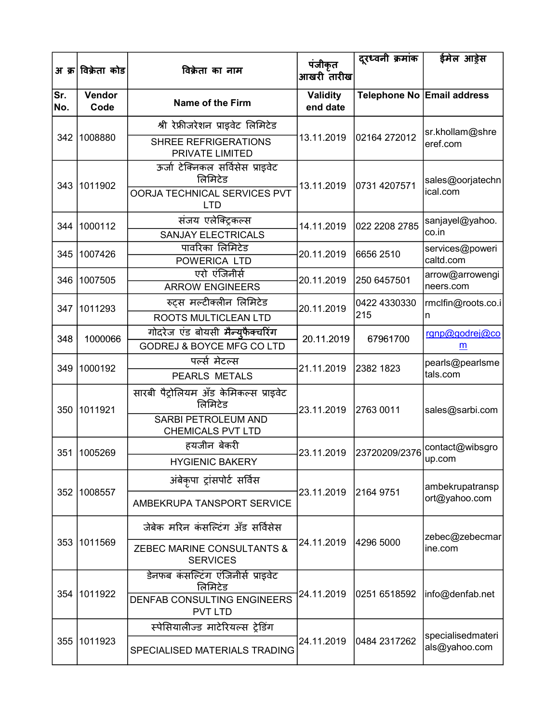| अ क्र      | विक्रेता कोड   | विक्रेता का नाम                                        | पंजीकृत<br>आखरी तारीख       | दूरध्वनी क्रमांक | ईमेल आड़ेस                         |
|------------|----------------|--------------------------------------------------------|-----------------------------|------------------|------------------------------------|
| Sr.<br>No. | Vendor<br>Code | Name of the Firm                                       | <b>Validity</b><br>end date |                  | Telephone No Email address         |
|            |                | श्री रेफ्रीजरेशन प्राइवेट लिमिटेड                      |                             |                  | sr.khollam@shre                    |
| 342        | 1008880        | <b>SHREE REFRIGERATIONS</b><br>PRIVATE LIMITED         | 13.11.2019                  | 02164 272012     | eref.com                           |
| 343        | 1011902        | ऊर्जा टेक्निकल सर्विसेस प्राइवेट<br>लिमिटेड            | 13.11.2019                  | 0731 4207571     | sales@oorjatechn                   |
|            |                | OORJA TECHNICAL SERVICES PVT<br><b>LTD</b>             |                             |                  | ical.com                           |
| 344        | 1000112        | संजय एलेक्ट्रिकल्स                                     | 14.11.2019                  | 022 2208 2785    | sanjayel@yahoo.                    |
|            |                | <b>SANJAY ELECTRICALS</b>                              |                             |                  | co.in                              |
| 345        | 1007426        | पावरिका लिमिटेड<br>POWERICA LTD                        | 20.11.2019                  | 6656 2510        | services@poweri<br>caltd.com       |
|            |                | एरो एंजिनीर्स                                          |                             |                  | arrow@arrowengi                    |
| 346        | 1007505        | <b>ARROW ENGINEERS</b>                                 | 20.11.2019                  | 250 6457501      | neers.com                          |
| 347        | 1011293        | रुट्स मल्टीक्लीन लिमिटेड                               | 20.11.2019                  | 0422 4330330     | rmclfin@roots.co.i                 |
|            |                | ROOTS MULTICLEAN LTD                                   |                             | 215              | n                                  |
| 348        | 1000066        | गोदरेज एंड बोयसी मैन्यफैक्चरिंग                        | 20.11.2019                  | 67961700         | rgnp@godrej@co                     |
|            |                | GODREJ & BOYCE MFG CO LTD                              |                             |                  | m                                  |
| 349        | 1000192        | पर्ल्स मेटल्स<br><b>PEARLS METALS</b>                  | 21.11.2019                  | 2382 1823        | pearls@pearlsme<br>tals.com        |
| 350        | 1011921        | सारबी पैट्रोलियम अँड केमिकल्स प्राइवेट<br>लिमिटेड      | 23.11.2019                  | 2763 0011        | sales@sarbi.com                    |
|            |                | <b>SARBI PETROLEUM AND</b><br><b>CHEMICALS PVT LTD</b> |                             |                  |                                    |
| 351        | 1005269        | हयजीन बेकरी                                            | 23.11.2019                  | 23720209/2376    | contact@wibsgro                    |
|            |                | <b>HYGIENIC BAKERY</b>                                 |                             |                  | up.com                             |
|            |                | अंबेकृपा ट्रांसपोर्ट सर्विस                            |                             |                  | ambekrupatransp                    |
| 352        | 1008557        | AMBEKRUPA TANSPORT SERVICE                             | 23.11.2019                  | 2164 9751        | ort@yahoo.com                      |
|            |                | जेबेक मरिन कंसल्टिंग अँड सर्विसेस                      |                             |                  | zebec@zebecmar                     |
| 353        | 1011569        | ZEBEC MARINE CONSULTANTS &<br><b>SERVICES</b>          | 24.11.2019                  | 4296 5000        | ine.com                            |
|            |                | डेनफब कंसल्टिंग एंजिनीर्स प्राइवेट<br>लिमिटेड          |                             |                  |                                    |
| 354        | 1011922        | DENFAB CONSULTING ENGINEERS<br><b>PVT LTD</b>          | 24.11.2019                  | 0251 6518592     | info@denfab.net                    |
|            |                | स्पेसियालीज्ड माटेरियल्स ट्रेडिंग                      |                             |                  |                                    |
| 355        | 1011923        | SPECIALISED MATERIALS TRADING                          | 24.11.2019                  | 0484 2317262     | specialisedmateri<br>als@yahoo.com |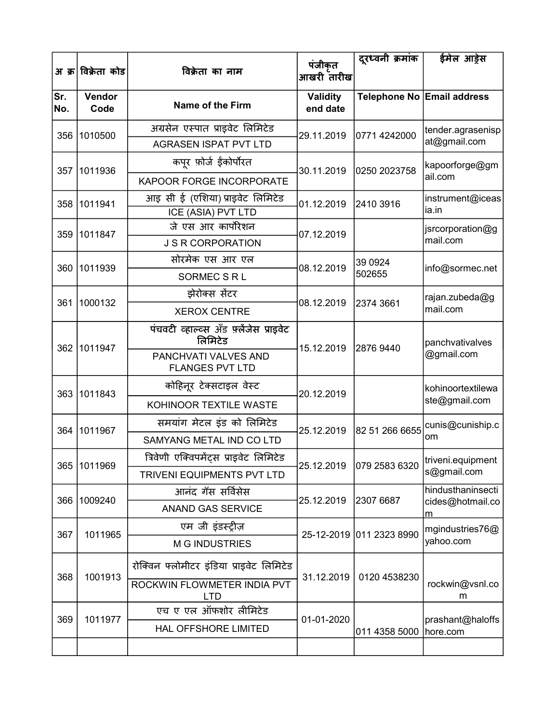|            | अ क्र विक्रेता कोड | विक्रेता का नाम                                    | पंजीकृत                     | दूरध्वनी क्रमांक                 | ईमेल आड़ेस                   |
|------------|--------------------|----------------------------------------------------|-----------------------------|----------------------------------|------------------------------|
|            |                    |                                                    | आखरी तारीख                  |                                  |                              |
| Sr.<br>No. | Vendor<br>Code     | <b>Name of the Firm</b>                            | <b>Validity</b><br>end date |                                  | Telephone No Email address   |
| 356        | 1010500            | अग्रसेन एस्पात प्राइवेट लिमिटेड                    | 29.11.2019                  | 0771 4242000                     | tender.agrasenisp            |
|            |                    | <b>AGRASEN ISPAT PVT LTD</b>                       |                             |                                  | at@gmail.com                 |
| 357        | 1011936            | कपूर फ़ोर्ज ईंकोर्पोरत                             | 30.11.2019                  | 0250 2023758                     | kapoorforge@gm               |
|            |                    | KAPOOR FORGE INCORPORATE                           |                             |                                  | ail.com                      |
| 358        | 1011941            | आइ सी ई (एशिया) प्राइवेट लिमिटेड                   | 01.12.2019                  | 2410 3916                        | instrument@iceas             |
|            |                    | ICE (ASIA) PVT LTD                                 |                             |                                  | ia.in                        |
| 359        | 1011847            | जे एस आर कार्पोरेशन                                | 07.12.2019                  |                                  | jsrcorporation@g             |
|            |                    | <b>J S R CORPORATION</b>                           |                             |                                  | mail.com                     |
| 360        | 1011939            | सोरमेक एस आर एल                                    | 08.12.2019                  | 39 0924                          | info@sormec.net              |
|            |                    | <b>SORMEC S R L</b>                                |                             | 502655<br>2374 3661<br>2876 9440 |                              |
| 361        | 1000132            | झेरोक्स सेंटर                                      | 08.12.2019                  |                                  | rajan.zubeda@g               |
|            |                    | <b>XEROX CENTRE</b>                                |                             |                                  | mail.com                     |
| 362        | 1011947            | पंचवटी व्हाल्व्स अँड फ़्लेंजेस प्राइवेट<br>लिमिटेड | 15.12.2019                  |                                  | panchvativalves              |
|            |                    | PANCHVATI VALVES AND<br><b>FLANGES PVT LTD</b>     |                             |                                  | @gmail.com                   |
| 363        | 1011843            | कोहिनूर टेक्सटाइल वेस्ट                            | 20.12.2019                  |                                  | kohinoortextilewa            |
|            |                    | KOHINOOR TEXTILE WASTE                             |                             |                                  | ste@gmail.com                |
| 364        | 1011967            | समयांग मेटल इंड को लिमिटेड                         | 25.12.2019                  | 82 51 266 6655                   | cunis@cuniship.c             |
|            |                    | SAMYANG METAL IND CO LTD                           |                             |                                  | om                           |
| 365        | 1011969            | त्रिवेणी एक्विपमेंट्स प्राइवेट लिमिटेड             | 25.12.2019                  | 079 2583 6320                    | triveni.equipment            |
|            |                    | <b>TRIVENI EQUIPMENTS PVT LTD</b>                  |                             |                                  | s@gmail.com                  |
| 366        | 1009240            | आनंद गॅस सर्विसेस                                  | 25.12.2019                  | 2307 6687                        | hindusthaninsecti            |
|            |                    | <b>ANAND GAS SERVICE</b>                           |                             |                                  | cides@hotmail.co<br>m        |
| 367        | 1011965            | एम जी इंडस्ट्रीज़                                  |                             | 25-12-2019 011 2323 8990         | mgindustries76@              |
|            |                    | <b>M G INDUSTRIES</b>                              |                             |                                  | yahoo.com                    |
| 368        | 1001913            | रोक्विन फ्लोमीटर इंडिया प्राइवेट लिमिटेड           | 31.12.2019                  | 0120 4538230                     |                              |
|            |                    | ROCKWIN FLOWMETER INDIA PVT<br><b>LTD</b>          |                             |                                  | rockwin@vsnl.co<br>m         |
| 369        | 1011977            | एच ए एल ऑफशोर लीमिटेड                              | 01-01-2020                  |                                  |                              |
|            |                    | HAL OFFSHORE LIMITED                               |                             | 011 4358 5000                    | prashant@haloffs<br>hore.com |
|            |                    |                                                    |                             |                                  |                              |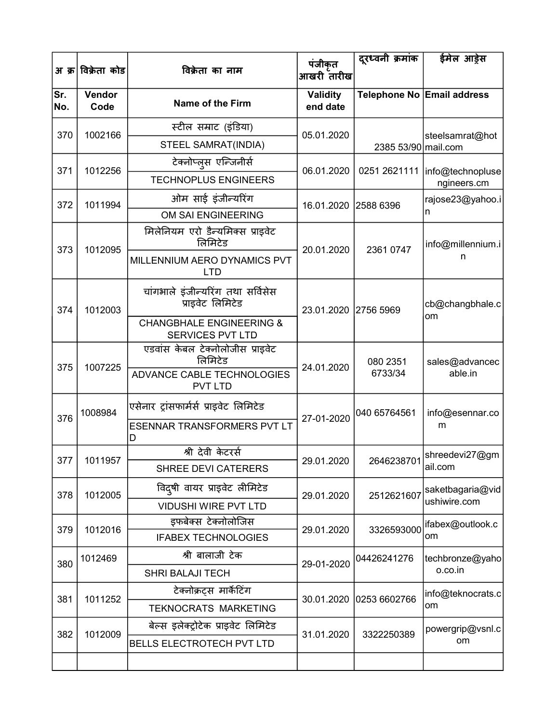| अ क्र      | विक्रेता कोड   | विक्रेता का नाम                                         | पंजीकृत<br>आखरी तारीख       | दूरध्वनी क्रमांक    | ईमेल आड़ेस                      |
|------------|----------------|---------------------------------------------------------|-----------------------------|---------------------|---------------------------------|
| Sr.<br>No. | Vendor<br>Code | Name of the Firm                                        | <b>Validity</b><br>end date |                     | Telephone No Email address      |
| 370        | 1002166        | स्टील सम्राट (इंडिया)                                   | 05.01.2020                  |                     |                                 |
|            |                | STEEL SAMRAT(INDIA)                                     |                             | 2385 53/90 mail.com | steelsamrat@hot                 |
| 371        | 1012256        | टेक्नोप्लुस एन्जिनीर्स                                  | 06.01.2020                  | 0251 2621111        |                                 |
|            |                | <b>TECHNOPLUS ENGINEERS</b>                             |                             |                     | info@technopluse<br>ngineers.cm |
| 372        | 1011994        | ओम साई इंजीन्यरिंग                                      | 16.01.2020                  | 2588 6396           | rajose23@yahoo.i                |
|            |                | OM SAI ENGINEERING                                      |                             |                     | n                               |
| 373        | 1012095        | मिलेनियम एरो डैन्यमिक्स प्राइवेट<br>लिमिटेड             | 20.01.2020                  | 2361 0747           | info@millennium.i               |
|            |                | MILLENNIUM AERO DYNAMICS PVT<br><b>LTD</b>              |                             |                     | n                               |
| 374        | 1012003        | चांगभाले इंजीन्यरिंग तथा सर्विसेस<br>प्राइवेट लिमिटेड   | 23.01.2020 2756 5969        |                     | cb@changbhale.c<br>om           |
|            |                | <b>CHANGBHALE ENGINEERING &amp;</b><br>SERVICES PVT LTD |                             |                     |                                 |
| 375        | 1007225        | एडवांस केबल टेक्नोलोजीस प्राइवेट<br>लिमिटेड             | 24.01.2020                  | 080 2351            | sales@advancec                  |
|            |                | ADVANCE CABLE TECHNOLOGIES<br><b>PVT LTD</b>            |                             | 6733/34             | able.in                         |
| 376        | 1008984        | एसेनार ट्रांसफार्मर्स प्राइवेट लिमिटेड                  | 27-01-2020                  | 040 65764561        | info@esennar.co                 |
|            |                | <b>ESENNAR TRANSFORMERS PVT LT</b><br>D                 |                             |                     | m                               |
| 377        | 1011957        | श्री देवी केटरर्स                                       | 29.01.2020                  |                     | 2646238701 shreedevi27@gm       |
|            |                | <b>SHREE DEVI CATERERS</b>                              |                             |                     | ail.com                         |
| 378        | 1012005        | विदुषी वायर प्राइवेट लीमिटेड                            | 29.01.2020                  | 2512621607          | saketbagaria@vid                |
|            |                | <b>VIDUSHI WIRE PVT LTD</b>                             |                             |                     | ushiwire.com                    |
| 379        | 1012016        | इफबेक्स टेक्नोलोजिस                                     | 29.01.2020                  | 3326593000          | ifabex@outlook.c                |
|            |                | <b>IFABEX TECHNOLOGIES</b>                              |                             |                     | om                              |
| 380        | 1012469        | श्री बालाजी टेक                                         | 29-01-2020                  | 04426241276         | techbronze@yaho                 |
|            |                | <b>SHRI BALAJI TECH</b>                                 |                             |                     | o.co.in                         |
| 381        | 1011252        | टेक्नोक्रट्स मार्केटिंग                                 | 30.01.2020                  | 0253 6602766        | info@teknocrats.c               |
|            |                | <b>TEKNOCRATS MARKETING</b>                             |                             |                     | om                              |
| 382        | 1012009        | बेल्स इलेक्ट्रोटेक प्राइवेट लिमिटेड                     | 31.01.2020                  | 3322250389          | powergrip@vsnl.c                |
|            |                | <b>BELLS ELECTROTECH PVT LTD</b>                        |                             |                     | om                              |
|            |                |                                                         |                             |                     |                                 |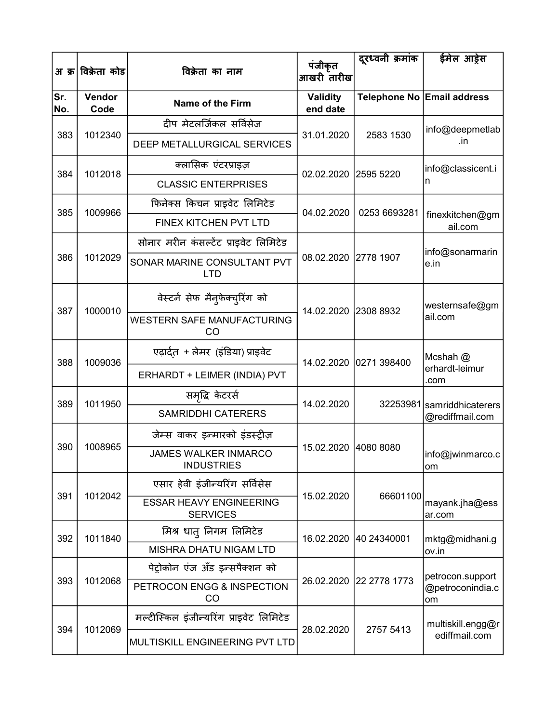|            | अ क्र <sup> </sup> विक्रेता कोड | विक्रेता का नाम                                   | पंजीकृत<br>आखरी तारीख       | दूरध्वनी क्रमांक           | ईमेल आड़ेस                 |
|------------|---------------------------------|---------------------------------------------------|-----------------------------|----------------------------|----------------------------|
| Sr.<br>No. | Vendor<br>Code                  | <b>Name of the Firm</b>                           | <b>Validity</b><br>end date | Telephone No Email address |                            |
|            |                                 | दीप मेटलर्जिकल सर्विसेज                           |                             |                            | info@deepmetlab            |
| 383        | 1012340                         | DEEP METALLURGICAL SERVICES                       | 31.01.2020                  | 2583 1530                  | .in                        |
| 384        | 1012018                         | क्लासिक एंटरप्राइज़                               | 02.02.2020 2595 5220        |                            | info@classicent.i          |
|            |                                 | <b>CLASSIC ENTERPRISES</b>                        |                             |                            | n                          |
| 385        | 1009966                         | फिनेक्स किचन प्राइवेट लिमिटेड                     | 04.02.2020                  | 0253 6693281               |                            |
|            |                                 | FINEX KITCHEN PVT LTD                             |                             |                            | finexkitchen@gm<br>ail.com |
|            |                                 | सोनार मरीन कंसल्टेंट प्राइवेट लिमिटेड             |                             |                            |                            |
| 386        | 1012029                         | SONAR MARINE CONSULTANT PVT<br><b>LTD</b>         | 08.02.2020 2778 1907        |                            | info@sonarmarin<br>e.in    |
|            |                                 | वेस्टर्न सेफ मैन्फेक्च्रिंग को                    |                             | 14.02.2020 2308 8932       | westernsafe@gm             |
| 387        | 1000010                         | <b>WESTERN SAFE MANUFACTURING</b><br>CO           |                             |                            | ail.com                    |
| 388        | 1009036                         | एढ़ार्दुत + लेमर (इंडिया) प्राइवेट                |                             | 14.02.2020 0271 398400     | Mcshah @                   |
|            |                                 | ERHARDT + LEIMER (INDIA) PVT                      |                             |                            | erhardt-leimur<br>.com     |
| 389        | 1011950                         | समृद्धि केटरर्स                                   | 14.02.2020                  |                            | 32253981 samriddhicaterers |
|            |                                 | <b>SAMRIDDHI CATERERS</b>                         |                             |                            | @rediffmail.com            |
|            |                                 | जेम्स वाकर इन्मारको इंडस्ट्रीज़                   |                             |                            |                            |
| 390        | 1008965                         | <b>JAMES WALKER INMARCO</b><br><b>INDUSTRIES</b>  | 15.02.2020 4080 8080        |                            | info@jwinmarco.c<br>om     |
|            |                                 | एसार हेवी इंजीन्यरिंग सर्विसेस                    |                             |                            |                            |
| 391        | 1012042                         | <b>ESSAR HEAVY ENGINEERING</b><br><b>SERVICES</b> | 15.02.2020                  | 66601100                   | mayank.jha@ess<br>ar.com   |
| 392        | 1011840                         | मिश्र धात् निगम लिमिटेड                           |                             | 16.02.2020 40 24340001     | mktg@midhani.g             |
|            |                                 | <b>MISHRA DHATU NIGAM LTD</b>                     |                             |                            | ov.in                      |
|            |                                 | पेट्रोकोन एंज अँड इन्सपैक्शन को                   |                             |                            | petrocon.support           |
| 393        | 1012068                         | PETROCON ENGG & INSPECTION<br>CO                  |                             | 26.02.2020 22 2778 1773    | @petroconindia.c<br>om     |
|            |                                 | मल्टीस्किल इंजीन्यरिंग प्राइवेट लिमिटेड           |                             |                            | multiskill.engg@r          |
| 394        | 1012069                         | MULTISKILL ENGINEERING PVT LTD                    | 28.02.2020                  | 2757 5413                  | ediffmail.com              |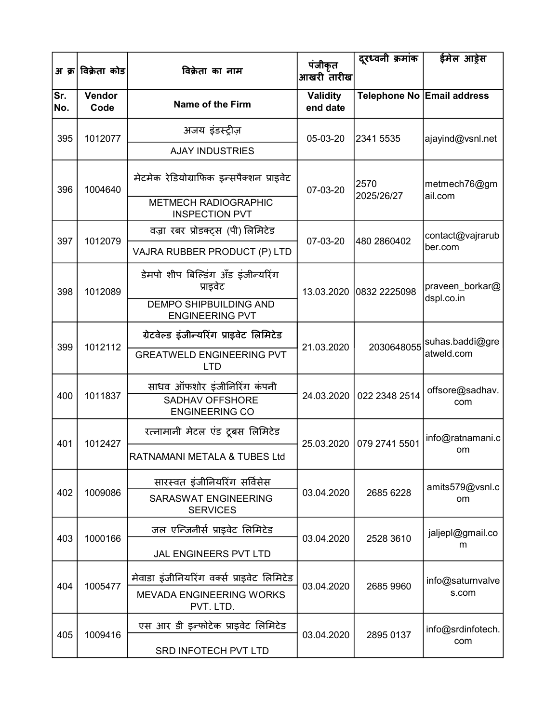| अ क्र      | विक्रेता कोड   | विक्रेता का नाम                                         | पंजीकृत<br>आखरी तारीख       | दूरध्वनी क्रमांक                 | ईमेल आड़ेस                    |
|------------|----------------|---------------------------------------------------------|-----------------------------|----------------------------------|-------------------------------|
| Sr.<br>No. | Vendor<br>Code | Name of the Firm                                        | <b>Validity</b><br>end date |                                  | Telephone No Email address    |
| 395        | 1012077        | अजय इंडस्ट्रीज़                                         | 05-03-20                    | 2341 5535                        | ajayind@vsnl.net              |
|            |                | <b>AJAY INDUSTRIES</b>                                  |                             |                                  |                               |
| 396        | 1004640        | मेटमेक रेडियोग्राफिक इन्सपैक्शन प्राइवेट                | 07-03-20                    | 2570<br>2025/26/27               | metmech76@gm<br>ail.com       |
|            |                | <b>METMECH RADIOGRAPHIC</b><br><b>INSPECTION PVT</b>    |                             |                                  |                               |
| 397        | 1012079        | वज्रा रबर प्रोडक्ट्स (पी) लिमिटेड                       | 07-03-20                    | 480 2860402                      | contact@vajrarub              |
|            |                | VAJRA RUBBER PRODUCT (P) LTD                            |                             |                                  | ber.com                       |
| 398        | 1012089        | डेमपो शीप बिल्डिंग अँड इंजीन्यरिंग<br>प्राइवेट          |                             | 13.03.2020 0832 2225098          | praveen_borkar@<br>dspl.co.in |
|            |                | <b>DEMPO SHIPBUILDING AND</b><br><b>ENGINEERING PVT</b> |                             |                                  |                               |
|            | 1012112        | ग्रेटवेल्ड इंजीन्यरिंग प्राइवेट लिमिटेड                 | 21.03.2020                  | 2030648055                       | suhas.baddi@gre               |
| 399        |                | <b>GREATWELD ENGINEERING PVT</b><br><b>LTD</b>          |                             |                                  | atweld.com                    |
| 400        | 1011837        | साधव ऑफशोर इंजीनिरिंग कंपनी<br><b>SADHAV OFFSHORE</b>   |                             | 24.03.2020   022 2348 2514       | offsore@sadhav.<br>com        |
|            |                | <b>ENGINEERING CO</b>                                   |                             |                                  |                               |
| 401        | 1012427        | रत्नामानी मेटल एंड टूबस लिमिटेड                         |                             | 25.03.2020 079 2741 5501         | info@ratnamani.c              |
|            |                | RATNAMANI METALA & TUBES Ltd                            |                             |                                  | om                            |
| 402        |                | सारस्वत इंजीनियरिंग सर्विसेस                            |                             |                                  | amits579@vsnl.c               |
|            | 1009086        | SARASWAT ENGINEERING<br><b>SERVICES</b>                 | 03.04.2020                  | 2685 6228                        | <b>om</b>                     |
| 403        | 1000166        | जल एन्जिनीर्स प्राइवेट लिमिटेड                          | 03.04.2020                  | 2528 3610                        | jaljepl@gmail.co              |
|            |                | JAL ENGINEERS PVT LTD                                   |                             |                                  | m                             |
| 404        | 1005477        | मेवाडा इंजीनियरिंग वर्क्स प्राइवेट लिमिटेड              |                             |                                  | info@saturnvalve              |
|            |                | <b>MEVADA ENGINEERING WORKS</b><br>PVT. LTD.            |                             | 2685 9960<br>03.04.2020<br>s.com |                               |
| 405        | 1009416        | एस आर डी इन्फोटेक प्राइवेट लिमिटेड                      | 03.04.2020                  | 2895 0137                        | info@srdinfotech.<br>com      |
|            |                | SRD INFOTECH PVT LTD                                    |                             |                                  |                               |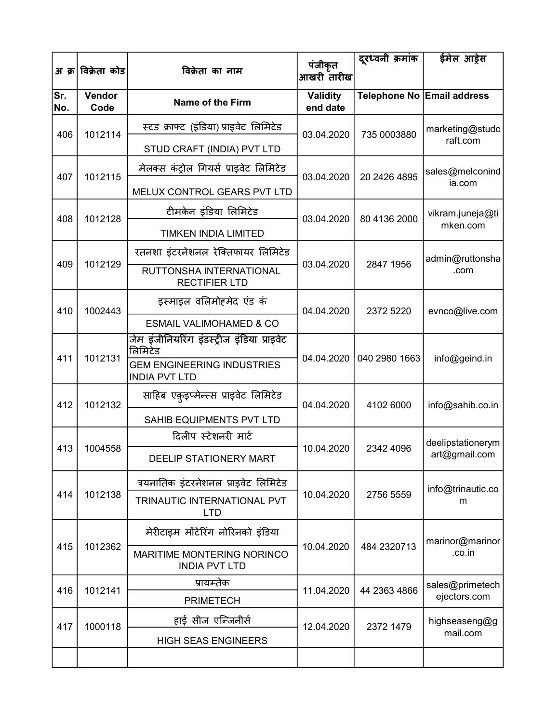| अ क्र      | विक्रेता कोड   | विक्रेता का नाम                                           | पंजीकृत<br>आखरी तारीख       | दूरध्वनी क्रमांक | ईमेल आड्रेस                |
|------------|----------------|-----------------------------------------------------------|-----------------------------|------------------|----------------------------|
| Sr.<br>No. | Vendor<br>Code | <b>Name of the Firm</b>                                   | <b>Validity</b><br>end date |                  | Telephone No Email address |
| 406        | 1012114        | स्टड क्राफ्ट (इंडिया) प्राइवेट लिमिटेड                    | 03.04.2020                  | 735 0003880      | marketing@studc            |
|            |                | STUD CRAFT (INDIA) PVT LTD                                |                             |                  | raft.com                   |
| 407        | 1012115        | मेलक्स कंट्रोल गियर्स प्राइवेट लिमिटेड                    | 03.04.2020                  | 20 2426 4895     | sales@melconind            |
|            |                | MELUX CONTROL GEARS PVT LTD                               |                             |                  | ia.com                     |
| 408        | 1012128        | टीमकेन इंडिया लिमिटेड                                     | 03.04.2020                  | 80 4136 2000     | vikram.juneja@ti           |
|            |                | <b>TIMKEN INDIA LIMITED</b>                               |                             |                  | mken.com                   |
| 409        | 1012129        | रतनशा इंटरनेशनल रेक्तिफायर लिमिटेड                        | 03.04.2020                  | 2847 1956        | admin@ruttonsha            |
|            |                | RUTTONSHA INTERNATIONAL<br><b>RECTIFIER LTD</b>           |                             |                  | .com                       |
| 410        | 1002443        | इस्माइल वलिमोहमेद एंड कं                                  | 04.04.2020                  | 2372 5220        | evnco@live.com             |
|            |                | <b>ESMAIL VALIMOHAMED &amp; CO</b>                        |                             |                  |                            |
|            | 1012131        | जेम इंजीनियरिंग इंडस्ट्रीज इंडिया प्राइवेट<br>लिमिटेड     | 04.04.2020                  |                  |                            |
| 411        |                | <b>GEM ENGINEERING INDUSTRIES</b><br><b>INDIA PVT LTD</b> |                             | 040 2980 1663    | info@geind.in              |
| 412        | 1012132        | साहिब एकुइप्मेन्त्स प्राइवेट लिमिटेड                      | 04.04.2020                  | 4102 6000        | info@sahib.co.in           |
|            |                | SAHIB EQUIPMENTS PVT LTD                                  |                             |                  |                            |
| 413        | 1004558        | दिलीप स्टेशनरी मार्ट                                      | 10.04.2020                  |                  | deelipstationerym          |
|            |                | DEELIP STATIONERY MART                                    |                             | 2342 4096        | art@gmail.com              |
|            |                | त्रयनातिक इंटरनेशनल प्राइवेट लिमिटेड                      |                             |                  | info@trinautic.co          |
| 414        | 1012138        | TRINAUTIC INTERNATIONAL PVT<br><b>LTD</b>                 | 10.04.2020                  | 2756 5559        | m                          |
|            |                | मेरीटाइम मोंटेरिंग नोरिनको इंडिया                         |                             |                  | marinor@marinor            |
| 415        | 1012362        | MARITIME MONTERING NORINCO<br><b>INDIA PVT LTD</b>        | 10.04.2020                  | 484 2320713      | .co.in                     |
| 416        | 1012141        | प्रायम्तेक                                                | 11.04.2020                  | 44 2363 4866     | sales@primetech            |
|            |                | <b>PRIMETECH</b>                                          |                             |                  | ejectors.com               |
| 417        | 1000118        | हाई सीज एन्जिनीर्स                                        | 12.04.2020                  | 2372 1479        | highseaseng@g<br>mail.com  |
|            |                | <b>HIGH SEAS ENGINEERS</b>                                |                             |                  |                            |
|            |                |                                                           |                             |                  |                            |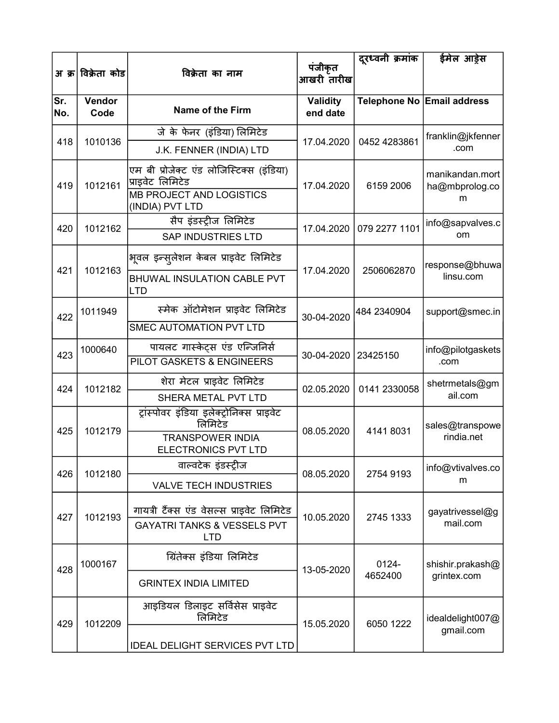|            | अ क्र विक्रेता कोड | विक्रेता का नाम                                                                                 | पंजीकृत<br>आखरी तारीख       | दूरध्वनी क्रमांक       | ईमेल आड़ेस                        |
|------------|--------------------|-------------------------------------------------------------------------------------------------|-----------------------------|------------------------|-----------------------------------|
| Sr.<br>No. | Vendor<br>Code     | <b>Name of the Firm</b>                                                                         | <b>Validity</b><br>end date |                        | Telephone No Email address        |
| 418        | 1010136            | जे के फेनर (इंडिया) लिमिटेड                                                                     | 17.04.2020                  | 0452 4283861           | franklin@jkfenner                 |
|            |                    | J.K. FENNER (INDIA) LTD                                                                         |                             |                        | .com                              |
| 419        | 1012161            | एम बी प्रोजेक्ट एंड लोजिस्टिक्स (इंडिया)<br>प्राइवेट लिमिटेड<br><b>MB PROJECT AND LOGISTICS</b> | 17.04.2020                  | 6159 2006              | manikandan.mort<br>ha@mbprolog.co |
|            |                    | (INDIA) PVT LTD                                                                                 |                             |                        | m                                 |
| 420        | 1012162            | सैप इंडर्स्ट्रीज लिमिटेड                                                                        | 17.04.2020                  | 079 2277 1101          | info@sapvalves.c                  |
|            |                    | <b>SAP INDUSTRIES LTD</b>                                                                       |                             |                        | om                                |
|            |                    | भूवल इन्स् <i>लेशन केबल प्राइवेट लिमिटे</i> ड                                                   |                             |                        | response@bhuwa                    |
| 421        | 1012163            | <b>BHUWAL INSULATION CABLE PVT</b><br><b>LTD</b>                                                | 17.04.2020                  | 2506062870             | linsu.com                         |
| 422        | 1011949            | स्मेक ऑटोमेशन प्राइवेट लिमिटेड                                                                  | 30-04-2020                  | 484 2340904            | support@smec.in                   |
|            |                    | <b>SMEC AUTOMATION PVT LTD</b>                                                                  |                             |                        |                                   |
| 423        | 1000640            | पायलट गास्केट्स एंड एन्जिनिर्स                                                                  | 30-04-2020                  | 23425150               | info@pilotgaskets                 |
|            |                    | PILOT GASKETS & ENGINEERS                                                                       |                             |                        | .com                              |
| 424        | 1012182            | शेरा मेटल प्राइवेट लिमिटेड                                                                      | 02.05.2020                  | 0141 2330058           | shetrmetals@gm<br>ail.com         |
|            |                    | SHERA METAL PVT LTD<br>ट्रांस्पोवर इंडिया इलेक्ट्रोनिक्स प्राइवेट                               |                             |                        |                                   |
| 425        | 1012179            | लिमिटेड                                                                                         |                             | 08.05.2020<br>41418031 | sales@transpowe                   |
|            |                    | <b>TRANSPOWER INDIA</b><br><b>ELECTRONICS PVT LTD</b>                                           |                             |                        | rindia.net                        |
| 426        | 1012180            | वाल्वटेक इंडस्ट्रीज                                                                             | 08.05.2020                  | 2754 9193              | info@vtivalves.co                 |
|            |                    | <b>VALVE TECH INDUSTRIES</b>                                                                    |                             |                        | m                                 |
| 427        | 1012193            | गायत्री टैंक्स एंड वेसल्स प्राइवेट लिमिटेड<br><b>GAYATRI TANKS &amp; VESSELS PVT</b>            | 10.05.2020                  | 2745 1333              | gayatrivessel@g<br>mail.com       |
|            |                    | <b>LTD</b>                                                                                      |                             |                        |                                   |
| 428        | 1000167            | ग्रितेक्स इंडिया लिमिटेड                                                                        | 13-05-2020                  | 0124-                  | shishir.prakash@                  |
|            |                    | <b>GRINTEX INDIA LIMITED</b>                                                                    |                             | 4652400                | grintex.com                       |
| 429        | 1012209            | आइडियल डिलाइट सर्विसेस प्राइवेट<br>लिमिटेड                                                      | 15.05.2020                  | 6050 1222              | idealdelight007@                  |
|            |                    | <b>IDEAL DELIGHT SERVICES PVT LTD</b>                                                           |                             |                        | gmail.com                         |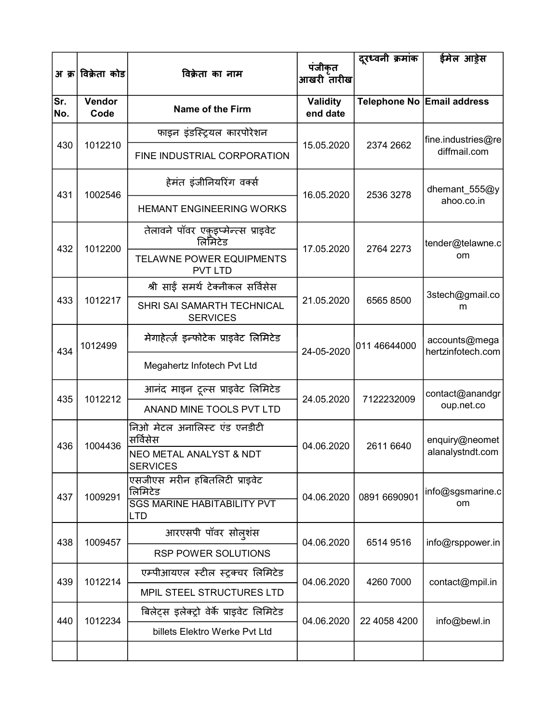|            | अ क्र विक्रेता कोड | विक्रेता का नाम                                       | पंजीकृत              | दूरध्वनी क्रमांक | ईमेल आड़ेस                         |
|------------|--------------------|-------------------------------------------------------|----------------------|------------------|------------------------------------|
|            |                    |                                                       | आखरी तारीख           |                  |                                    |
| Sr.<br>No. | Vendor<br>Code     | <b>Name of the Firm</b>                               | Validity<br>end date |                  | Telephone No Email address         |
|            |                    | फाइन इंडस्ट्रियल कारपोरेशन                            |                      |                  | fine.industries@re                 |
| 430        | 1012210            | FINE INDUSTRIAL CORPORATION                           | 15.05.2020           | 2374 2662        | diffmail.com                       |
| 431        | 1002546            | हेमंत इंजीनियरिंग वर्क्स                              | 16.05.2020           | 2536 3278        | dhemant_555@y                      |
|            |                    | <b>HEMANT ENGINEERING WORKS</b>                       |                      |                  | ahoo.co.in                         |
| 432        | 1012200            | तेलावने पॉवर एकुइप्मेन्त्स प्राइवेट<br>लिमिटेड        | 17.05.2020           | 2764 2273        | tender@telawne.c                   |
|            |                    | <b>TELAWNE POWER EQUIPMENTS</b><br><b>PVT LTD</b>     |                      |                  | om                                 |
|            |                    | श्री साई समर्थ टेक्नीकल सर्विसेस                      |                      |                  | 3stech@gmail.co                    |
| 433        | 1012217            | SHRI SAI SAMARTH TECHNICAL<br><b>SERVICES</b>         | 21.05.2020           | 6565 8500        | m                                  |
| 434        | 1012499            | मेगाहेर्त्ज़ इन्फोटेक प्राइवेट लिमिटेड                | 24-05-2020           | 011 46644000     | accounts@mega<br>hertzinfotech.com |
|            |                    | Megahertz Infotech Pvt Ltd                            |                      |                  |                                    |
| 435        | 1012212            | आनंद माइन टूल्स प्राइवेट लिमिटेड                      | 24.05.2020           | 7122232009       | contact@anandgr                    |
|            |                    | ANAND MINE TOOLS PVT LTD                              |                      |                  | oup.net.co                         |
| 436        | 1004436            | निओ मेटल अनालिस्ट एंड एनडीटी<br>सर्विसेस              | 04.06.2020           | 2611 6640        | enquiry@neomet                     |
|            |                    | <b>NEO METAL ANALYST &amp; NDT</b><br><b>SERVICES</b> |                      |                  | alanalystndt.com                   |
| 437        | 1009291            | एसजीएस मरीन हबितलिटी प्राइवेट<br>लिमिटेड              | 04.06.2020           | 0891 6690901     | info@sgsmarine.c                   |
|            |                    | <b>SGS MARINE HABITABILITY PVT</b><br>LTD             |                      |                  | om                                 |
| 438        | 1009457            | आरएसपी पॉवर सोल्शंस                                   | 04.06.2020           | 6514 9516        | info@rsppower.in                   |
|            |                    | <b>RSP POWER SOLUTIONS</b>                            |                      |                  |                                    |
| 439        | 1012214            | एम्पीआयएल स्टील स्ट्रक्चर लिमिटेड                     | 04.06.2020           | 4260 7000        | contact@mpil.in                    |
|            |                    | MPIL STEEL STRUCTURES LTD                             |                      |                  |                                    |
| 440        | 1012234            | बिलेट्स इलेक्ट्रो वेर्के प्राइवेट लिमिटेड             | 04.06.2020           | 22 4058 4200     | info@bewl.in                       |
|            |                    | billets Elektro Werke Pvt Ltd                         |                      |                  |                                    |
|            |                    |                                                       |                      |                  |                                    |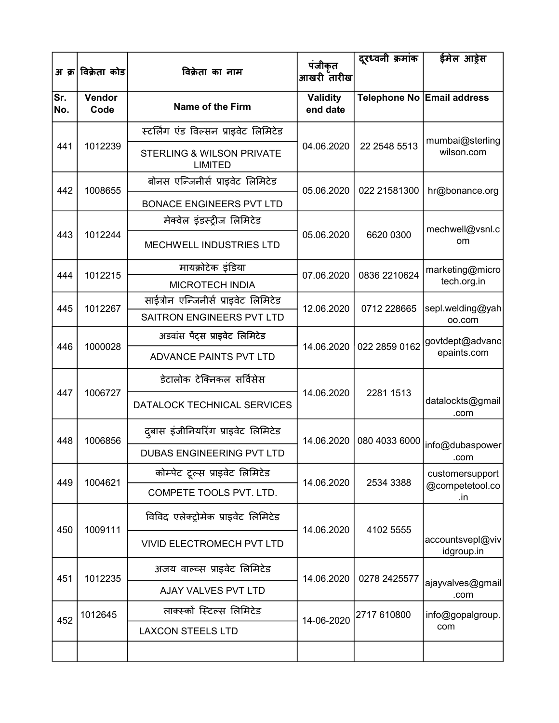|            | अ क्र विक्रेता कोड | विक्रेता का नाम                                        | पंजीकृत<br>आखरी तारीख       | दूरध्वनी क्रमांक                             | ईमेल आड़ेस                     |
|------------|--------------------|--------------------------------------------------------|-----------------------------|----------------------------------------------|--------------------------------|
| Sr.<br>No. | Vendor<br>Code     | <b>Name of the Firm</b>                                | <b>Validity</b><br>end date |                                              | Telephone No Email address     |
|            |                    | स्टर्लिंग एंड विल्सन प्राइवेट लिमिटेड                  |                             |                                              | mumbai@sterling                |
| 441        | 1012239            | <b>STERLING &amp; WILSON PRIVATE</b><br><b>LIMITED</b> | 04.06.2020                  | 22 2548 5513                                 | wilson.com                     |
| 442        | 1008655            | बोनस एन्जिनीर्स प्राइवेट लिमिटेड                       | 05.06.2020                  | 022 21581300                                 | hr@bonance.org                 |
|            |                    | <b>BONACE ENGINEERS PVT LTD</b>                        |                             |                                              |                                |
|            |                    | मेक्वेल इंडस्ट्रीज लिमिटेड                             |                             |                                              | mechwell@vsnl.c                |
| 443        | 1012244            | <b>MECHWELL INDUSTRIES LTD</b>                         | 05.06.2020                  | 6620 0300                                    | om                             |
| 444        | 1012215            | मायक्रोटेक इंडिया                                      | 07.06.2020                  | 0836 2210624<br>0712 228665<br>022 2859 0162 | marketing@micro                |
|            |                    | <b>MICROTECH INDIA</b>                                 |                             |                                              | tech.org.in                    |
| 445        | 1012267            | साईत्रोन एन्जिनीर्स प्राइवेट लिमिटेड                   | 12.06.2020                  |                                              | sepl.welding@yah               |
|            |                    | SAITRON ENGINEERS PVT LTD                              |                             |                                              | 00.com                         |
| 446        | 1000028            | अडवांस पेंट्स प्राइवेट लिमिटेड                         | 14.06.2020                  |                                              | govtdept@advanc                |
|            |                    | ADVANCE PAINTS PVT LTD                                 |                             |                                              | epaints.com                    |
| 447        | 1006727            | डेटालोक टेक्निकल सर्विसेस                              | 14.06.2020                  | 2281 1513                                    |                                |
|            |                    | DATALOCK TECHNICAL SERVICES                            |                             |                                              | datalockts@gmail<br>.com       |
| 448        | 1006856            | दुबास इंजीनियरिंग प्राइवेट लिमिटेड                     | 14.06.2020                  | 080 4033 6000                                |                                |
|            |                    | <b>DUBAS ENGINEERING PVT LTD</b>                       |                             |                                              | info@dubaspower<br>.com        |
|            |                    | कोम्पेट ट्रल्स प्राइवेट लिमिटेड                        |                             |                                              | customersupport                |
| 449        | 1004621            | COMPETE TOOLS PVT. LTD.                                | 14.06.2020                  | 2534 3388                                    | @competetool.co<br>.in         |
| 450        | 1009111            | विविद एलेक्ट्रोमेक प्राइवेट लिमिटेड                    | 14.06.2020                  | 4102 5555                                    |                                |
|            |                    | <b>VIVID ELECTROMECH PVT LTD</b>                       |                             |                                              | accountsvepl@viv<br>idgroup.in |
| 451        | 1012235            | अजय वाल्व्स प्राइवेट लिमिटेड                           | 14.06.2020                  | 0278 2425577                                 |                                |
|            |                    | AJAY VALVES PVT LTD                                    |                             |                                              | ajayvalves@gmail<br>.com       |
|            | 1012645            | लाक्स्कों स्टिल्स लिमिटेड                              |                             | 2717 610800                                  | info@gopalgroup.               |
| 452        |                    | <b>LAXCON STEELS LTD</b>                               | 14-06-2020                  |                                              | com                            |
|            |                    |                                                        |                             |                                              |                                |
|            |                    |                                                        |                             |                                              |                                |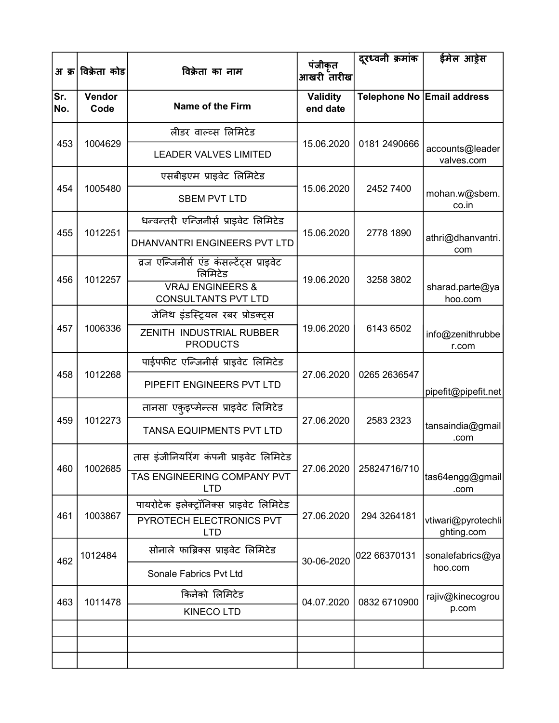| अ क्र      | विक्रेता कोड   | विक्रेता का नाम                                       | पंजीकृत<br>आखरी तारीख       | दूरध्वनी क्रमांक | ईमेल आड़ेस                       |
|------------|----------------|-------------------------------------------------------|-----------------------------|------------------|----------------------------------|
| Sr.<br>No. | Vendor<br>Code | Name of the Firm                                      | <b>Validity</b><br>end date |                  | Telephone No Email address       |
|            |                | लीडर वाल्व्स लिमिटेड                                  |                             |                  |                                  |
| 453        | 1004629        | <b>LEADER VALVES LIMITED</b>                          | 15.06.2020                  | 0181 2490666     | accounts@leader<br>valves.com    |
|            |                | एसबीइएम प्राइवेट लिमिटेड                              |                             |                  |                                  |
| 454        | 1005480        | <b>SBEM PVT LTD</b>                                   | 15.06.2020                  | 2452 7400        | mohan.w@sbem.<br>co.in           |
|            |                | धन्वन्तरी एन्जिनीर्स प्राइवेट लिमिटेड                 |                             |                  |                                  |
| 455        | 1012251        | DHANVANTRI ENGINEERS PVT LTD                          | 15.06.2020                  | 2778 1890        | athri@dhanvantri.<br>com         |
|            |                | व्रज एन्जिनीर्स एंड कंसर्ल्टेंट्स प्राइवेट<br>लिमिटेड |                             |                  |                                  |
| 456        | 1012257        | <b>VRAJ ENGINEERS &amp;</b><br>CONSULTANTS PVT LTD    | 19.06.2020                  | 3258 3802        | sharad.parte@ya<br>hoo.com       |
|            | 1006336        | जेनिथ इंडस्ट्रियल रबर प्रोडक्ट्स                      | 19.06.2020                  | 6143 6502        |                                  |
| 457        |                | ZENITH INDUSTRIAL RUBBER<br><b>PRODUCTS</b>           |                             |                  | info@zenithrubbe<br>r.com        |
|            | 1012268        | पाईपफीट एन्जिनीर्स प्राइवेट लिमिटेड                   |                             |                  |                                  |
| 458        |                | PIPEFIT ENGINEERS PVT LTD                             | 27.06.2020                  | 0265 2636547     | pipefit@pipefit.net              |
|            |                | तानसा एकुइप्मेन्त्स प्राइवेट लिमिटेड                  |                             |                  |                                  |
| 459        | 1012273        | TANSA EQUIPMENTS PVT LTD                              | 27.06.2020                  | 2583 2323        | tansaindia@gmail<br>.com         |
| 460        | 1002685        | तास इंजीनियरिंग कंपनी प्राइवेट लिमिटेड                | 27.06.2020                  | 25824716/710     |                                  |
|            |                | TAS ENGINEERING COMPANY PVT<br><b>LTD</b>             |                             |                  | tas64engg@gmail<br>.com          |
|            |                | पायरोटेक इलेक्ट्रॉनिक्स प्राइवेट लिमिटेड              |                             |                  |                                  |
| 461        | 1003867        | PYROTECH ELECTRONICS PVT<br><b>LTD</b>                | 27.06.2020                  | 294 3264181      | vtiwari@pyrotechli<br>ghting.com |
| 462        | 1012484        | सोनाले फाब्रिक्स प्राइवेट लिमिटेड                     | 30-06-2020                  | 022 66370131     | sonalefabrics@ya                 |
|            |                | Sonale Fabrics Pvt Ltd                                |                             |                  | hoo.com                          |
| 463        | 1011478        | किनेको लिमिटेड                                        | 04.07.2020                  | 0832 6710900     | rajiv@kinecogrou                 |
|            |                | <b>KINECO LTD</b>                                     |                             |                  | p.com                            |
|            |                |                                                       |                             |                  |                                  |
|            |                |                                                       |                             |                  |                                  |
|            |                |                                                       |                             |                  |                                  |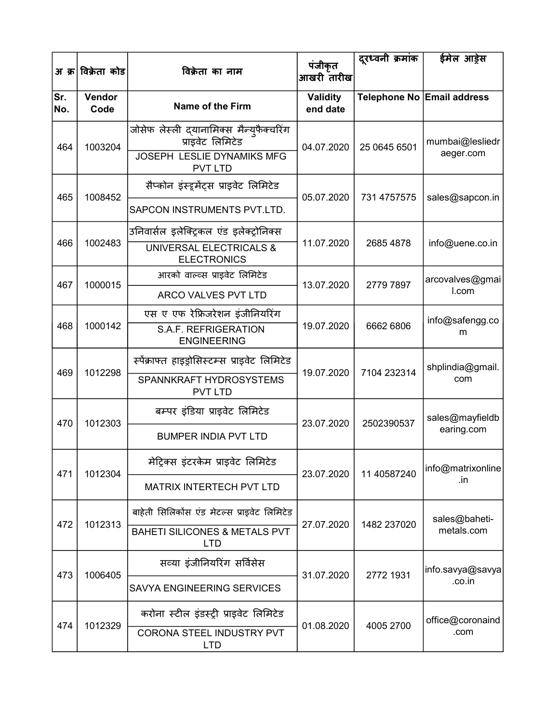| अ क्र      | विक्रेता कोड   | विक्रेता का नाम                                                                                       | पंजीकृत<br>आखरी तारीख       | दूरध्वनी क्रमांक | ईमेल आड़ेस                    |
|------------|----------------|-------------------------------------------------------------------------------------------------------|-----------------------------|------------------|-------------------------------|
| Sr.<br>No. | Vendor<br>Code | Name of the Firm                                                                                      | <b>Validity</b><br>end date |                  | Telephone No Email address    |
| 464        | 1003204        | जोसेफ लेस्ली द्यानामिक्स मैन्युफैक्चरिंग<br>प्राइवेट लिमिटेड<br>JOSEPH LESLIE DYNAMIKS MFG            | 04.07.2020                  | 25 0645 6501     | mumbai@lesliedr<br>aeger.com  |
| 465        | 1008452        | <b>PVT LTD</b><br>सैप्कोन इंस्ट्र्मेंट्स प्राइवेट लिमिटेड<br>SAPCON INSTRUMENTS PVT.LTD.              | 05.07.2020                  | 731 4757575      | sales@sapcon.in               |
| 466        | 1002483        | उनिवार्सल इलेक्ट्रिकल एंड इलेक्ट्रोनिक्स<br>UNIVERSAL ELECTRICALS &<br><b>ELECTRONICS</b>             | 11.07.2020                  | 2685 4878        | info@uene.co.in               |
| 467        | 1000015        | आरको वाल्व्स प्राइवेट लिमिटेड<br>ARCO VALVES PVT LTD                                                  | 13.07.2020                  | 2779 7897        | arcovalves@gmai<br>I.com      |
| 468        | 1000142        | एस ए एफ रेफ्रिजरेशन इंजीनियरिंग<br>S.A.F. REFRIGERATION<br><b>ENGINEERING</b>                         | 19.07.2020                  | 6662 6806        | info@safengg.co<br>m          |
| 469        | 1012298        | स्पेंक्राफ्त हाइड्रोसिस्टम्स प्राइवेट लिमिटेड<br>SPANNKRAFT HYDROSYSTEMS<br><b>PVT LTD</b>            | 19.07.2020                  | 7104 232314      | shplindia@gmail.<br>com       |
| 470        | 1012303        | बम्पर इंडिया प्राइवेट लिमिटेड<br><b>BUMPER INDIA PVT LTD</b>                                          | 23.07.2020                  | 2502390537       | sales@mayfieldb<br>earing.com |
| 471        | 1012304        | मेट्रिक्स इंटरकेम प्राइवेट लिमिटेड<br><b>MATRIX INTERTECH PVT LTD</b>                                 | 23.07.2020                  | 11 40587240      | info@matrixonline<br>.in      |
| 472        | 1012313        | बाहेती सिलिकोंस एंड मेटल्स प्राइवेट लिमिटेड<br><b>BAHETI SILICONES &amp; METALS PVT</b><br><b>LTD</b> | 27.07.2020                  | 1482 237020      | sales@baheti-<br>metals.com   |
| 473        | 1006405        | सव्या इंजीनियरिंग सर्विसेस<br>SAVYA ENGINEERING SERVICES                                              | 31.07.2020                  | 2772 1931        | info.savya@savya<br>.co.in    |
| 474        | 1012329        | करोना स्टील इंडस्ट्री प्राइवेट लिमिटेड<br>CORONA STEEL INDUSTRY PVT<br><b>LTD</b>                     | 01.08.2020                  | 4005 2700        | office@coronaind<br>.com      |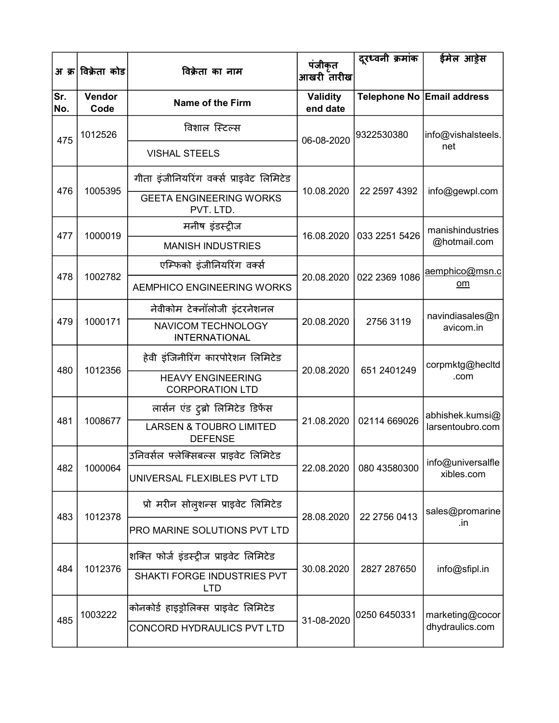| अ क्र      | विक्रेता कोड   | विक्रेता का नाम                                      | पंजीकृत<br>आखरी तारीख       | दूरध्वनी क्रमांक | ईमेल आड़ेस                 |
|------------|----------------|------------------------------------------------------|-----------------------------|------------------|----------------------------|
| Sr.<br>No. | Vendor<br>Code | <b>Name of the Firm</b>                              | <b>Validity</b><br>end date |                  | Telephone No Email address |
| 475        | 1012526        | विशाल स्टिल्स                                        | 06-08-2020                  | 9322530380       | info@vishalsteels.         |
|            |                | <b>VISHAL STEELS</b>                                 |                             |                  | net                        |
| 476        | 1005395        | गीता इंजीनियरिंग वर्क्स प्राइवेट लिमिटेड             | 10.08.2020                  | 22 2597 4392     | info@gewpl.com             |
|            |                | <b>GEETA ENGINEERING WORKS</b><br>PVT. LTD.          |                             |                  |                            |
| 477        | 1000019        | मनीष इंडर्स्ट्रीज                                    | 16.08.2020                  | 033 2251 5426    | manishindustries           |
|            |                | <b>MANISH INDUSTRIES</b>                             |                             |                  | @hotmail.com               |
| 478        |                | एम्फिको इंजीनियरिंग वर्क्स                           |                             |                  | aemphico@msn.c<br>om       |
|            | 1002782        | AEMPHICO ENGINEERING WORKS                           | 20.08.2020                  | 022 2369 1086    |                            |
|            | 1000171        | नेवीकोम टेक्नॉलोजी इंटरनेशनल                         | 20.08.2020                  |                  | navindiasales@n            |
| 479        |                | NAVICOM TECHNOLOGY<br><b>INTERNATIONAL</b>           |                             | 2756 3119        | avicom.in                  |
| 480        | 1012356        | हेवी इंजिनीरिंग कारपोरेशन लिमिटेड                    | 20.08.2020                  | 651 2401249      | corpmktg@hecltd            |
|            |                | <b>HEAVY ENGINEERING</b><br><b>CORPORATION LTD</b>   |                             |                  | .com                       |
|            |                | लार्सन एंड टुब्रो लिमिटेड डिफेंस                     |                             |                  | abhishek.kumsi@            |
| 481        | 1008677        | <b>LARSEN &amp; TOUBRO LIMITED</b><br><b>DEFENSE</b> | 21.08.2020                  | 02114 669026     | larsentoubro.com           |
|            |                | उनिवर्सल फ्लेक्सिबल्स प्राइवेट लिमिटेड               |                             |                  | info@universalfle          |
| 482        | 1000064        | UNIVERSAL FLEXIBLES PVT LTD                          | 22.08.2020                  | 080 43580300     | xibles.com                 |
| 483        | 1012378        | प्रो मरीन सोल्शन्स प्राइवेट लिमिटेड                  | 28.08.2020                  | 22 2756 0413     | sales@promarine            |
|            |                | PRO MARINE SOLUTIONS PVT LTD                         |                             |                  | .in                        |
|            |                | शक्ति फोर्ज इंडस्ट्रीज प्राइवेट लिमिटेड              |                             |                  |                            |
| 484        | 1012376        | SHAKTI FORGE INDUSTRIES PVT<br><b>LTD</b>            | 30.08.2020                  | 2827 287650      | info@sfipl.in              |
|            | 1003222        | कोनकोर्ड हाइड्रोलिक्स प्राइवेट लिमिटेड               |                             | 0250 6450331     | marketing@cocor            |
| 485        |                | CONCORD HYDRAULICS PVT LTD                           | 31-08-2020                  |                  | dhydraulics.com            |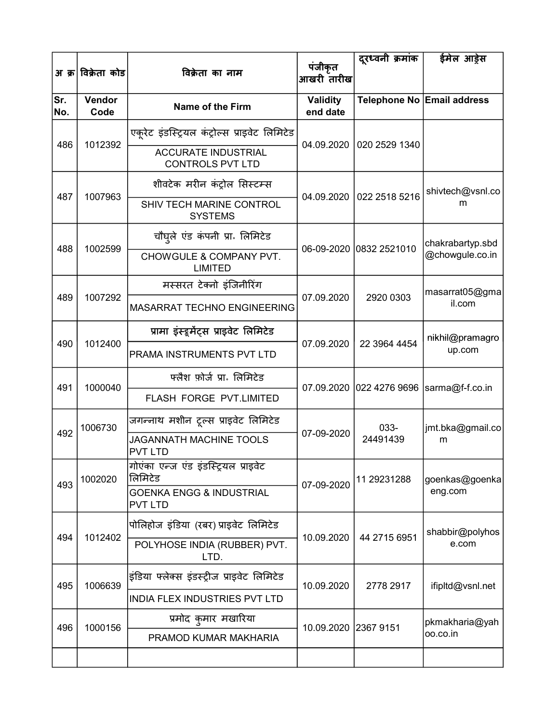|            | अ क्र विक्रेता कोड | विक्रेता का नाम                                       | पंजीकृत<br>आखरी तारीख       | दूरध्वनी क्रमांक           | ईमेल आड़ेस                                  |
|------------|--------------------|-------------------------------------------------------|-----------------------------|----------------------------|---------------------------------------------|
| Sr.<br>No. | Vendor<br>Code     | Name of the Firm                                      | <b>Validity</b><br>end date |                            | Telephone No Email address                  |
|            |                    | एकूरेट इंडस्ट्रियल कंट्रोल्स प्राइवेट लिमिटेड         |                             |                            |                                             |
| 486        | 1012392            | <b>ACCURATE INDUSTRIAL</b><br><b>CONTROLS PVT LTD</b> |                             | 04.09.2020   020 2529 1340 |                                             |
|            |                    | शीवटेक मरीन कंट्रोल सिस्टम्स                          |                             |                            | shivtech@vsnl.co                            |
| 487        | 1007963            | SHIV TECH MARINE CONTROL<br><b>SYSTEMS</b>            |                             | 04.09.2020   022 2518 5216 | m                                           |
| 488        | 1002599            | चौघुले एंड कंपनी प्रा लिमिटेड                         |                             | 06-09-2020 0832 2521010    | chakrabartyp.sbd                            |
|            |                    | CHOWGULE & COMPANY PVT.<br><b>LIMITED</b>             |                             |                            | @chowgule.co.in                             |
| 489        | 1007292            | मस्सरत टेक्नो इंजिनीरिंग                              | 07.09.2020                  | 2920 0303                  | masarrat05@gma<br>il.com<br>nikhil@pramagro |
|            |                    | <b>MASARRAT TECHNO ENGINEERING</b>                    |                             |                            |                                             |
| 490        | 1012400            | प्रामा इंस्ट्रमेंट्स प्राइवेट लिमिटेड                 | 07.09.2020                  | 22 3964 4454               | up.com                                      |
|            |                    | PRAMA INSTRUMENTS PVT LTD                             |                             |                            |                                             |
| 491        | 1000040            | फ्लैश फ़ोर्ज प्रा॰ लिमिटेड                            |                             |                            | 07.09.2020 022 4276 9696  sarma@f-f.co.in   |
|            |                    | FLASH FORGE PVT.LIMITED                               |                             |                            |                                             |
| 492        | 1006730            | जगन्नाथ मशीन टूल्स प्राइवेट लिमिटेड                   | 07-09-2020                  | 033-                       | jmt.bka@gmail.co                            |
|            |                    | JAGANNATH MACHINE TOOLS<br><b>PVT LTD</b>             |                             | 24491439                   | m                                           |
|            | 1002020            | गोएंका एन्ज एंड इंडस्ट्रियल प्राइवेट<br>लिमिटेड       |                             | 11 29231288                | goenkas@goenka                              |
| 493        |                    | <b>GOENKA ENGG &amp; INDUSTRIAL</b><br><b>PVT LTD</b> | 07-09-2020                  |                            | eng.com                                     |
|            |                    | पोलिहोज इंडिया (रबर) प्राइवेट लिमिटेड                 |                             |                            | shabbir@polyhos                             |
| 494        | 1012402            | POLYHOSE INDIA (RUBBER) PVT.<br>LTD.                  | 10.09.2020                  | 44 2715 6951               | e.com                                       |
| 495        | 1006639            | इंडिया फ्लेक्स इंडस्ट्रीज प्राइवेट लिमिटेड            | 10.09.2020                  | 2778 2917                  | ifipitd@vsnl.net                            |
|            |                    | INDIA FLEX INDUSTRIES PVT LTD                         |                             |                            |                                             |
| 496        | 1000156            | प्रमोद कुमार मखारिया                                  | 10.09.2020 2367 9151        |                            | pkmakharia@yah                              |
|            |                    | PRAMOD KUMAR MAKHARIA                                 |                             |                            | oo.co.in                                    |
|            |                    |                                                       |                             |                            |                                             |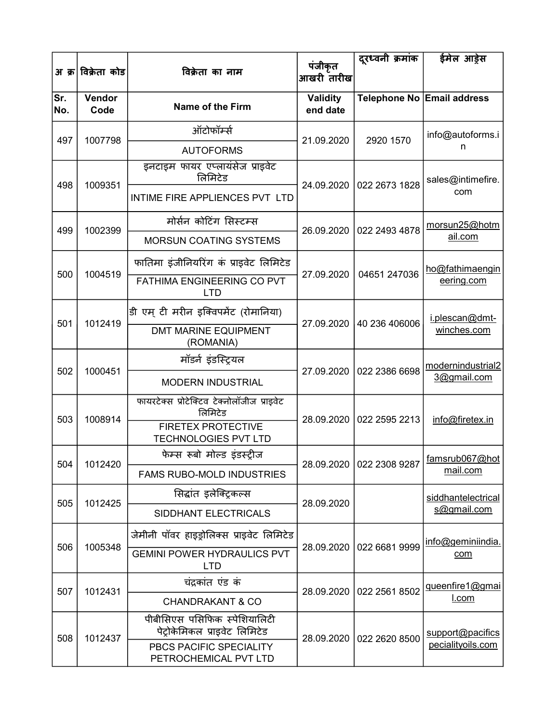|            |                    |                                                               | पंजीकृत                     | दुरध्वनी क्रमांक           | ईमेल आड़ेस                                                                                                                                        |
|------------|--------------------|---------------------------------------------------------------|-----------------------------|----------------------------|---------------------------------------------------------------------------------------------------------------------------------------------------|
|            | अ क्र विक्रेता कोड | विक्रेता का नाम                                               | आखरी तारीख                  |                            |                                                                                                                                                   |
| Sr.<br>No. | Vendor<br>Code     | <b>Name of the Firm</b>                                       | <b>Validity</b><br>end date |                            |                                                                                                                                                   |
| 497        | 1007798            | ऑटोफॉर्म्स                                                    | 21.09.2020                  | 2920 1570                  | info@autoforms.i                                                                                                                                  |
|            |                    | <b>AUTOFORMS</b>                                              |                             |                            | n                                                                                                                                                 |
| 498        | 1009351            | इनटाइम फायर एप्लायंसेज प्राइवेट<br>लिमिटेड                    | 24.09.2020                  | 022 2673 1828              | sales@intimefire.                                                                                                                                 |
|            |                    | INTIME FIRE APPLIENCES PVT LTD                                |                             |                            |                                                                                                                                                   |
| 499        | 1002399            | मोर्सन कोटिंग सिस्टम्स                                        | 26.09.2020                  | 022 2493 4878              | morsun25@hotm                                                                                                                                     |
|            |                    | <b>MORSUN COATING SYSTEMS</b>                                 |                             |                            | com<br>ail.com<br>eering.com<br>i.plescan@dmt-<br>winches.com<br>3@gmail.com<br>info@firetex.in<br>mail.com<br>s@gmail.com<br>com<br><u>I.com</u> |
|            |                    | फातिमा इंजीनियरिंग कं प्राइवेट लिमिटेड                        |                             |                            | ho@fathimaengin                                                                                                                                   |
| 500        | 1004519            | FATHIMA ENGINEERING CO PVT<br>LTD                             | 27.09.2020                  | 04651 247036               |                                                                                                                                                   |
|            |                    | डी एम् टी मरीन इक्विपमेंट (रोमानिया)                          |                             |                            | modernindustrial2                                                                                                                                 |
| 501        | 1012419            | <b>DMT MARINE EQUIPMENT</b><br>(ROMANIA)                      | 27.09.2020                  | 40 236 406006              |                                                                                                                                                   |
|            |                    | मॉडर्न इंडस्ट्रियल                                            |                             |                            | famsrub067@hot<br>siddhantelectrical<br>info@geminiindia.<br>queenfire1@gmai<br>support@pacifics<br>pecialityoils.com                             |
| 502        | 1000451            | <b>MODERN INDUSTRIAL</b>                                      | 27.09.2020                  | 022 2386 6698              |                                                                                                                                                   |
| 503        | 1008914            | फायरटेक्स प्रोटेक्टिव टेक्नोलॉजीज प्राइवेट<br>लिमिटेड         | 28.09.2020                  | 022 2595 2213              | Telephone No Email address                                                                                                                        |
|            |                    | <b>FIRETEX PROTECTIVE</b><br><b>TECHNOLOGIES PVT LTD</b>      |                             |                            |                                                                                                                                                   |
| 504        | 1012420            | फेम्स रूबो मोल्ड इंडस्ट्रीज                                   |                             | 28.09.2020   022 2308 9287 |                                                                                                                                                   |
|            |                    | <b>FAMS RUBO-MOLD INDUSTRIES</b>                              |                             |                            |                                                                                                                                                   |
| 505        | 1012425            | सिद्धांत इलेक्ट्रिकल्स                                        | 28.09.2020                  |                            |                                                                                                                                                   |
|            |                    | SIDDHANT ELECTRICALS                                          |                             |                            |                                                                                                                                                   |
|            |                    | जेमीनी पॉवर हाइड्रोलिक्स प्राइवेट लिमिटेड                     |                             |                            |                                                                                                                                                   |
| 506        | 1005348            | <b>GEMINI POWER HYDRAULICS PVT</b><br><b>LTD</b>              | 28.09.2020                  | 022 6681 9999              |                                                                                                                                                   |
| 507        | 1012431            | चंद्रकांत एंड कं                                              | 28.09.2020                  | 022 2561 8502              |                                                                                                                                                   |
|            |                    | <b>CHANDRAKANT &amp; CO</b>                                   |                             |                            |                                                                                                                                                   |
| 508        | 1012437            | पीबीसिएस पसिफिक स्पेशियालिटी<br>पेट्रोकेमिकल प्राइवेट लिमिटेड | 28.09.2020                  | 022 2620 8500              |                                                                                                                                                   |
|            |                    | PBCS PACIFIC SPECIALITY<br>PETROCHEMICAL PVT LTD              |                             |                            |                                                                                                                                                   |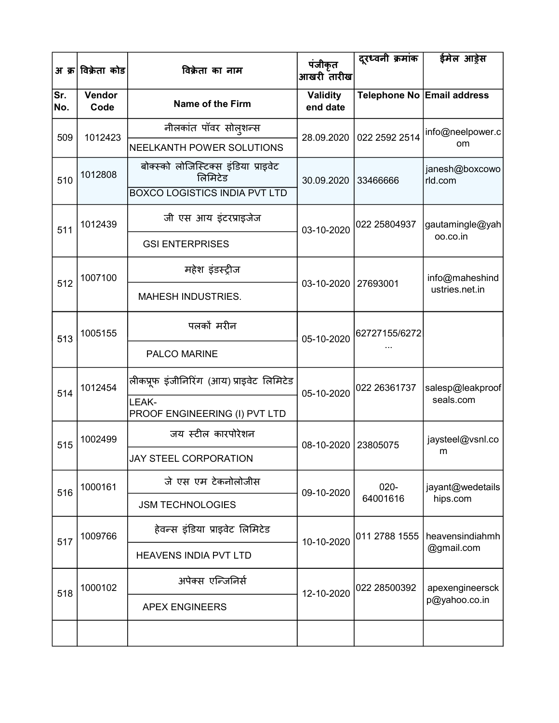| अ क्र      | विक्रेता कोड   | विक्रेता का नाम                                 | पंजीकृत<br>आखरी तारीख       | दूरध्वनी क्रमांक | ईमेल आड़ेस                                                                                                                                                                                                                  |
|------------|----------------|-------------------------------------------------|-----------------------------|------------------|-----------------------------------------------------------------------------------------------------------------------------------------------------------------------------------------------------------------------------|
| Sr.<br>No. | Vendor<br>Code | Name of the Firm                                | <b>Validity</b><br>end date |                  |                                                                                                                                                                                                                             |
| 509        | 1012423        | नीलकांत पॉवर सोल्शन्स                           | 28.09.2020                  | 022 2592 2514    | info@neelpower.c                                                                                                                                                                                                            |
|            |                | NEELKANTH POWER SOLUTIONS                       |                             |                  |                                                                                                                                                                                                                             |
| 510        | 1012808        | बोक्स्को लोजिस्टिक्स इंडिया प्राइवेट<br>लिमिटेड | 30.09.2020                  | 33466666         | janesh@boxcowo<br>rld.com                                                                                                                                                                                                   |
|            |                | <b>BOXCO LOGISTICS INDIA PVT LTD</b>            |                             |                  |                                                                                                                                                                                                                             |
| 511        | 1012439        | जी एस आय इंटरप्राइजेज                           | 03-10-2020                  | 022 25804937     | Telephone No Email address<br>om<br>gautamingle@yah<br>oo.co.in<br>info@maheshind<br>ustries.net.in<br>seals.com<br>jaysteel@vsnl.co<br>m<br>jayant@wedetails<br>hips.com<br>@gmail.com<br>apexengineersck<br>p@yahoo.co.in |
|            |                | <b>GSI ENTERPRISES</b>                          |                             |                  |                                                                                                                                                                                                                             |
| 512        | 1007100        | महेश इंडस्ट्रीज                                 | 03-10-2020 27693001         |                  |                                                                                                                                                                                                                             |
|            |                | <b>MAHESH INDUSTRIES.</b>                       |                             |                  |                                                                                                                                                                                                                             |
| 513        | 1005155        | पलकों मरीन                                      | 05-10-2020                  | 62727155/6272    |                                                                                                                                                                                                                             |
|            |                | PALCO MARINE                                    |                             |                  |                                                                                                                                                                                                                             |
| 514        | 1012454        | लीकप्रूफ इंजीनिरिंग (आय) प्राइवेट लिमिटेड       | 05-10-2020                  | 022 26361737     | salesp@leakproof                                                                                                                                                                                                            |
|            |                | LEAK-<br>PROOF ENGINEERING (I) PVT LTD          |                             |                  |                                                                                                                                                                                                                             |
| 515        | 1002499        | जय स्टील कारपोरेशन                              | 08-10-2020                  | 23805075         |                                                                                                                                                                                                                             |
|            |                | JAY STEEL CORPORATION                           |                             |                  |                                                                                                                                                                                                                             |
| 516        | 1000161        | जे एस एम टेकनोलोजीस                             | 09-10-2020                  | $020 -$          |                                                                                                                                                                                                                             |
|            |                | <b>JSM TECHNOLOGIES</b>                         |                             | 64001616         |                                                                                                                                                                                                                             |
| 517        | 1009766        | हेवन्स इंडिया प्राइवेट लिमिटेड                  | 10-10-2020                  | 011 2788 1555    | heavensindiahmh                                                                                                                                                                                                             |
|            |                | <b>HEAVENS INDIA PVT LTD</b>                    |                             |                  |                                                                                                                                                                                                                             |
| 518        | 1000102        | अपेक्स एन्जिनिर्स                               | 12-10-2020                  | 022 28500392     |                                                                                                                                                                                                                             |
|            |                | <b>APEX ENGINEERS</b>                           |                             |                  |                                                                                                                                                                                                                             |
|            |                |                                                 |                             |                  |                                                                                                                                                                                                                             |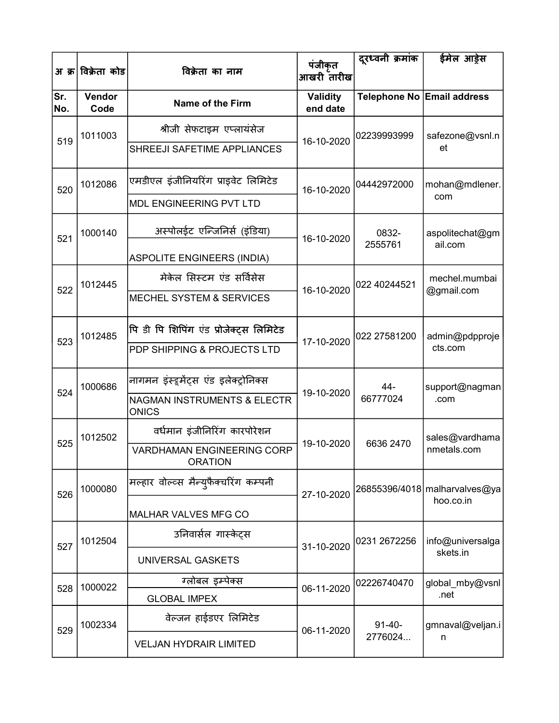| अ क्र      | विक्रेता कोड   | विक्रेता का नाम                                        | पंजीकृत<br>आखरी तारीख       | दूरध्वनी क्रमांक | ईमेल आड़ेस                                                                                                                            |
|------------|----------------|--------------------------------------------------------|-----------------------------|------------------|---------------------------------------------------------------------------------------------------------------------------------------|
| Sr.<br>No. | Vendor<br>Code | Name of the Firm                                       | <b>Validity</b><br>end date |                  | Telephone No Email address                                                                                                            |
| 519        | 1011003        | श्रीजी सेफटाइम एप्लायंसेज                              |                             | 02239993999      | safezone@vsnl.n                                                                                                                       |
|            |                | SHREEJI SAFETIME APPLIANCES                            | 16-10-2020                  |                  | et                                                                                                                                    |
| 520        | 1012086        | एमडीएल इंजीनियरिंग प्राइवेट लिमिटेड                    | 16-10-2020                  | 04442972000      | mohan@mdlener.                                                                                                                        |
|            |                | MDL ENGINEERING PVT LTD                                |                             |                  |                                                                                                                                       |
| 521        | 1000140        | अस्पोलईट एन्जिनिर्स (इंडिया)                           | 16-10-2020                  | 0832-<br>2555761 | aspolitechat@gm                                                                                                                       |
|            |                | <b>ASPOLITE ENGINEERS (INDIA)</b>                      |                             |                  |                                                                                                                                       |
| 522        | 1012445        | मेकेल सिस्टम एंड सर्विसेस                              | 16-10-2020                  | 022 40244521     | com<br>ail.com<br>mechel.mumbai<br>@gmail.com<br>admin@pdpproje<br>cts.com<br>support@nagman<br>.com<br>sales@vardhama<br>nmetals.com |
|            |                | <b>MECHEL SYSTEM &amp; SERVICES</b>                    |                             |                  |                                                                                                                                       |
| 523        | 1012485        | पि डी पि शिपिंग एंड प्रोजेक्ट्स लिमिटेड                | 17-10-2020                  | 022 27581200     |                                                                                                                                       |
|            |                | PDP SHIPPING & PROJECTS LTD                            |                             |                  |                                                                                                                                       |
| 524        | 1000686        | नागमन इंस्ट्रमेंट्स एंड इलेक्ट्रोनिक्स                 | 19-10-2020                  | 44-              |                                                                                                                                       |
|            |                | <b>NAGMAN INSTRUMENTS &amp; ELECTR</b><br><b>ONICS</b> |                             | 66777024         |                                                                                                                                       |
| 525        | 1012502        | वर्धमान इंजीनिरिंग कारपोरेशन                           | 19-10-2020                  | 6636 2470        |                                                                                                                                       |
|            |                | <b>VARDHAMAN ENGINEERING CORP</b><br><b>ORATION</b>    |                             |                  | hoo.co.in<br>skets.in<br>.net<br>n                                                                                                    |
| 526        | 1000080        | मल्हार वोल्व्स मैन्युफैक्चरिंग कम्पनी                  | 27-10-2020                  |                  | 26855396/4018 malharvalves@ya                                                                                                         |
|            |                | MALHAR VALVES MFG CO                                   |                             |                  |                                                                                                                                       |
| 527        | 1012504        | उनिवार्सल गास्केट्स                                    | 31-10-2020                  | 0231 2672256     | info@universalga                                                                                                                      |
|            |                | UNIVERSAL GASKETS                                      |                             |                  |                                                                                                                                       |
| 528        | 1000022        | ग्लोबल इम्पेक्स                                        | 06-11-2020                  | 02226740470      | global_mby@vsnl                                                                                                                       |
|            |                | <b>GLOBAL IMPEX</b>                                    |                             |                  |                                                                                                                                       |
| 529        | 1002334        | वेल्जन हाईडएर लिमिटेड                                  | 06-11-2020                  | $91 - 40 -$      | gmnaval@veljan.i                                                                                                                      |
|            |                | <b>VELJAN HYDRAIR LIMITED</b>                          |                             | 2776024          |                                                                                                                                       |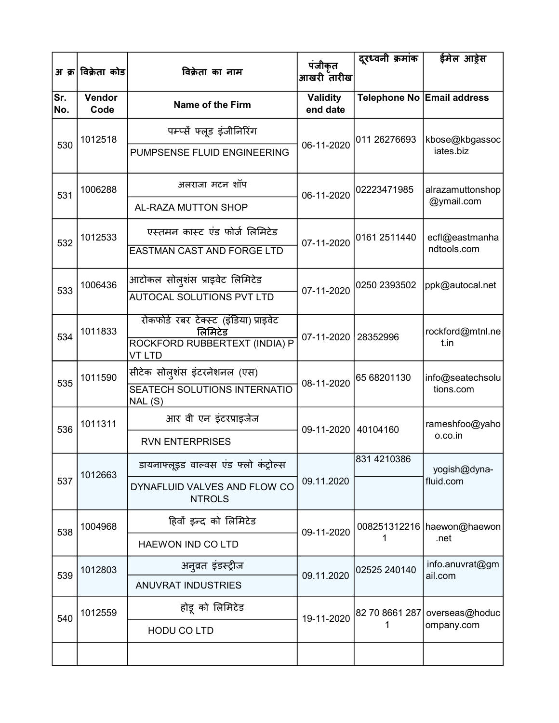|            | अ क्र विक्रेता कोड | विक्रेता का नाम                                   | पंजीकृत<br>आखरी तारीख       | दूरध्वनी क्रमांक | ईमेल आड़ेस                                                                                                                                                                                                                                                                     |
|------------|--------------------|---------------------------------------------------|-----------------------------|------------------|--------------------------------------------------------------------------------------------------------------------------------------------------------------------------------------------------------------------------------------------------------------------------------|
|            |                    |                                                   |                             |                  |                                                                                                                                                                                                                                                                                |
| Sr.<br>No. | Vendor<br>Code     | <b>Name of the Firm</b>                           | <b>Validity</b><br>end date |                  |                                                                                                                                                                                                                                                                                |
|            | 1012518            | पम्प्सें फ्लूड इंजीनिरिंग                         |                             | 011 26276693     |                                                                                                                                                                                                                                                                                |
| 530        |                    | PUMPSENSE FLUID ENGINEERING                       | 06-11-2020                  |                  | iates.biz                                                                                                                                                                                                                                                                      |
| 531        | 1006288            | अलराजा मटन शॉप                                    | 06-11-2020                  | 02223471985      | alrazamuttonshop                                                                                                                                                                                                                                                               |
|            |                    | AL-RAZA MUTTON SHOP                               |                             |                  |                                                                                                                                                                                                                                                                                |
| 532        | 1012533            | एस्तमन कास्ट एंड फोर्ज लिमिटेड                    | 07-11-2020                  | 0161 2511440     | ecfl@eastmanha                                                                                                                                                                                                                                                                 |
|            |                    | <b>EASTMAN CAST AND FORGE LTD</b>                 |                             |                  | Telephone No Email address<br>kbose@kbgassoc<br>@ymail.com<br>ndtools.com<br>ppk@autocal.net<br>t.in<br>tions.com<br>o.co.in<br>yogish@dyna-<br>fluid.com<br>008251312216   haewon@haewon<br>.net<br>info.anuvrat@gm<br>ail.com<br>82 70 8661 287 overseas@hoduc<br>ompany.com |
| 533        | 1006436            | आटोकल सोल्शंस प्राइवेट लिमिटेड                    | 07-11-2020                  | 0250 2393502     |                                                                                                                                                                                                                                                                                |
|            |                    | <b>AUTOCAL SOLUTIONS PVT LTD</b>                  |                             |                  |                                                                                                                                                                                                                                                                                |
| 534        | 1011833            | रोकफोर्ड रबर टेक्स्ट (इंडिया) प्राइवेट<br>लिमिटेड | 07-11-2020                  | 28352996         | rockford@mtnl.ne                                                                                                                                                                                                                                                               |
|            |                    | ROCKFORD RUBBERTEXT (INDIA) P<br><b>VT LTD</b>    |                             |                  |                                                                                                                                                                                                                                                                                |
| 535        | 1011590            | सीटेक सोलुशंस इंटरनेशनल (एस)                      | 08-11-2020                  | 65 68201130      | info@seatechsolu                                                                                                                                                                                                                                                               |
|            |                    | <b>SEATECH SOLUTIONS INTERNATIO</b><br>NAL(S)     |                             |                  |                                                                                                                                                                                                                                                                                |
| 536        | 1011311            | आर वी एन इंटरप्राइजेज                             | 09-11-2020 40104160         |                  | rameshfoo@yaho                                                                                                                                                                                                                                                                 |
|            |                    | <b>RVN ENTERPRISES</b>                            |                             |                  |                                                                                                                                                                                                                                                                                |
|            | 1012663            | डायनाफ्लूइड वाल्वस एंड फ्लो कंट्रोल्स             |                             | 831 4210386      |                                                                                                                                                                                                                                                                                |
| 537        |                    | DYNAFLUID VALVES AND FLOW CO<br><b>NTROLS</b>     | 09.11.2020                  |                  |                                                                                                                                                                                                                                                                                |
| 538        | 1004968            | हिवों इन्द को लिमिटेड                             | 09-11-2020                  |                  |                                                                                                                                                                                                                                                                                |
|            |                    | HAEWON IND CO LTD                                 |                             | 1                |                                                                                                                                                                                                                                                                                |
| 539        | 1012803            | अनुव्रत इंडस्ट्रीज                                | 09.11.2020                  | 02525 240140     |                                                                                                                                                                                                                                                                                |
|            |                    | <b>ANUVRAT INDUSTRIES</b>                         |                             |                  |                                                                                                                                                                                                                                                                                |
| 540        | 1012559            | होडू को लिमिटेड                                   | 19-11-2020                  |                  |                                                                                                                                                                                                                                                                                |
|            |                    | <b>HODU CO LTD</b>                                |                             | 1                |                                                                                                                                                                                                                                                                                |
|            |                    |                                                   |                             |                  |                                                                                                                                                                                                                                                                                |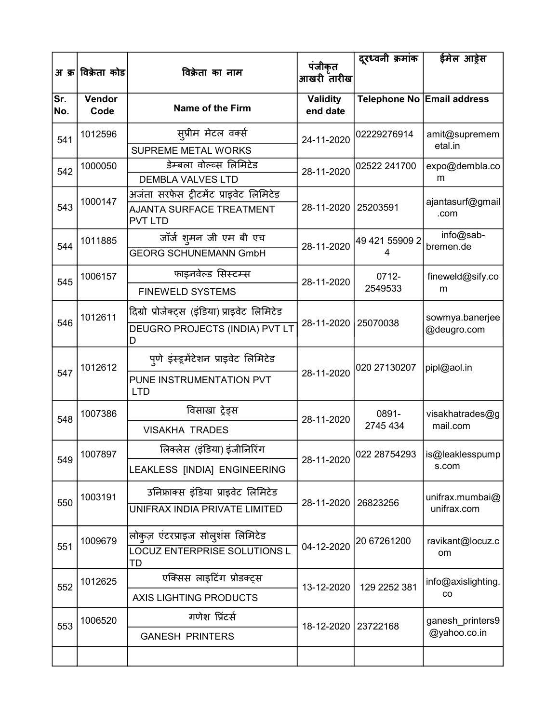|            | अ क्र विक्रेता कोड | विक्रेता का नाम                                                                             | पंजीकृत<br>आखरी तारीख       | दुरध्वनी क्रमांक           | ईमेल आड़ेस                       |
|------------|--------------------|---------------------------------------------------------------------------------------------|-----------------------------|----------------------------|----------------------------------|
| Sr.<br>No. | Vendor<br>Code     | <b>Name of the Firm</b>                                                                     | <b>Validity</b><br>end date | Telephone No Email address |                                  |
| 541        | 1012596            | स् <b>प्रीम मेटल वर्क्स</b>                                                                 | 24-11-2020                  | 02229276914                | amit@supremem<br>etal.in         |
| 542        | 1000050            | SUPREME METAL WORKS<br>डेम्बला वोल्व्स लिमिटेड<br><b>DEMBLA VALVES LTD</b>                  | 28-11-2020                  | 02522 241700               | expo@dembla.co<br>m              |
| 543        | 1000147            | अजंता सरफेस ट्रीटमेंट प्राइवेट लिमिटेड<br><b>AJANTA SURFACE TREATMENT</b><br><b>PVT LTD</b> | 28-11-2020                  | 25203591                   | ajantasurf@gmail<br>.com         |
| 544        | 1011885            | जॉर्ज शुमन जी एम बी एच<br><b>GEORG SCHUNEMANN GmbH</b>                                      | 28-11-2020                  | 49 421 55909 2             | info@sab-<br>bremen.de           |
| 545        | 1006157            | फाइनवेल्ड सिस्टम्स<br><b>FINEWELD SYSTEMS</b>                                               | 28-11-2020                  | 0712-<br>2549533           | fineweld@sify.co<br>m            |
| 546        | 1012611            | दिग्रो प्रोजेक्ट्स (इंडिया) प्राइवेट लिमिटेड<br>DEUGRO PROJECTS (INDIA) PVT LT<br>D         | 28-11-2020                  | 25070038                   | sowmya.banerjee<br>@deugro.com   |
| 547        | 1012612            | पुणे इंस्ट्र्मेंटेशन प्राइवेट लिमिटेड<br>PUNE INSTRUMENTATION PVT<br><b>LTD</b>             | 28-11-2020                  | 020 27130207               | pipl@aol.in                      |
| 548        | 1007386            | विसाखा ट्रेड्स<br><b>VISAKHA TRADES</b>                                                     | 28-11-2020                  | 0891-<br>2745 434          | visakhatrades@g<br>mail.com      |
| 549        | 1007897            | लिक्लेस (इंडिया) इंजीनिरिंग<br>LEAKLESS [INDIA] ENGINEERING                                 | 28-11-2020                  | 022 28754293               | is@leaklesspump<br>s.com         |
| 550        | 1003191            | उनिफ्राक्स इंडिया प्राइवेट लिमिटेड<br><b>UNIFRAX INDIA PRIVATE LIMITED</b>                  | 28-11-2020                  | 26823256                   | unifrax.mumbai@<br>unifrax.com   |
| 551        | 1009679            | लोकुज़ एंटरप्राइज सोलुशंस लिमिटेड<br>LOCUZ ENTERPRISE SOLUTIONS L<br>TD                     | 04-12-2020                  | 20 67261200                | ravikant@locuz.c<br>om           |
| 552        | 1012625            | एक्सिस लाइटिंग प्रोडक्ट्स<br>AXIS LIGHTING PRODUCTS                                         | 13-12-2020                  | 129 2252 381               | info@axislighting.<br>co         |
| 553        | 1006520            | गणेश प्रिंटर्स<br><b>GANESH PRINTERS</b>                                                    | 18-12-2020                  | 23722168                   | ganesh_printers9<br>@yahoo.co.in |
|            |                    |                                                                                             |                             |                            |                                  |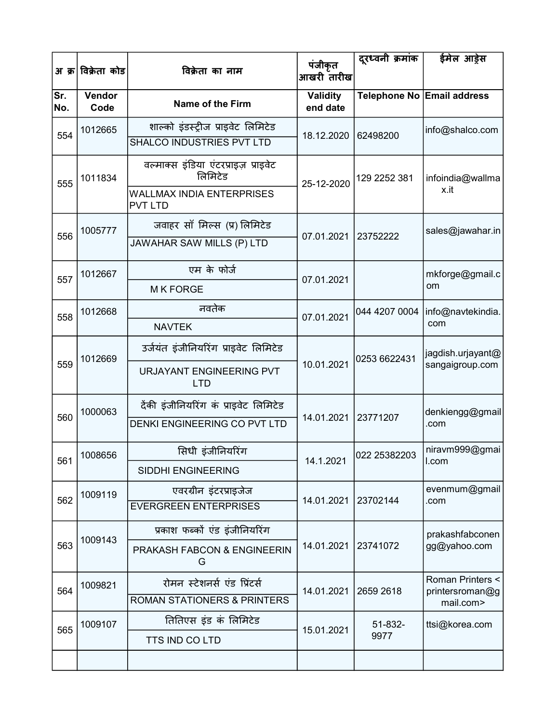| अ क्र      | विक्रेता कोड   | विक्रेता का नाम                                    | पंजीकृत<br>आखरी तारीख       | दूरध्वनी क्रमांक | ईमेल आड़ेस                   |
|------------|----------------|----------------------------------------------------|-----------------------------|------------------|------------------------------|
| Sr.<br>No. | Vendor<br>Code | <b>Name of the Firm</b>                            | <b>Validity</b><br>end date |                  | Telephone No Email address   |
| 554        | 1012665        | शाल्को इंडस्ट्रीज प्राइवेट लिमिटेड                 |                             |                  | info@shalco.com              |
|            |                | SHALCO INDUSTRIES PVT LTD                          | 18.12.2020                  | 62498200         |                              |
| 555        | 1011834        | वल्माक्स इंडिया एंटरप्राइज़ प्राइवेट<br>लिमिटेड    | 25-12-2020                  | 129 2252 381     | infoindia@wallma             |
|            |                | <b>WALLMAX INDIA ENTERPRISES</b><br><b>PVT LTD</b> |                             |                  | x.it                         |
|            | 1005777        | जवाहर साँ मिल्स (प्र) लिमिटेड                      |                             |                  | sales@jawahar.in             |
| 556        |                | JAWAHAR SAW MILLS (P) LTD                          | 07.01.2021                  | 23752222         |                              |
| 557        | 1012667        | एम के फोर्ज                                        |                             |                  | mkforge@gmail.c              |
|            |                | <b>MK FORGE</b>                                    | 07.01.2021                  |                  | om                           |
| 558        | 1012668        | नवतेक                                              | 07.01.2021                  | 044 4207 0004    | info@navtekindia.            |
|            |                | <b>NAVTEK</b>                                      |                             |                  | com                          |
|            | 1012669        | उर्जयंत इंजीनियरिंग प्राइवेट लिमिटेड               |                             | 0253 6622431     | jagdish.urjayant@            |
| 559        |                | URJAYANT ENGINEERING PVT<br><b>LTD</b>             | 10.01.2021                  |                  | sangaigroup.com              |
|            | 1000063        | दैकी इंजीनियरिंग कं प्राइवेट लिमिटेड               |                             |                  | denkiengg@gmail              |
| 560        |                | DENKI ENGINEERING CO PVT LTD                       | 14.01.2021                  | 23771207         | .com                         |
| 561        | 1008656        | सिधी इंजीनियरिंग                                   | 14.1.2021                   | 022 25382203     | niravm999@gmai<br>I.com      |
|            |                | <b>SIDDHI ENGINEERING</b>                          |                             |                  |                              |
| 562        | 1009119        | एवरग्रीन इंटरप्राइजेज                              | 14.01.2021                  | 23702144         | evenmum@gmail                |
|            |                | <b>EVERGREEN ENTERPRISES</b>                       |                             |                  | .com                         |
|            |                | प्रकाश फब्कों एंड इंजीनियरिंग                      |                             |                  | prakashfabconen              |
| 563        | 1009143        | PRAKASH FABCON & ENGINEERIN<br>G                   | 14.01.2021                  | 23741072         | gg@yahoo.com                 |
| 564        | 1009821        | रोमन स्टेशनर्स एंड प्रिंटर्स                       |                             | 2659 2618        | Roman Printers <             |
|            |                | <b>ROMAN STATIONERS &amp; PRINTERS</b>             | 14.01.2021                  |                  | printersroman@g<br>mail.com> |
| 565        | 1009107        | तितिएस इंड कं लिमिटेड                              | 15.01.2021                  | 51-832-          | ttsi@korea.com               |
|            |                | TTS IND CO LTD                                     |                             | 9977             |                              |
|            |                |                                                    |                             |                  |                              |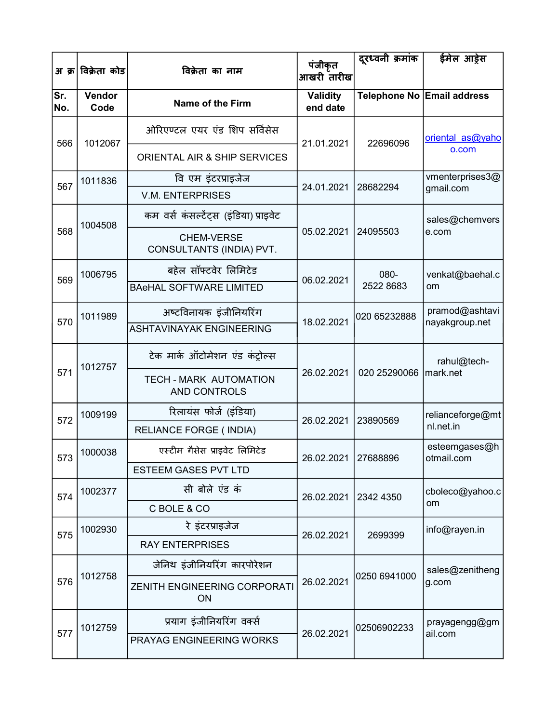| अ क्र      | विक्रेता कोड   | विक्रेता का नाम                               | पंजीकृत<br>आखरी तारीख       | दूरध्वनी क्रमांक | ईमेल आड़ेस                  |
|------------|----------------|-----------------------------------------------|-----------------------------|------------------|-----------------------------|
| Sr.<br>No. | Vendor<br>Code | Name of the Firm                              | <b>Validity</b><br>end date |                  | Telephone No Email address  |
| 566        | 1012067        | ओरिएण्टल एयर एंड शिप सर्विसेस                 | 21.01.2021                  | 22696096         | oriental as@yaho            |
|            |                | ORIENTAL AIR & SHIP SERVICES                  |                             |                  | o.com                       |
| 567        | 1011836        | वि एम इंटरप्राइजेज                            | 24.01.2021                  | 28682294         | vmenterprises3@             |
|            |                | <b>V.M. ENTERPRISES</b>                       |                             |                  | gmail.com                   |
|            | 1004508        | कम वर्स कंसल्टेंट्स (इंडिया) प्राइवेट         |                             |                  | sales@chemvers              |
| 568        |                | <b>CHEM-VERSE</b><br>CONSULTANTS (INDIA) PVT. | 05.02.2021                  | 24095503         | e.com                       |
|            | 1006795        | बहेल सॉफ्टवेर लिमिटेड                         |                             | 080-             | venkat@baehal.c             |
| 569        |                | <b>BAeHAL SOFTWARE LIMITED</b>                | 06.02.2021                  | 2522 8683        | om                          |
|            | 1011989        | अष्टविनायक इंजीनियरिंग                        |                             | 020 65232888     | pramod@ashtavi              |
| 570        |                | <b>ASHTAVINAYAK ENGINEERING</b>               | 18.02.2021                  |                  | nayakgroup.net              |
|            | 1012757        | टेक मार्क ऑटोमेशन एंड कंट्रोल्स               |                             |                  | rahul@tech-                 |
| 571        |                | TECH - MARK AUTOMATION<br>AND CONTROLS        | 26.02.2021                  | 020 25290066     | mark.net                    |
| 572        | 1009199        | रिलायंस फोर्ज (इंडिया)                        | 26.02.2021                  | 23890569         | relianceforge@mt            |
|            |                | <b>RELIANCE FORGE (INDIA)</b>                 |                             |                  | nl.net.in                   |
| 573        | 1000038        | एस्टीम गैसेस प्राइवेट लिमिटेड                 | 26.02.2021 27688896         |                  | esteemgases@h<br>otmail.com |
|            |                | <b>ESTEEM GASES PVT LTD</b>                   |                             |                  | om                          |
| 574        | 1002377        | सी बोले एंड कं                                | 26.02.2021 2342 4350        |                  | cboleco@yahoo.c             |
|            |                | C BOLE & CO                                   |                             |                  |                             |
| 575        | 1002930        | रे इंटरप्राइजेज                               | 26.02.2021                  | 2699399          | info@rayen.in               |
|            |                | <b>RAY ENTERPRISES</b>                        |                             |                  |                             |
|            | 1012758        | जेनिथ इंजीनियरिंग कारपोरेशन                   |                             | 0250 6941000     | sales@zenitheng             |
| 576        |                | <b>ZENITH ENGINEERING CORPORATI</b><br>ON     | 26.02.2021                  |                  | g.com                       |
|            | 1012759        | प्रयाग इंजीनियरिंग वर्क्स                     |                             | 02506902233      | prayagengg@gm               |
| 577        |                | PRAYAG ENGINEERING WORKS                      | 26.02.2021                  |                  | ail.com                     |